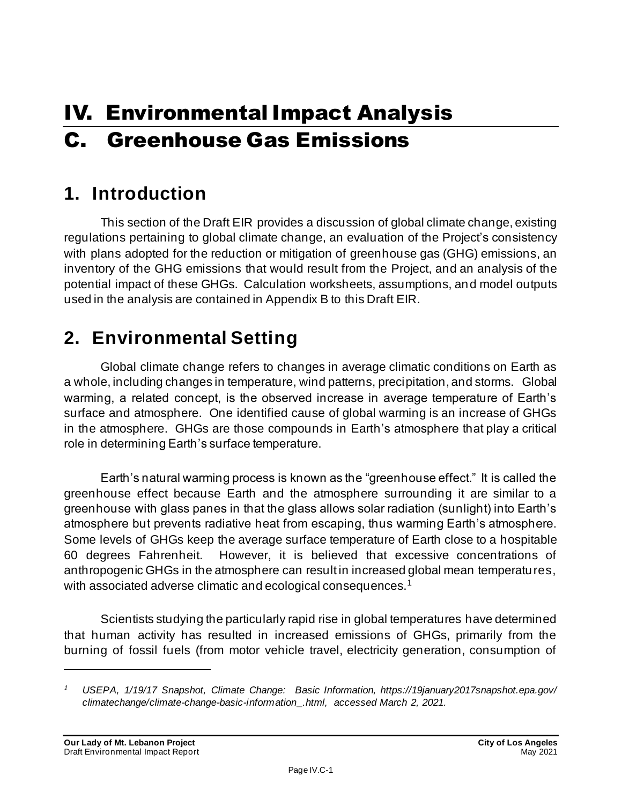# IV. Environmental Impact Analysis C. Greenhouse Gas Emissions

# **1. Introduction**

This section of the Draft EIR provides a discussion of global climate change, existing regulations pertaining to global climate change, an evaluation of the Project's consistency with plans adopted for the reduction or mitigation of greenhouse gas (GHG) emissions, an inventory of the GHG emissions that would result from the Project, and an analysis of the potential impact of these GHGs. Calculation worksheets, assumptions, and model outputs used in the analysis are contained in Appendix B to this Draft EIR.

# **2. Environmental Setting**

Global climate change refers to changes in average climatic conditions on Earth as a whole, including changes in temperature, wind patterns, precipitation, and storms. Global warming, a related concept, is the observed increase in average temperature of Earth's surface and atmosphere. One identified cause of global warming is an increase of GHGs in the atmosphere. GHGs are those compounds in Earth's atmosphere that play a critical role in determining Earth's surface temperature.

Earth's natural warming process is known as the "greenhouse effect." It is called the greenhouse effect because Earth and the atmosphere surrounding it are similar to a greenhouse with glass panes in that the glass allows solar radiation (sunlight) into Earth's atmosphere but prevents radiative heat from escaping, thus warming Earth's atmosphere. Some levels of GHGs keep the average surface temperature of Earth close to a hospitable 60 degrees Fahrenheit. However, it is believed that excessive concentrations of anthropogenic GHGs in the atmosphere can result in increased global mean temperatures, with associated adverse climatic and ecological consequences.<sup>1</sup>

Scientists studying the particularly rapid rise in global temperatures have determined that human activity has resulted in increased emissions of GHGs, primarily from the burning of fossil fuels (from motor vehicle travel, electricity generation, consumption of

*<sup>1</sup> USEPA, 1/19/17 Snapshot, Climate Change: Basic Information, https://19january2017snapshot.epa.gov/ climatechange/climate-change-basic-information\_.html, accessed March 2, 2021.*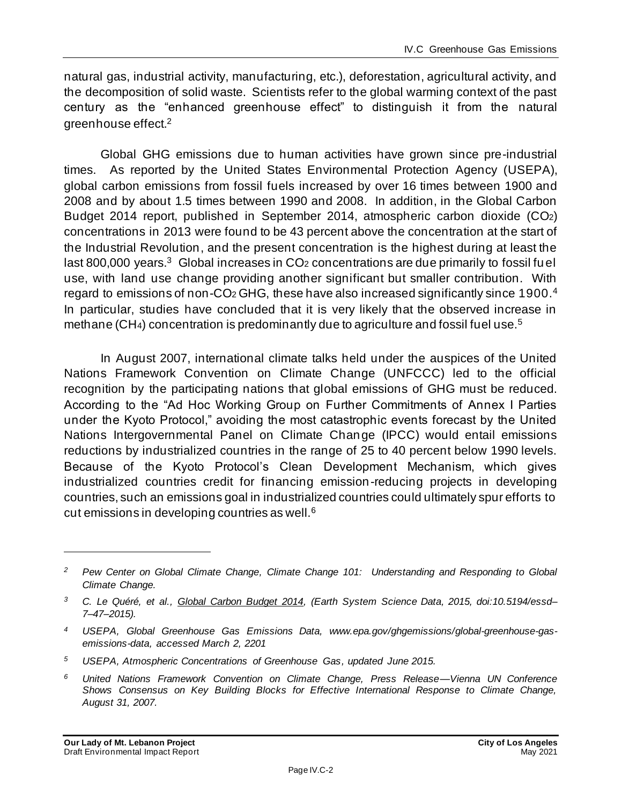natural gas, industrial activity, manufacturing, etc.), deforestation, agricultural activity, and the decomposition of solid waste. Scientists refer to the global warming context of the past century as the "enhanced greenhouse effect" to distinguish it from the natural greenhouse effect.<sup>2</sup>

Global GHG emissions due to human activities have grown since pre-industrial times. As reported by the United States Environmental Protection Agency (USEPA), global carbon emissions from fossil fuels increased by over 16 times between 1900 and 2008 and by about 1.5 times between 1990 and 2008. In addition, in the Global Carbon Budget 2014 report, published in September 2014, atmospheric carbon dioxide (CO2) concentrations in 2013 were found to be 43 percent above the concentration at the start of the Industrial Revolution, and the present concentration is the highest during at least the last 800,000 years. $3$  Global increases in CO<sub>2</sub> concentrations are due primarily to fossil fuel use, with land use change providing another significant but smaller contribution. With regard to emissions of non-CO<sub>2</sub> GHG, these have also increased significantly since 1900.<sup>4</sup> In particular, studies have concluded that it is very likely that the observed increase in methane (CH<sub>4</sub>) concentration is predominantly due to agriculture and fossil fuel use.<sup>5</sup>

In August 2007, international climate talks held under the auspices of the United Nations Framework Convention on Climate Change (UNFCCC) led to the official recognition by the participating nations that global emissions of GHG must be reduced. According to the "Ad Hoc Working Group on Further Commitments of Annex I Parties under the Kyoto Protocol," avoiding the most catastrophic events forecast by the United Nations Intergovernmental Panel on Climate Change (IPCC) would entail emissions reductions by industrialized countries in the range of 25 to 40 percent below 1990 levels. Because of the Kyoto Protocol's Clean Development Mechanism, which gives industrialized countries credit for financing emission-reducing projects in developing countries, such an emissions goal in industrialized countries could ultimately spur efforts to cut emissions in developing countries as well.<sup>6</sup>

*<sup>2</sup> Pew Center on Global Climate Change, Climate Change 101: Understanding and Responding to Global Climate Change.*

*<sup>3</sup> C. Le Quéré, et al., Global Carbon Budget 2014, (Earth System Science Data, 2015, doi:10.5194/essd– 7–47–2015).*

*<sup>4</sup> USEPA, Global Greenhouse Gas Emissions Data, www.epa.gov/ghgemissions/global-greenhouse-gasemissions-data, accessed March 2, 2201*

*<sup>5</sup> USEPA, Atmospheric Concentrations of Greenhouse Gas, updated June 2015.*

*<sup>6</sup> United Nations Framework Convention on Climate Change, Press Release—Vienna UN Conference Shows Consensus on Key Building Blocks for Effective International Response to Climate Change, August 31, 2007.*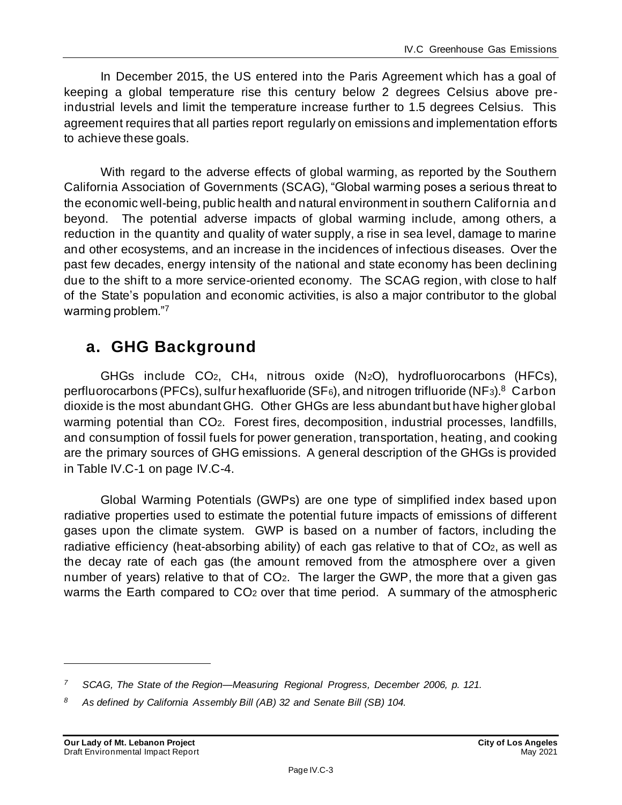In December 2015, the US entered into the Paris Agreement which has a goal of keeping a global temperature rise this century below 2 degrees Celsius above preindustrial levels and limit the temperature increase further to 1.5 degrees Celsius. This agreement requires that all parties report regularly on emissions and implementation efforts to achieve these goals.

With regard to the adverse effects of global warming, as reported by the Southern California Association of Governments (SCAG), "Global warming poses a serious threat to the economic well-being, public health and natural environment in southern California and beyond. The potential adverse impacts of global warming include, among others, a reduction in the quantity and quality of water supply, a rise in sea level, damage to marine and other ecosystems, and an increase in the incidences of infectious diseases. Over the past few decades, energy intensity of the national and state economy has been declining due to the shift to a more service-oriented economy. The SCAG region, with close to half of the State's population and economic activities, is also a major contributor to the global warming problem."<sup>7</sup>

# **a. GHG Background**

GHGs include CO2, CH4, nitrous oxide (N2O), hydrofluorocarbons (HFCs), perfluorocarbons (PFCs), sulfur hexafluoride (SF<sub>6</sub>), and nitrogen trifluoride (NF<sub>3</sub>).<sup>8</sup> Carbon dioxide is the most abundant GHG. Other GHGs are less abundant but have higher global warming potential than CO2. Forest fires, decomposition, industrial processes, landfills, and consumption of fossil fuels for power generation, transportation, heating, and cooking are the primary sources of GHG emissions. A general description of the GHGs is provided in Table IV.C-1 on page IV.C-4.

Global Warming Potentials (GWPs) are one type of simplified index based upon radiative properties used to estimate the potential future impacts of emissions of different gases upon the climate system. GWP is based on a number of factors, including the radiative efficiency (heat-absorbing ability) of each gas relative to that of CO<sub>2</sub>, as well as the decay rate of each gas (the amount removed from the atmosphere over a given number of years) relative to that of CO2. The larger the GWP, the more that a given gas warms the Earth compared to CO<sub>2</sub> over that time period. A summary of the atmospheric

*<sup>7</sup> SCAG, The State of the Region—Measuring Regional Progress, December 2006, p. 121.*

*<sup>8</sup> As defined by California Assembly Bill (AB) 32 and Senate Bill (SB) 104.*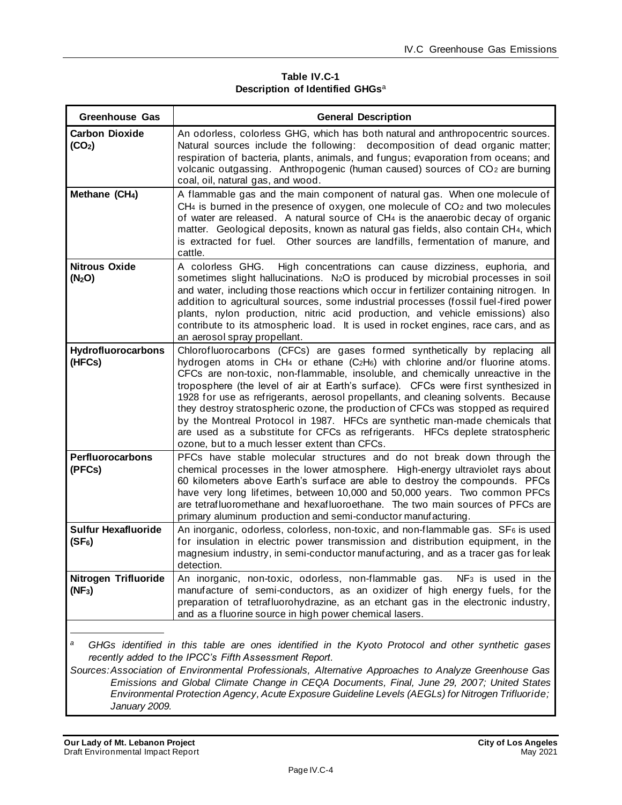**Table IV.C-1 Description of Identified GHGs**<sup>a</sup>

| Greenhouse Gas                                                                                                                                                                                                                                                                                                                                                                                                                                                                                | <b>General Description</b>                                                                                                                                                                                                                                                                                                                                                                                                                                                                                                                                                                                                                                                                                                  |  |
|-----------------------------------------------------------------------------------------------------------------------------------------------------------------------------------------------------------------------------------------------------------------------------------------------------------------------------------------------------------------------------------------------------------------------------------------------------------------------------------------------|-----------------------------------------------------------------------------------------------------------------------------------------------------------------------------------------------------------------------------------------------------------------------------------------------------------------------------------------------------------------------------------------------------------------------------------------------------------------------------------------------------------------------------------------------------------------------------------------------------------------------------------------------------------------------------------------------------------------------------|--|
| <b>Carbon Dioxide</b><br>(CO <sub>2</sub> )                                                                                                                                                                                                                                                                                                                                                                                                                                                   | An odorless, colorless GHG, which has both natural and anthropocentric sources.<br>Natural sources include the following: decomposition of dead organic matter;<br>respiration of bacteria, plants, animals, and fungus; evaporation from oceans; and<br>volcanic outgassing. Anthropogenic (human caused) sources of CO <sub>2</sub> are burning<br>coal, oil, natural gas, and wood.                                                                                                                                                                                                                                                                                                                                      |  |
| Methane (CH <sub>4</sub> )                                                                                                                                                                                                                                                                                                                                                                                                                                                                    | A flammable gas and the main component of natural gas. When one molecule of<br>$CH4$ is burned in the presence of oxygen, one molecule of $CO2$ and two molecules<br>of water are released. A natural source of CH4 is the anaerobic decay of organic<br>matter. Geological deposits, known as natural gas fields, also contain CH4, which<br>is extracted for fuel. Other sources are landfills, fermentation of manure, and<br>cattle.                                                                                                                                                                                                                                                                                    |  |
| <b>Nitrous Oxide</b><br>(N <sub>2</sub> O)                                                                                                                                                                                                                                                                                                                                                                                                                                                    | A colorless GHG.<br>High concentrations can cause dizziness, euphoria, and<br>sometimes slight hallucinations. N <sub>2</sub> O is produced by microbial processes in soil<br>and water, including those reactions which occur in fertilizer containing nitrogen. In<br>addition to agricultural sources, some industrial processes (fossil fuel-fired power<br>plants, nylon production, nitric acid production, and vehicle emissions) also<br>contribute to its atmospheric load. It is used in rocket engines, race cars, and as<br>an aerosol spray propellant.                                                                                                                                                        |  |
| <b>Hydrofluorocarbons</b><br>(HFCs)                                                                                                                                                                                                                                                                                                                                                                                                                                                           | Chlorofluorocarbons (CFCs) are gases formed synthetically by replacing all<br>hydrogen atoms in CH4 or ethane (C2H6) with chlorine and/or fluorine atoms.<br>CFCs are non-toxic, non-flammable, insoluble, and chemically unreactive in the<br>troposphere (the level of air at Earth's surface). CFCs were first synthesized in<br>1928 for use as refrigerants, aerosol propellants, and cleaning solvents. Because<br>they destroy stratospheric ozone, the production of CFCs was stopped as required<br>by the Montreal Protocol in 1987. HFCs are synthetic man-made chemicals that<br>are used as a substitute for CFCs as refrigerants. HFCs deplete stratospheric<br>ozone, but to a much lesser extent than CFCs. |  |
| Perfluorocarbons<br>(PFCs)                                                                                                                                                                                                                                                                                                                                                                                                                                                                    | PFCs have stable molecular structures and do not break down through the<br>chemical processes in the lower atmosphere. High-energy ultraviolet rays about<br>60 kilometers above Earth's surface are able to destroy the compounds. PFCs<br>have very long lifetimes, between 10,000 and 50,000 years. Two common PFCs<br>are tetrafluoromethane and hexafluoroethane. The two main sources of PFCs are<br>primary aluminum production and semi-conductor manufacturing.                                                                                                                                                                                                                                                    |  |
| <b>Sulfur Hexafluoride</b><br>$(SF_6)$                                                                                                                                                                                                                                                                                                                                                                                                                                                        | An inorganic, odorless, colorless, non-toxic, and non-flammable gas. SF6 is used<br>for insulation in electric power transmission and distribution equipment, in the<br>magnesium industry, in semi-conductor manufacturing, and as a tracer gas for leak<br>detection.                                                                                                                                                                                                                                                                                                                                                                                                                                                     |  |
| Nitrogen Trifluoride<br>$(NF_3)$                                                                                                                                                                                                                                                                                                                                                                                                                                                              | An inorganic, non-toxic, odorless, non-flammable gas. NF <sub>3</sub> is used in the<br>manufacture of semi-conductors, as an oxidizer of high energy fuels, for the<br>preparation of tetrafluorohydrazine, as an etchant gas in the electronic industry,<br>and as a fluorine source in high power chemical lasers.                                                                                                                                                                                                                                                                                                                                                                                                       |  |
| а<br>GHGs identified in this table are ones identified in the Kyoto Protocol and other synthetic gases<br>recently added to the IPCC's Fifth Assessment Report.<br>Sources: Association of Environmental Professionals, Alternative Approaches to Analyze Greenhouse Gas<br>Emissions and Global Climate Change in CEQA Documents, Final, June 29, 2007; United States<br>Environmental Protection Agency, Acute Exposure Guideline Levels (AEGLs) for Nitrogen Trifluoride;<br>January 2009. |                                                                                                                                                                                                                                                                                                                                                                                                                                                                                                                                                                                                                                                                                                                             |  |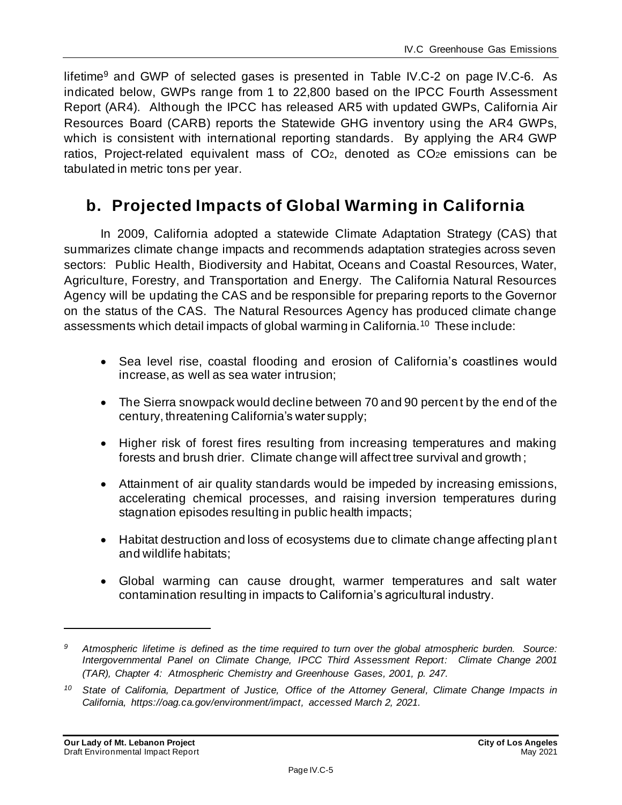lifetime<sup>9</sup> and GWP of selected gases is presented in Table IV.C-2 on page IV.C-6. As indicated below, GWPs range from 1 to 22,800 based on the IPCC Fourth Assessment Report (AR4). Although the IPCC has released AR5 with updated GWPs, California Air Resources Board (CARB) reports the Statewide GHG inventory using the AR4 GWPs, which is consistent with international reporting standards. By applying the AR4 GWP ratios, Project-related equivalent mass of CO<sub>2</sub>, denoted as CO<sub>2</sub>e emissions can be tabulated in metric tons per year.

## **b. Projected Impacts of Global Warming in California**

In 2009, California adopted a statewide Climate Adaptation Strategy (CAS) that summarizes climate change impacts and recommends adaptation strategies across seven sectors: Public Health, Biodiversity and Habitat, Oceans and Coastal Resources, Water, Agriculture, Forestry, and Transportation and Energy. The California Natural Resources Agency will be updating the CAS and be responsible for preparing reports to the Governor on the status of the CAS. The Natural Resources Agency has produced climate change assessments which detail impacts of global warming in California.<sup>10</sup> These include:

- Sea level rise, coastal flooding and erosion of California's coastlines would increase, as well as sea water intrusion;
- The Sierra snowpack would decline between 70 and 90 percent by the end of the century, threatening California's water supply;
- Higher risk of forest fires resulting from increasing temperatures and making forests and brush drier. Climate change will affect tree survival and growth ;
- Attainment of air quality standards would be impeded by increasing emissions, accelerating chemical processes, and raising inversion temperatures during stagnation episodes resulting in public health impacts;
- Habitat destruction and loss of ecosystems due to climate change affecting plant and wildlife habitats;
- Global warming can cause drought, warmer temperatures and salt water contamination resulting in impacts to California's agricultural industry.

*<sup>9</sup> Atmospheric lifetime is defined as the time required to turn over the global atmospheric burden. Source: Intergovernmental Panel on Climate Change, IPCC Third Assessment Report: Climate Change 2001 (TAR), Chapter 4: Atmospheric Chemistry and Greenhouse Gases, 2001, p. 247.*

*<sup>10</sup> State of California, Department of Justice, Office of the Attorney General, Climate Change Impacts in California, https://oag.ca.gov/environment/impact, accessed March 2, 2021.*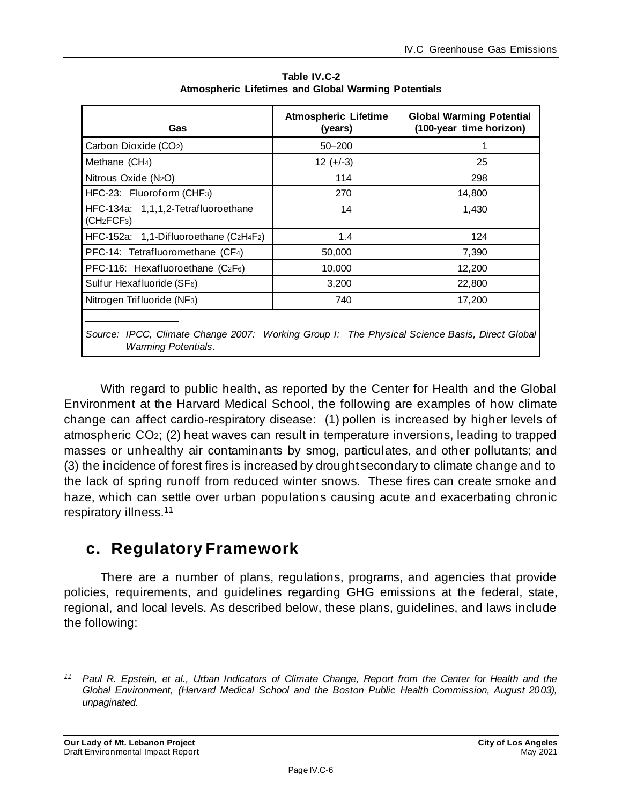| Gas                                                                                                                                | <b>Atmospheric Lifetime</b><br>(years) | <b>Global Warming Potential</b><br>(100-year time horizon) |  |
|------------------------------------------------------------------------------------------------------------------------------------|----------------------------------------|------------------------------------------------------------|--|
| Carbon Dioxide (CO2)                                                                                                               | $50 - 200$                             |                                                            |  |
| Methane (CH <sub>4</sub> )                                                                                                         | $12 (+-3)$                             | 25                                                         |  |
| Nitrous Oxide (N <sub>2</sub> O)                                                                                                   | 114                                    | 298                                                        |  |
| HFC-23: Fluoroform (CHF <sub>3</sub> )                                                                                             | 270                                    | 14,800                                                     |  |
| HFC-134a: 1,1,1,2-Tetrafluoroethane<br>(CH <sub>2</sub> FCF <sub>3</sub> )                                                         | 14                                     | 1,430                                                      |  |
| HFC-152a: 1,1-Difluoroethane (C2H4F2)                                                                                              | 1.4                                    | 124                                                        |  |
| PFC-14: Tetrafluoromethane (CF4)                                                                                                   | 50,000                                 | 7,390                                                      |  |
| PFC-116: Hexafluoroethane (C2F6)                                                                                                   | 10,000                                 | 12,200                                                     |  |
| Sulfur Hexafluoride (SF6)                                                                                                          | 3,200                                  | 22,800                                                     |  |
| Nitrogen Trifluoride (NF <sub>3</sub> )                                                                                            | 740                                    | 17,200                                                     |  |
| Source: IPCC, Climate Change 2007: Working Group I: The Physical Science Basis, Direct Global<br><i><b>Warming Potentials.</b></i> |                                        |                                                            |  |

**Table IV.C-2 Atmospheric Lifetimes and Global Warming Potentials** 

With regard to public health, as reported by the Center for Health and the Global Environment at the Harvard Medical School, the following are examples of how climate change can affect cardio-respiratory disease: (1) pollen is increased by higher levels of atmospheric CO2; (2) heat waves can result in temperature inversions, leading to trapped masses or unhealthy air contaminants by smog, particulates, and other pollutants; and (3) the incidence of forest fires is increased by drought secondary to climate change and to the lack of spring runoff from reduced winter snows. These fires can create smoke and haze, which can settle over urban populations causing acute and exacerbating chronic respiratory illness.<sup>11</sup>

## **c. Regulatory Framework**

There are a number of plans, regulations, programs, and agencies that provide policies, requirements, and guidelines regarding GHG emissions at the federal, state, regional, and local levels. As described below, these plans, guidelines, and laws include the following:

*<sup>11</sup> Paul R. Epstein, et al., Urban Indicators of Climate Change, Report from the Center for Health and the Global Environment, (Harvard Medical School and the Boston Public Health Commission, August 2003), unpaginated.*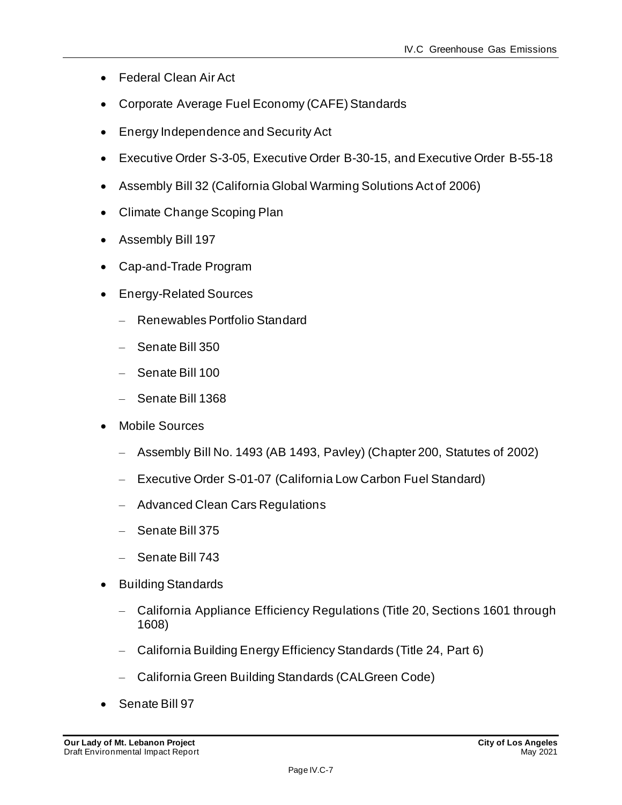- Federal Clean Air Act
- Corporate Average Fuel Economy (CAFE) Standards
- Energy Independence and Security Act
- Executive Order S-3-05, Executive Order B-30-15, and Executive Order B-55-18
- Assembly Bill 32 (California Global Warming Solutions Act of 2006)
- Climate Change Scoping Plan
- Assembly Bill 197
- Cap-and-Trade Program
- Energy-Related Sources
	- Renewables Portfolio Standard
	- Senate Bill 350
	- Senate Bill 100
	- Senate Bill 1368
- Mobile Sources
	- Assembly Bill No. 1493 (AB 1493, Pavley) (Chapter 200, Statutes of 2002)
	- Executive Order S-01-07 (California Low Carbon Fuel Standard)
	- Advanced Clean Cars Regulations
	- Senate Bill 375
	- Senate Bill 743
- Building Standards
	- California Appliance Efficiency Regulations (Title 20, Sections 1601 through 1608)
	- California Building Energy Efficiency Standards (Title 24, Part 6)
	- California Green Building Standards (CALGreen Code)
- Senate Bill 97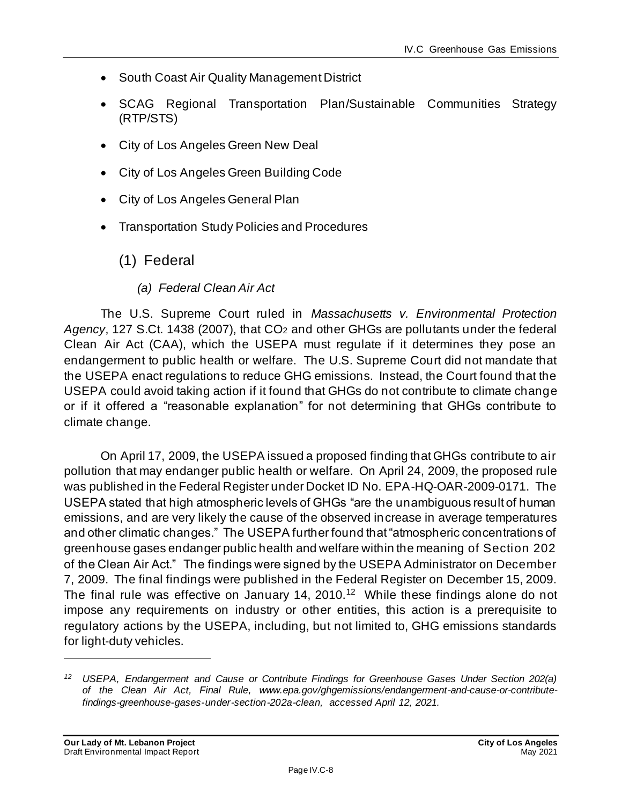- South Coast Air Quality Management District
- SCAG Regional Transportation Plan/Sustainable Communities Strategy (RTP/STS)
- City of Los Angeles Green New Deal
- City of Los Angeles Green Building Code
- City of Los Angeles General Plan
- Transportation Study Policies and Procedures

#### (1) Federal

*(a) Federal Clean Air Act*

The U.S. Supreme Court ruled in *Massachusetts v. Environmental Protection*  Agency, 127 S.Ct. 1438 (2007), that CO<sub>2</sub> and other GHGs are pollutants under the federal Clean Air Act (CAA), which the USEPA must regulate if it determines they pose an endangerment to public health or welfare. The U.S. Supreme Court did not mandate that the USEPA enact regulations to reduce GHG emissions. Instead, the Court found that the USEPA could avoid taking action if it found that GHGs do not contribute to climate change or if it offered a "reasonable explanation" for not determining that GHGs contribute to climate change.

On April 17, 2009, the USEPA issued a proposed finding that GHGs contribute to air pollution that may endanger public health or welfare. On April 24, 2009, the proposed rule was published in the Federal Register under Docket ID No. EPA-HQ-OAR-2009-0171. The USEPA stated that high atmospheric levels of GHGs "are the unambiguous result of human emissions, and are very likely the cause of the observed increase in average temperatures and other climatic changes." The USEPA further found that "atmospheric concentrations of greenhouse gases endanger public health and welfare within the meaning of Section 202 of the Clean Air Act." The findings were signed by the USEPA Administrator on December 7, 2009. The final findings were published in the Federal Register on December 15, 2009. The final rule was effective on January 14, 2010.<sup>12</sup> While these findings alone do not impose any requirements on industry or other entities, this action is a prerequisite to regulatory actions by the USEPA, including, but not limited to, GHG emissions standards for light‐duty vehicles.

*<sup>12</sup> USEPA, Endangerment and Cause or Contribute Findings for Greenhouse Gases Under Section 202(a) of the Clean Air Act, Final Rule, www.epa.gov/ghgemissions/endangerment-and-cause-or-contributefindings-greenhouse-gases-under-section-202a-clean, accessed April 12, 2021.*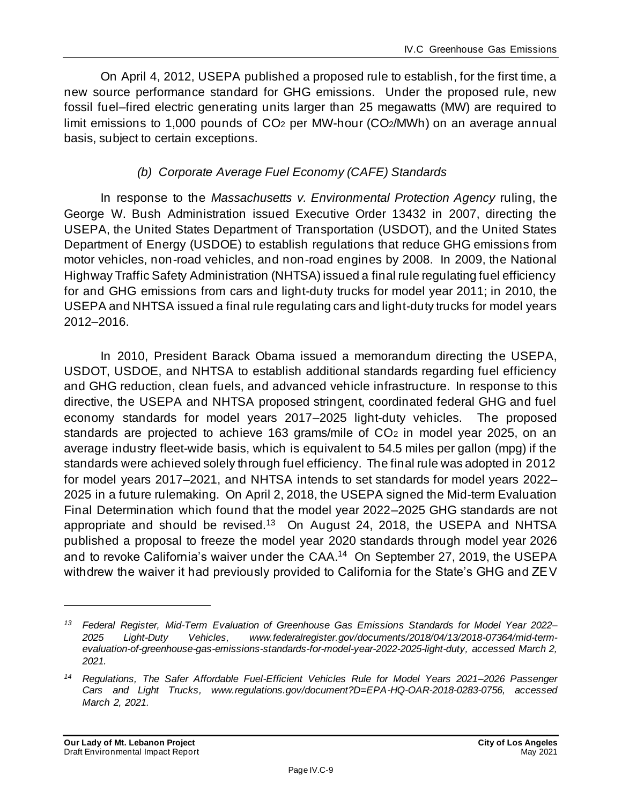On April 4, 2012, USEPA published a proposed rule to establish, for the first time, a new source performance standard for GHG emissions. Under the proposed rule, new fossil fuel–fired electric generating units larger than 25 megawatts (MW) are required to limit emissions to 1,000 pounds of CO<sub>2</sub> per MW-hour (CO<sub>2</sub>/MWh) on an average annual basis, subject to certain exceptions.

#### *(b) Corporate Average Fuel Economy (CAFE) Standards*

In response to the *Massachusetts v. Environmental Protection Agency* ruling, the George W. Bush Administration issued Executive Order 13432 in 2007, directing the USEPA, the United States Department of Transportation (USDOT), and the United States Department of Energy (USDOE) to establish regulations that reduce GHG emissions from motor vehicles, non-road vehicles, and non-road engines by 2008. In 2009, the National Highway Traffic Safety Administration (NHTSA) issued a final rule regulating fuel efficiency for and GHG emissions from cars and light-duty trucks for model year 2011; in 2010, the USEPA and NHTSA issued a final rule regulating cars and light-duty trucks for model years 2012–2016.

In 2010, President Barack Obama issued a memorandum directing the USEPA, USDOT, USDOE, and NHTSA to establish additional standards regarding fuel efficiency and GHG reduction, clean fuels, and advanced vehicle infrastructure. In response to this directive, the USEPA and NHTSA proposed stringent, coordinated federal GHG and fuel economy standards for model years 2017–2025 light-duty vehicles. The proposed standards are projected to achieve 163 grams/mile of CO<sub>2</sub> in model year 2025, on an average industry fleet-wide basis, which is equivalent to 54.5 miles per gallon (mpg) if the standards were achieved solely through fuel efficiency. The final rule was adopted in 2012 for model years 2017–2021, and NHTSA intends to set standards for model years 2022– 2025 in a future rulemaking. On April 2, 2018, the USEPA signed the Mid-term Evaluation Final Determination which found that the model year 2022–2025 GHG standards are not appropriate and should be revised.<sup>13</sup> On August 24, 2018, the USEPA and NHTSA published a proposal to freeze the model year 2020 standards through model year 2026 and to revoke California's waiver under the CAA. 14 On September 27, 2019, the USEPA withdrew the waiver it had previously provided to California for the State's GHG and ZEV

*<sup>13</sup> Federal Register, Mid-Term Evaluation of Greenhouse Gas Emissions Standards for Model Year 2022– 2025 Light-Duty Vehicles, www.federalregister.gov/documents/2018/04/13/2018-07364/mid-termevaluation-of-greenhouse-gas-emissions-standards-for-model-year-2022-2025-light-duty, accessed March 2, 2021.*

*<sup>14</sup> Regulations, The Safer Affordable Fuel-Efficient Vehicles Rule for Model Years 2021–2026 Passenger Cars and Light Trucks, www.regulations.gov/document?D=EPA-HQ-OAR-2018-0283-0756, accessed March 2, 2021.*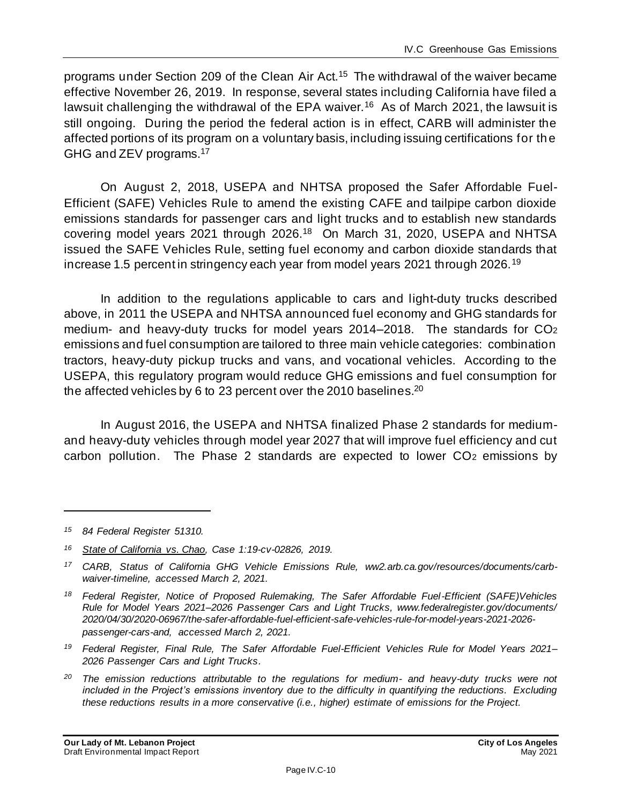programs under Section 209 of the Clean Air Act.<sup>15</sup> The withdrawal of the waiver became effective November 26, 2019. In response, several states including California have filed a lawsuit challenging the withdrawal of the EPA waiver.<sup>16</sup> As of March 2021, the lawsuit is still ongoing. During the period the federal action is in effect, CARB will administer the affected portions of its program on a voluntary basis, including issuing certifications for the GHG and ZEV programs.<sup>17</sup>

On August 2, 2018, USEPA and NHTSA proposed the Safer Affordable Fuel-Efficient (SAFE) Vehicles Rule to amend the existing CAFE and tailpipe carbon dioxide emissions standards for passenger cars and light trucks and to establish new standards covering model years 2021 through 2026.<sup>18</sup> On March 31, 2020, USEPA and NHTSA issued the SAFE Vehicles Rule, setting fuel economy and carbon dioxide standards that increase 1.5 percent in stringency each year from model years 2021 through 2026.<sup>19</sup>

In addition to the regulations applicable to cars and light-duty trucks described above, in 2011 the USEPA and NHTSA announced fuel economy and GHG standards for medium- and heavy-duty trucks for model years 2014–2018. The standards for CO<sup>2</sup> emissions and fuel consumption are tailored to three main vehicle categories: combination tractors, heavy-duty pickup trucks and vans, and vocational vehicles. According to the USEPA, this regulatory program would reduce GHG emissions and fuel consumption for the affected vehicles by 6 to 23 percent over the 2010 baselines.<sup>20</sup>

In August 2016, the USEPA and NHTSA finalized Phase 2 standards for mediumand heavy-duty vehicles through model year 2027 that will improve fuel efficiency and cut carbon pollution. The Phase 2 standards are expected to lower CO<sup>2</sup> emissions by

*<sup>15</sup> 84 Federal Register 51310.*

*<sup>16</sup> State of California vs. Chao, Case 1:19-cv-02826, 2019.*

*<sup>17</sup> CARB, Status of California GHG Vehicle Emissions Rule, ww2.arb.ca.gov/resources/documents/carbwaiver-timeline, accessed March 2, 2021.*

*<sup>18</sup> Federal Register, Notice of Proposed Rulemaking, The Safer Affordable Fuel-Efficient (SAFE)Vehicles Rule for Model Years 2021–2026 Passenger Cars and Light Trucks, www.federalregister.gov/documents/ 2020/04/30/2020-06967/the-safer-affordable-fuel-efficient-safe-vehicles-rule-for-model-years-2021-2026 passenger-cars-and, accessed March 2, 2021.*

*<sup>19</sup> Federal Register, Final Rule, The Safer Affordable Fuel-Efficient Vehicles Rule for Model Years 2021– 2026 Passenger Cars and Light Trucks.*

*<sup>20</sup> The emission reductions attributable to the regulations for medium- and heavy-duty trucks were not included in the Project's emissions inventory due to the difficulty in quantifying the reductions. Excluding these reductions results in a more conservative (i.e., higher) estimate of emissions for the Project.*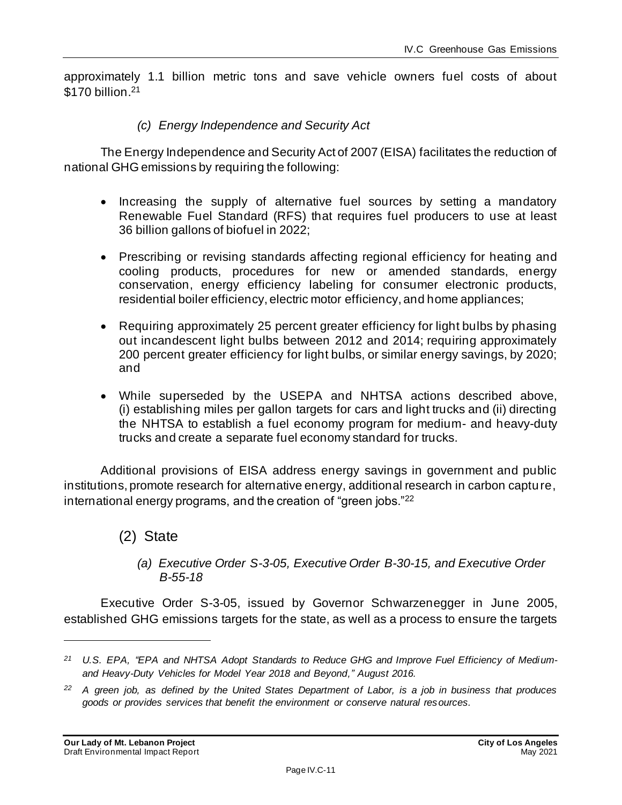approximately 1.1 billion metric tons and save vehicle owners fuel costs of about \$170 billion.<sup>21</sup>

#### *(c) Energy Independence and Security Act*

The Energy Independence and Security Act of 2007 (EISA) facilitates the reduction of national GHG emissions by requiring the following:

- Increasing the supply of alternative fuel sources by setting a mandatory Renewable Fuel Standard (RFS) that requires fuel producers to use at least 36 billion gallons of biofuel in 2022;
- Prescribing or revising standards affecting regional efficiency for heating and cooling products, procedures for new or amended standards, energy conservation, energy efficiency labeling for consumer electronic products, residential boiler efficiency, electric motor efficiency, and home appliances;
- Requiring approximately 25 percent greater efficiency for light bulbs by phasing out incandescent light bulbs between 2012 and 2014; requiring approximately 200 percent greater efficiency for light bulbs, or similar energy savings, by 2020; and
- While superseded by the USEPA and NHTSA actions described above, (i) establishing miles per gallon targets for cars and light trucks and (ii) directing the NHTSA to establish a fuel economy program for medium- and heavy-duty trucks and create a separate fuel economy standard for trucks.

Additional provisions of EISA address energy savings in government and public institutions, promote research for alternative energy, additional research in carbon capture, international energy programs, and the creation of "green jobs."<sup>22</sup>

#### (2) State

*(a) Executive Order S-3-05, Executive Order B-30-15, and Executive Order B-55-18*

Executive Order S-3-05, issued by Governor Schwarzenegger in June 2005, established GHG emissions targets for the state, as well as a process to ensure the targets

*<sup>21</sup> U.S. EPA, "EPA and NHTSA Adopt Standards to Reduce GHG and Improve Fuel Efficiency of Mediumand Heavy-Duty Vehicles for Model Year 2018 and Beyond," August 2016.*

*<sup>22</sup> A green job, as defined by the United States Department of Labor, is a job in business that produces goods or provides services that benefit the environment or conserve natural resources.*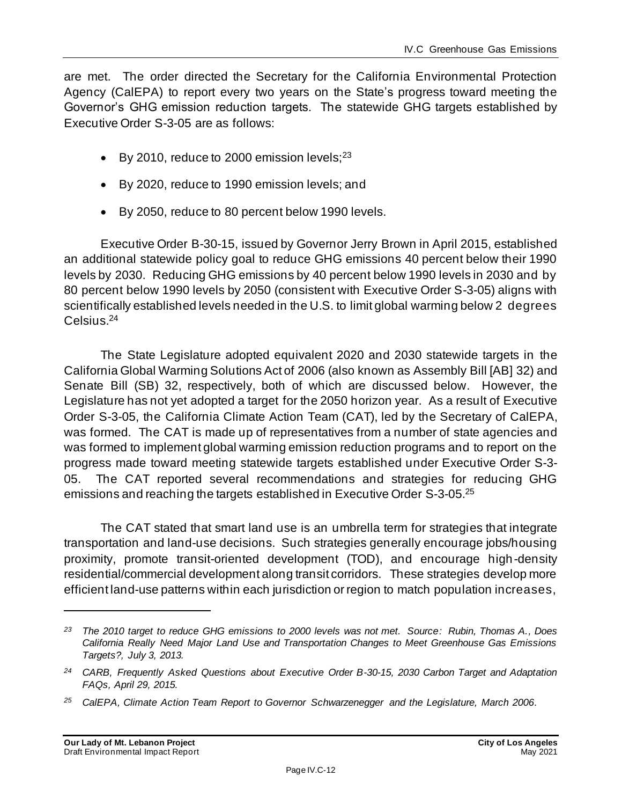are met. The order directed the Secretary for the California Environmental Protection Agency (CalEPA) to report every two years on the State's progress toward meeting the Governor's GHG emission reduction targets. The statewide GHG targets established by Executive Order S-3-05 are as follows:

- By 2010, reduce to 2000 emission levels; $^{23}$
- By 2020, reduce to 1990 emission levels; and
- By 2050, reduce to 80 percent below 1990 levels.

Executive Order B-30-15, issued by Governor Jerry Brown in April 2015, established an additional statewide policy goal to reduce GHG emissions 40 percent below their 1990 levels by 2030. Reducing GHG emissions by 40 percent below 1990 levels in 2030 and by 80 percent below 1990 levels by 2050 (consistent with Executive Order S-3-05) aligns with scientifically established levels needed in the U.S. to limit global warming below 2 degrees Celsius. 24

The State Legislature adopted equivalent 2020 and 2030 statewide targets in the California Global Warming Solutions Act of 2006 (also known as Assembly Bill [AB] 32) and Senate Bill (SB) 32, respectively, both of which are discussed below. However, the Legislature has not yet adopted a target for the 2050 horizon year. As a result of Executive Order S-3-05, the California Climate Action Team (CAT), led by the Secretary of CalEPA, was formed. The CAT is made up of representatives from a number of state agencies and was formed to implement global warming emission reduction programs and to report on the progress made toward meeting statewide targets established under Executive Order S-3- 05. The CAT reported several recommendations and strategies for reducing GHG emissions and reaching the targets established in Executive Order S-3-05.<sup>25</sup>

The CAT stated that smart land use is an umbrella term for strategies that integrate transportation and land-use decisions. Such strategies generally encourage jobs/housing proximity, promote transit-oriented development (TOD), and encourage high-density residential/commercial development along transit corridors. These strategies develop more efficient land-use patterns within each jurisdiction or region to match population increases,

*<sup>23</sup> The 2010 target to reduce GHG emissions to 2000 levels was not met. Source: Rubin, Thomas A., Does California Really Need Major Land Use and Transportation Changes to Meet Greenhouse Gas Emissions Targets?, July 3, 2013.*

*<sup>24</sup> CARB, Frequently Asked Questions about Executive Order B-30-15, 2030 Carbon Target and Adaptation FAQs, April 29, 2015.*

*<sup>25</sup> CalEPA, Climate Action Team Report to Governor Schwarzenegger and the Legislature, March 2006.*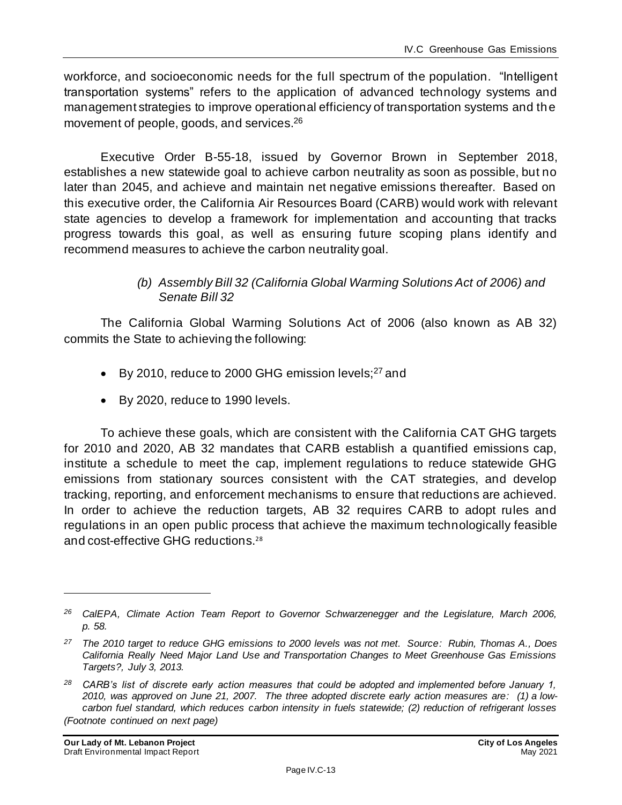workforce, and socioeconomic needs for the full spectrum of the population. "Intelligent transportation systems" refers to the application of advanced technology systems and management strategies to improve operational efficiency of transportation systems and the movement of people, goods, and services. 26

Executive Order B-55-18, issued by Governor Brown in September 2018, establishes a new statewide goal to achieve carbon neutrality as soon as possible, but no later than 2045, and achieve and maintain net negative emissions thereafter. Based on this executive order, the California Air Resources Board (CARB) would work with relevant state agencies to develop a framework for implementation and accounting that tracks progress towards this goal, as well as ensuring future scoping plans identify and recommend measures to achieve the carbon neutrality goal.

#### *(b) Assembly Bill 32 (California Global Warming Solutions Act of 2006) and Senate Bill 32*

The California Global Warming Solutions Act of 2006 (also known as AB 32) commits the State to achieving the following:

- By 2010, reduce to 2000 GHG emission levels; $27$  and
- By 2020, reduce to 1990 levels.

To achieve these goals, which are consistent with the California CAT GHG targets for 2010 and 2020, AB 32 mandates that CARB establish a quantified emissions cap, institute a schedule to meet the cap, implement regulations to reduce statewide GHG emissions from stationary sources consistent with the CAT strategies, and develop tracking, reporting, and enforcement mechanisms to ensure that reductions are achieved. In order to achieve the reduction targets, AB 32 requires CARB to adopt rules and regulations in an open public process that achieve the maximum technologically feasible and cost-effective GHG reductions.<sup>28</sup>

*<sup>26</sup> CalEPA, Climate Action Team Report to Governor Schwarzenegger and the Legislature, March 2006, p. 58.*

*<sup>27</sup> The 2010 target to reduce GHG emissions to 2000 levels was not met. Source: Rubin, Thomas A., Does California Really Need Major Land Use and Transportation Changes to Meet Greenhouse Gas Emissions Targets?, July 3, 2013.*

*<sup>28</sup> CARB's list of discrete early action measures that could be adopted and implemented before January 1, 2010, was approved on June 21, 2007. The three adopted discrete early action measures are: (1) a lowcarbon fuel standard, which reduces carbon intensity in fuels statewide; (2) reduction of refrigerant losses (Footnote continued on next page)*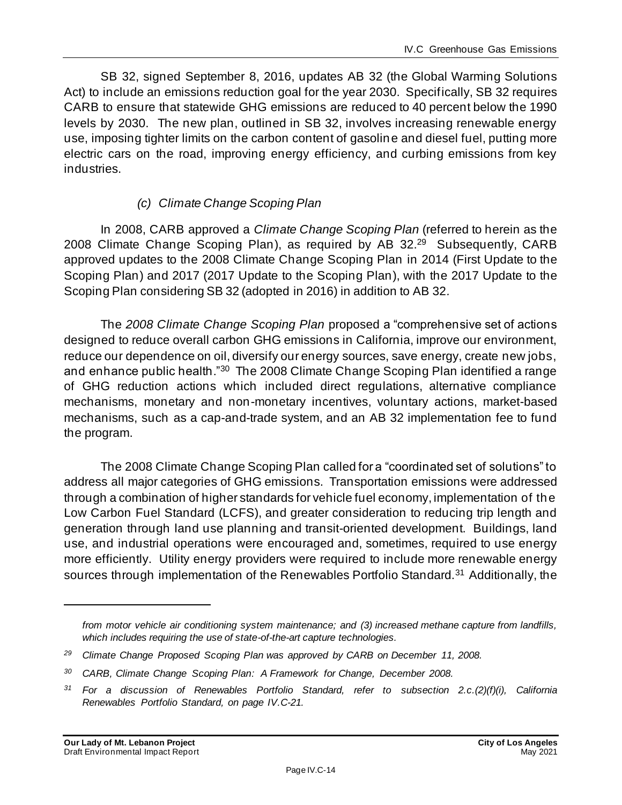SB 32, signed September 8, 2016, updates AB 32 (the Global Warming Solutions Act) to include an emissions reduction goal for the year 2030. Specifically, SB 32 requires CARB to ensure that statewide GHG emissions are reduced to 40 percent below the 1990 levels by 2030. The new plan, outlined in SB 32, involves increasing renewable energy use, imposing tighter limits on the carbon content of gasoline and diesel fuel, putting more electric cars on the road, improving energy efficiency, and curbing emissions from key industries.

#### *(c) Climate Change Scoping Plan*

In 2008, CARB approved a *Climate Change Scoping Plan* (referred to herein as the 2008 Climate Change Scoping Plan), as required by AB 32.<sup>29</sup> Subsequently, CARB approved updates to the 2008 Climate Change Scoping Plan in 2014 (First Update to the Scoping Plan) and 2017 (2017 Update to the Scoping Plan), with the 2017 Update to the Scoping Plan considering SB 32 (adopted in 2016) in addition to AB 32*.*

The *2008 Climate Change Scoping Plan* proposed a "comprehensive set of actions designed to reduce overall carbon GHG emissions in California, improve our environment, reduce our dependence on oil, diversify our energy sources, save energy, create new jobs, and enhance public health."<sup>30</sup> The 2008 Climate Change Scoping Plan identified a range of GHG reduction actions which included direct regulations, alternative compliance mechanisms, monetary and non-monetary incentives, voluntary actions, market-based mechanisms, such as a cap-and-trade system, and an AB 32 implementation fee to fund the program.

The 2008 Climate Change Scoping Plan called for a "coordinated set of solutions" to address all major categories of GHG emissions. Transportation emissions were addressed through a combination of higher standards for vehicle fuel economy, implementation of the Low Carbon Fuel Standard (LCFS), and greater consideration to reducing trip length and generation through land use planning and transit-oriented development. Buildings, land use, and industrial operations were encouraged and, sometimes, required to use energy more efficiently. Utility energy providers were required to include more renewable energy sources through implementation of the Renewables Portfolio Standard.<sup>31</sup> Additionally, the

*from motor vehicle air conditioning system maintenance; and (3) increased methane capture from landfills, which includes requiring the use of state-of-the-art capture technologies.*

*<sup>29</sup> Climate Change Proposed Scoping Plan was approved by CARB on December 11, 2008.*

*<sup>30</sup> CARB, Climate Change Scoping Plan: A Framework for Change, December 2008.*

*<sup>31</sup> For a discussion of Renewables Portfolio Standard, refer to subsection 2.c.(2)(f)(i), California Renewables Portfolio Standard, on page [IV.C-21.](#page-21-0)*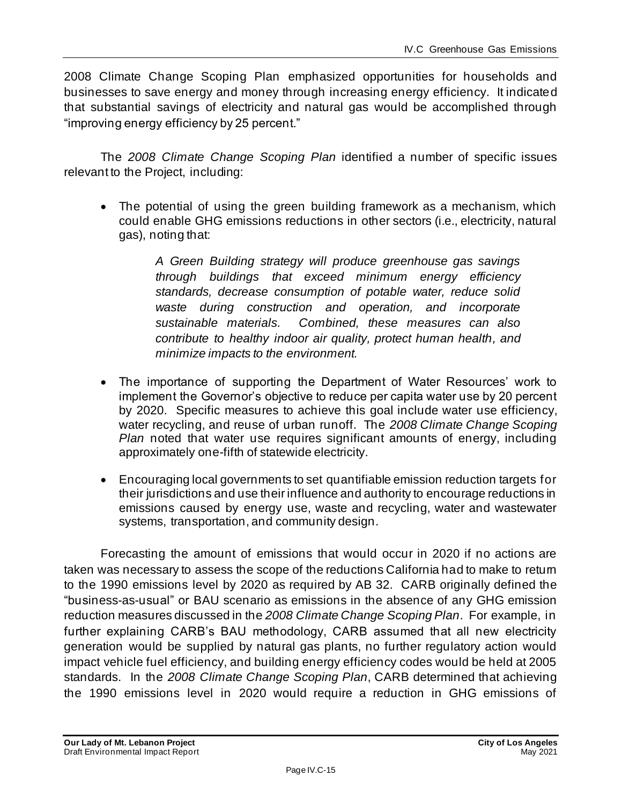2008 Climate Change Scoping Plan emphasized opportunities for households and businesses to save energy and money through increasing energy efficiency. It indicated that substantial savings of electricity and natural gas would be accomplished through "improving energy efficiency by 25 percent."

The *2008 Climate Change Scoping Plan* identified a number of specific issues relevant to the Project, including:

• The potential of using the green building framework as a mechanism, which could enable GHG emissions reductions in other sectors (i.e., electricity, natural gas), noting that:

> *A Green Building strategy will produce greenhouse gas savings through buildings that exceed minimum energy efficiency standards, decrease consumption of potable water, reduce solid waste during construction and operation, and incorporate sustainable materials. Combined, these measures can also contribute to healthy indoor air quality, protect human health, and minimize impacts to the environment.*

- The importance of supporting the Department of Water Resources' work to implement the Governor's objective to reduce per capita water use by 20 percent by 2020. Specific measures to achieve this goal include water use efficiency, water recycling, and reuse of urban runoff. The *2008 Climate Change Scoping Plan* noted that water use requires significant amounts of energy, including approximately one-fifth of statewide electricity.
- Encouraging local governments to set quantifiable emission reduction targets for their jurisdictions and use their influence and authority to encourage reductions in emissions caused by energy use, waste and recycling, water and wastewater systems, transportation, and community design.

Forecasting the amount of emissions that would occur in 2020 if no actions are taken was necessary to assess the scope of the reductions California had to make to retum to the 1990 emissions level by 2020 as required by AB 32. CARB originally defined the "business-as-usual" or BAU scenario as emissions in the absence of any GHG emission reduction measures discussed in the *2008 Climate Change Scoping Plan*. For example, in further explaining CARB's BAU methodology, CARB assumed that all new electricity generation would be supplied by natural gas plants, no further regulatory action would impact vehicle fuel efficiency, and building energy efficiency codes would be held at 2005 standards. In the *2008 Climate Change Scoping Plan*, CARB determined that achieving the 1990 emissions level in 2020 would require a reduction in GHG emissions of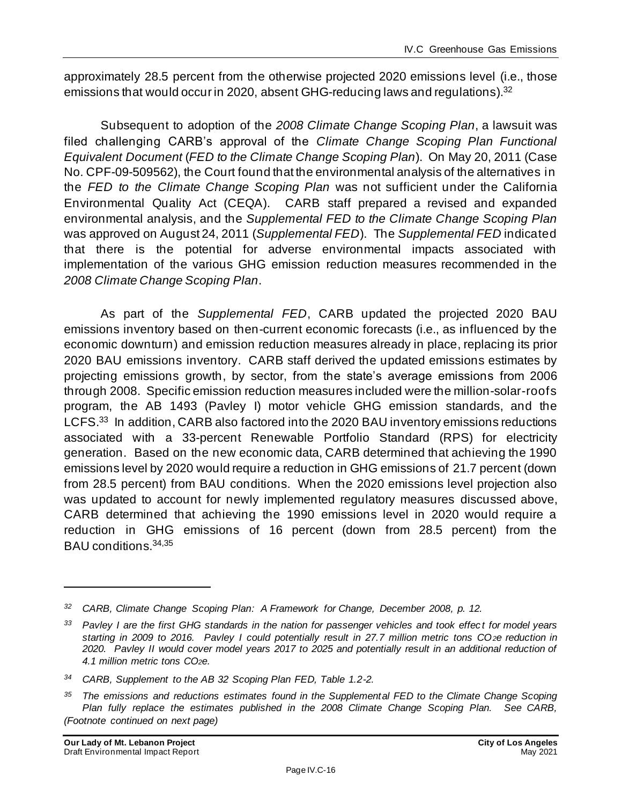approximately 28.5 percent from the otherwise projected 2020 emissions level (i.e., those emissions that would occur in 2020, absent GHG-reducing laws and regulations).<sup>32</sup>

Subsequent to adoption of the *2008 Climate Change Scoping Plan*, a lawsuit was filed challenging CARB's approval of the *Climate Change Scoping Plan Functional Equivalent Document* (*FED to the Climate Change Scoping Plan*). On May 20, 2011 (Case No. CPF-09-509562), the Court found that the environmental analysis of the alternatives in the *FED to the Climate Change Scoping Plan* was not sufficient under the California Environmental Quality Act (CEQA). CARB staff prepared a revised and expanded environmental analysis, and the *Supplemental FED to the Climate Change Scoping Plan* was approved on August 24, 2011 (*Supplemental FED*). The *Supplemental FED* indicated that there is the potential for adverse environmental impacts associated with implementation of the various GHG emission reduction measures recommended in the *2008 Climate Change Scoping Plan*.

As part of the *Supplemental FED*, CARB updated the projected 2020 BAU emissions inventory based on then-current economic forecasts (i.e., as influenced by the economic downturn) and emission reduction measures already in place, replacing its prior 2020 BAU emissions inventory. CARB staff derived the updated emissions estimates by projecting emissions growth, by sector, from the state's average emissions from 2006 through 2008. Specific emission reduction measures included were the million-solar-roofs program, the AB 1493 (Pavley I) motor vehicle GHG emission standards, and the LCFS.<sup>33</sup> In addition, CARB also factored into the 2020 BAU inventory emissions reductions associated with a 33-percent Renewable Portfolio Standard (RPS) for electricity generation. Based on the new economic data, CARB determined that achieving the 1990 emissions level by 2020 would require a reduction in GHG emissions of 21.7 percent (down from 28.5 percent) from BAU conditions. When the 2020 emissions level projection also was updated to account for newly implemented regulatory measures discussed above, CARB determined that achieving the 1990 emissions level in 2020 would require a reduction in GHG emissions of 16 percent (down from 28.5 percent) from the BAU conditions.34,35

*<sup>32</sup> CARB, Climate Change Scoping Plan: A Framework for Change, December 2008, p. 12.*

*<sup>33</sup> Pavley I are the first GHG standards in the nation for passenger vehicles and took effec t for model years starting in 2009 to 2016. Pavley I could potentially result in 27.7 million metric tons CO2e reduction in 2020. Pavley II would cover model years 2017 to 2025 and potentially result in an additional reduction of 4.1 million metric tons CO2e.*

*<sup>34</sup> CARB, Supplement to the AB 32 Scoping Plan FED, Table 1.2-2.*

*<sup>35</sup> The emissions and reductions estimates found in the Supplemental FED to the Climate Change Scoping Plan fully replace the estimates published in the 2008 Climate Change Scoping Plan. See CARB, (Footnote continued on next page)*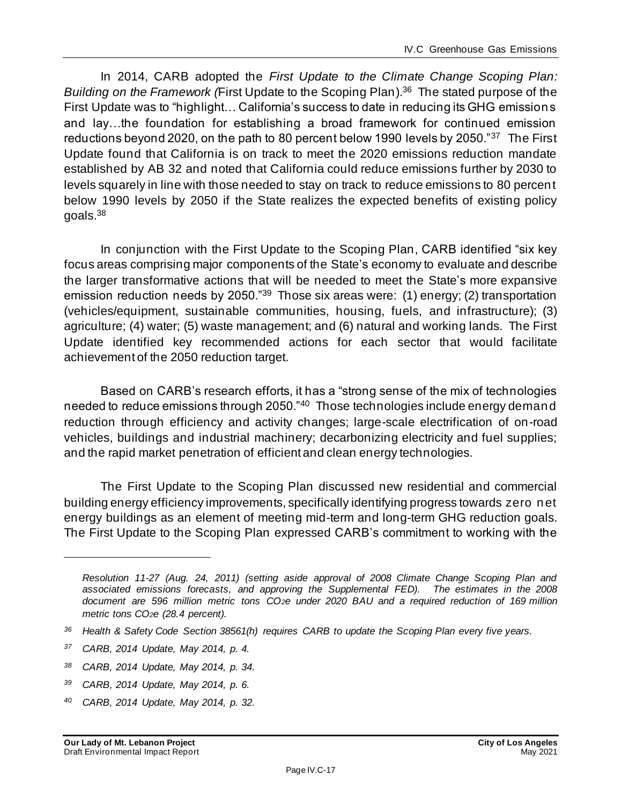In 2014, CARB adopted the *First Update to the Climate Change Scoping Plan: Building on the Framework (*First Update to the Scoping Plan). 36 The stated purpose of the First Update was to "highlight… California's success to date in reducing its GHG emissions and lay…the foundation for establishing a broad framework for continued emission reductions beyond 2020, on the path to 80 percent below 1990 levels by 2050."<sup>37</sup> The First Update found that California is on track to meet the 2020 emissions reduction mandate established by AB 32 and noted that California could reduce emissions further by 2030 to levels squarely in line with those needed to stay on track to reduce emissions to 80 percent below 1990 levels by 2050 if the State realizes the expected benefits of existing policy goals.<sup>38</sup>

In conjunction with the First Update to the Scoping Plan, CARB identified "six key focus areas comprising major components of the State's economy to evaluate and describe the larger transformative actions that will be needed to meet the State's more expansive emission reduction needs by 2050."<sup>39</sup> Those six areas were: (1) energy; (2) transportation (vehicles/equipment, sustainable communities, housing, fuels, and infrastructure); (3) agriculture; (4) water; (5) waste management; and (6) natural and working lands. The First Update identified key recommended actions for each sector that would facilitate achievement of the 2050 reduction target.

Based on CARB's research efforts, it has a "strong sense of the mix of technologies needed to reduce emissions through 2050."<sup>40</sup> Those technologies include energy demand reduction through efficiency and activity changes; large-scale electrification of on-road vehicles, buildings and industrial machinery; decarbonizing electricity and fuel supplies; and the rapid market penetration of efficient and clean energy technologies.

The First Update to the Scoping Plan discussed new residential and commercial building energy efficiency improvements, specifically identifying progress towards zero net energy buildings as an element of meeting mid-term and long-term GHG reduction goals. The First Update to the Scoping Plan expressed CARB's commitment to working with the

- *<sup>38</sup> CARB, 2014 Update, May 2014, p. 34.*
- *<sup>39</sup> CARB, 2014 Update, May 2014, p. 6.*
- *<sup>40</sup> CARB, 2014 Update, May 2014, p. 32.*

*Resolution 11-27 (Aug. 24, 2011) (setting aside approval of 2008 Climate Change Scoping Plan and associated emissions forecasts, and approving the Supplemental FED). The estimates in the 2008 document are 596 million metric tons CO2e under 2020 BAU and a required reduction of 169 million metric tons CO2e (28.4 percent).*

*<sup>36</sup> Health & Safety Code Section 38561(h) requires CARB to update the Scoping Plan every five years.*

*<sup>37</sup> CARB, 2014 Update, May 2014, p. 4.*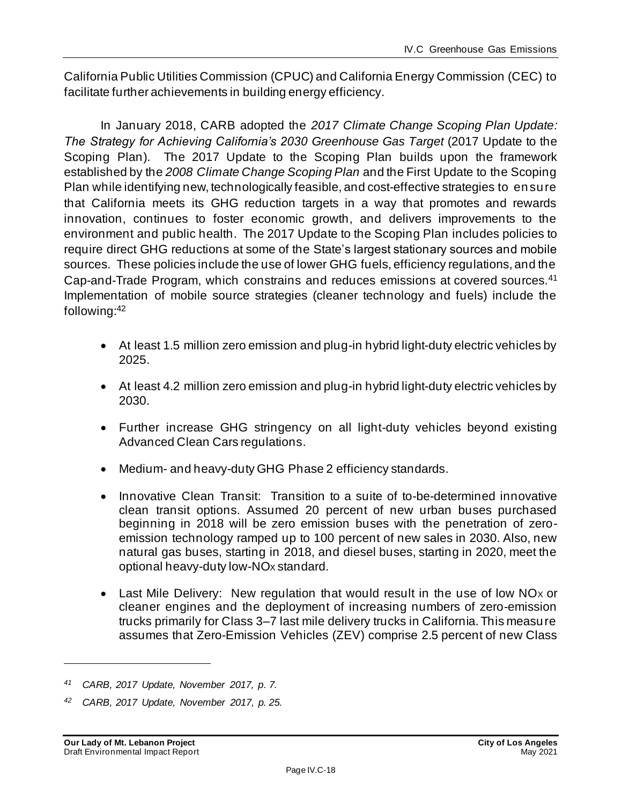California Public Utilities Commission (CPUC) and California Energy Commission (CEC) to facilitate further achievements in building energy efficiency.

In January 2018, CARB adopted the *2017 Climate Change Scoping Plan Update: The Strategy for Achieving California's 2030 Greenhouse Gas Target* (2017 Update to the Scoping Plan). The 2017 Update to the Scoping Plan builds upon the framework established by the *2008 Climate Change Scoping Plan* and the First Update to the Scoping Plan while identifying new, technologically feasible, and cost-effective strategies to ensure that California meets its GHG reduction targets in a way that promotes and rewards innovation, continues to foster economic growth, and delivers improvements to the environment and public health. The 2017 Update to the Scoping Plan includes policies to require direct GHG reductions at some of the State's largest stationary sources and mobile sources. These policies include the use of lower GHG fuels, efficiency regulations, and the Cap-and-Trade Program, which constrains and reduces emissions at covered sources.<sup>41</sup> Implementation of mobile source strategies (cleaner technology and fuels) include the following: 42

- At least 1.5 million zero emission and plug-in hybrid light-duty electric vehicles by 2025.
- At least 4.2 million zero emission and plug-in hybrid light-duty electric vehicles by 2030.
- Further increase GHG stringency on all light-duty vehicles beyond existing Advanced Clean Cars regulations.
- Medium- and heavy-duty GHG Phase 2 efficiency standards.
- Innovative Clean Transit: Transition to a suite of to-be-determined innovative clean transit options. Assumed 20 percent of new urban buses purchased beginning in 2018 will be zero emission buses with the penetration of zeroemission technology ramped up to 100 percent of new sales in 2030. Also, new natural gas buses, starting in 2018, and diesel buses, starting in 2020, meet the optional heavy-duty low-NO<sub>x</sub> standard.
- Last Mile Delivery: New regulation that would result in the use of low NO<sub>x</sub> or cleaner engines and the deployment of increasing numbers of zero-emission trucks primarily for Class 3–7 last mile delivery trucks in California. This measure assumes that Zero-Emission Vehicles (ZEV) comprise 2.5 percent of new Class

*<sup>41</sup> CARB, 2017 Update, November 2017, p. 7.*

*<sup>42</sup> CARB, 2017 Update, November 2017, p. 25.*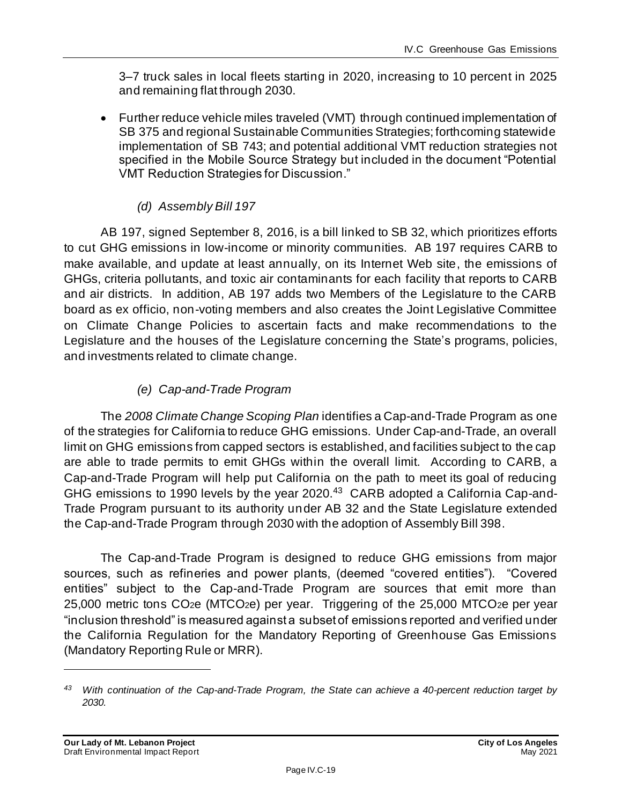3–7 truck sales in local fleets starting in 2020, increasing to 10 percent in 2025 and remaining flat through 2030.

• Further reduce vehicle miles traveled (VMT) through continued implementation of SB 375 and regional Sustainable Communities Strategies; forthcoming statewide implementation of SB 743; and potential additional VMT reduction strategies not specified in the Mobile Source Strategy but included in the document "Potential VMT Reduction Strategies for Discussion."

#### *(d) Assembly Bill 197*

AB 197, signed September 8, 2016, is a bill linked to SB 32, which prioritizes efforts to cut GHG emissions in low-income or minority communities. AB 197 requires CARB to make available, and update at least annually, on its Internet Web site, the emissions of GHGs, criteria pollutants, and toxic air contaminants for each facility that reports to CARB and air districts. In addition, AB 197 adds two Members of the Legislature to the CARB board as ex officio, non-voting members and also creates the Joint Legislative Committee on Climate Change Policies to ascertain facts and make recommendations to the Legislature and the houses of the Legislature concerning the State's programs, policies, and investments related to climate change.

#### *(e) Cap-and-Trade Program*

The *2008 Climate Change Scoping Plan* identifies a Cap-and-Trade Program as one of the strategies for California to reduce GHG emissions. Under Cap-and-Trade, an overall limit on GHG emissions from capped sectors is established, and facilities subject to the cap are able to trade permits to emit GHGs within the overall limit. According to CARB, a Cap-and-Trade Program will help put California on the path to meet its goal of reducing GHG emissions to 1990 levels by the year 2020.<sup>43</sup> CARB adopted a California Cap-and-Trade Program pursuant to its authority under AB 32 and the State Legislature extended the Cap-and-Trade Program through 2030 with the adoption of Assembly Bill 398.

The Cap-and-Trade Program is designed to reduce GHG emissions from major sources, such as refineries and power plants, (deemed "covered entities"). "Covered entities" subject to the Cap-and-Trade Program are sources that emit more than 25,000 metric tons CO2e (MTCO2e) per year. Triggering of the 25,000 MTCO2e per year "inclusion threshold" is measured against a subset of emissions reported and verified under the California Regulation for the Mandatory Reporting of Greenhouse Gas Emissions (Mandatory Reporting Rule or MRR).

*<sup>43</sup> With continuation of the Cap-and-Trade Program, the State can achieve a 40-percent reduction target by 2030.*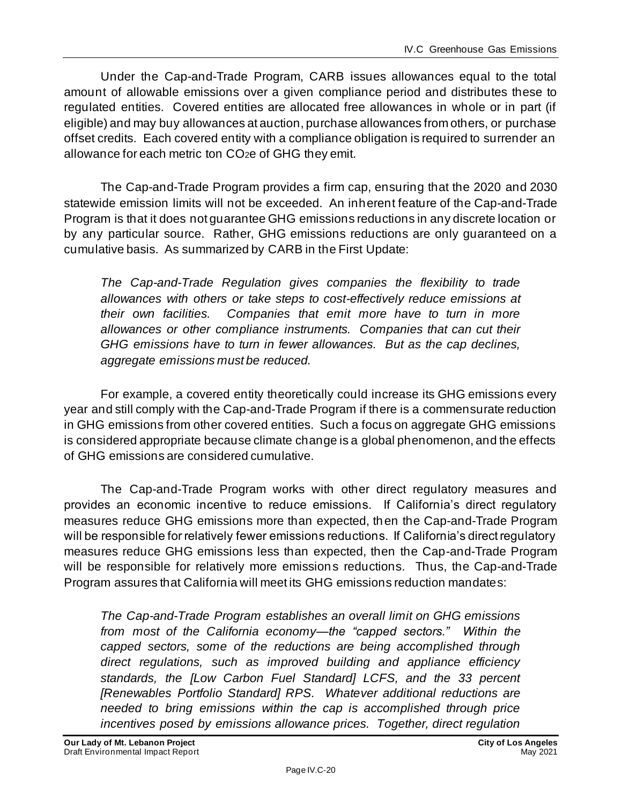Under the Cap-and-Trade Program, CARB issues allowances equal to the total amount of allowable emissions over a given compliance period and distributes these to regulated entities. Covered entities are allocated free allowances in whole or in part (if eligible) and may buy allowances at auction, purchase allowances from others, or purchase offset credits. Each covered entity with a compliance obligation is required to surrender an allowance for each metric ton CO2e of GHG they emit.

The Cap-and-Trade Program provides a firm cap, ensuring that the 2020 and 2030 statewide emission limits will not be exceeded. An inherent feature of the Cap-and-Trade Program is that it does not guarantee GHG emissions reductions in any discrete location or by any particular source. Rather, GHG emissions reductions are only guaranteed on a cumulative basis. As summarized by CARB in the First Update:

*The Cap-and-Trade Regulation gives companies the flexibility to trade allowances with others or take steps to cost-effectively reduce emissions at their own facilities. Companies that emit more have to turn in more allowances or other compliance instruments. Companies that can cut their GHG emissions have to turn in fewer allowances. But as the cap declines, aggregate emissions must be reduced.*

For example, a covered entity theoretically could increase its GHG emissions every year and still comply with the Cap-and-Trade Program if there is a commensurate reduction in GHG emissions from other covered entities. Such a focus on aggregate GHG emissions is considered appropriate because climate change is a global phenomenon, and the effects of GHG emissions are considered cumulative.

The Cap-and-Trade Program works with other direct regulatory measures and provides an economic incentive to reduce emissions. If California's direct regulatory measures reduce GHG emissions more than expected, then the Cap-and-Trade Program will be responsible for relatively fewer emissions reductions. If California's direct regulatory measures reduce GHG emissions less than expected, then the Cap-and-Trade Program will be responsible for relatively more emissions reductions. Thus, the Cap-and-Trade Program assures that California will meet its GHG emissions reduction mandates:

*The Cap-and-Trade Program establishes an overall limit on GHG emissions from most of the California economy—the "capped sectors." Within the capped sectors, some of the reductions are being accomplished through direct regulations, such as improved building and appliance efficiency standards, the [Low Carbon Fuel Standard] LCFS, and the 33 percent [Renewables Portfolio Standard] RPS. Whatever additional reductions are needed to bring emissions within the cap is accomplished through price incentives posed by emissions allowance prices. Together, direct regulation*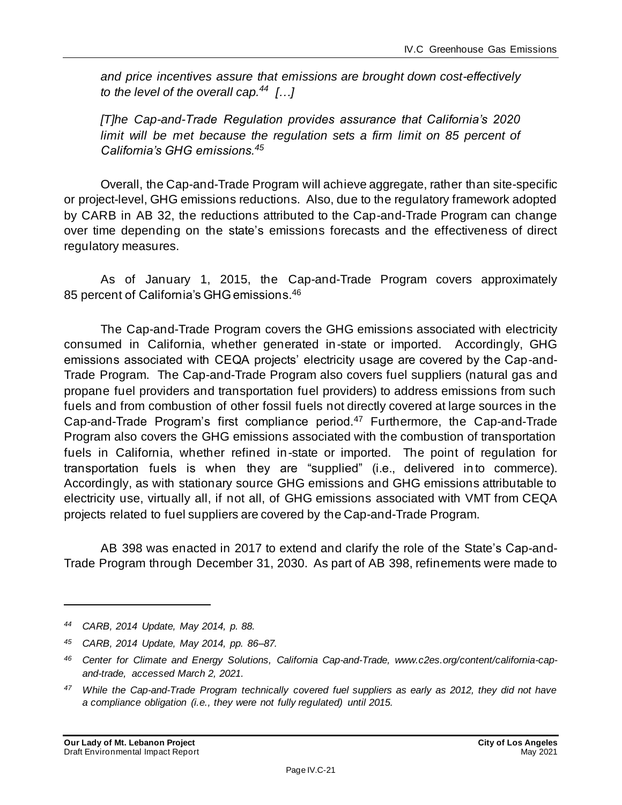*and price incentives assure that emissions are brought down cost-effectively to the level of the overall cap.<sup>44</sup> […]*

*[T]he Cap-and-Trade Regulation provides assurance that California's 2020*  limit will be met because the regulation sets a firm limit on 85 percent of *California's GHG emissions.<sup>45</sup>*

Overall, the Cap-and-Trade Program will achieve aggregate, rather than site-specific or project-level, GHG emissions reductions. Also, due to the regulatory framework adopted by CARB in AB 32, the reductions attributed to the Cap-and-Trade Program can change over time depending on the state's emissions forecasts and the effectiveness of direct regulatory measures.

As of January 1, 2015, the Cap-and-Trade Program covers approximately 85 percent of California's GHG emissions.<sup>46</sup>

The Cap-and-Trade Program covers the GHG emissions associated with electricity consumed in California, whether generated in-state or imported. Accordingly, GHG emissions associated with CEQA projects' electricity usage are covered by the Cap-and-Trade Program. The Cap-and-Trade Program also covers fuel suppliers (natural gas and propane fuel providers and transportation fuel providers) to address emissions from such fuels and from combustion of other fossil fuels not directly covered at large sources in the Cap-and-Trade Program's first compliance period.<sup>47</sup> Furthermore, the Cap-and-Trade Program also covers the GHG emissions associated with the combustion of transportation fuels in California, whether refined in-state or imported. The point of regulation for transportation fuels is when they are "supplied" (i.e., delivered in to commerce). Accordingly, as with stationary source GHG emissions and GHG emissions attributable to electricity use, virtually all, if not all, of GHG emissions associated with VMT from CEQA projects related to fuel suppliers are covered by the Cap-and-Trade Program.

AB 398 was enacted in 2017 to extend and clarify the role of the State's Cap-and-Trade Program through December 31, 2030. As part of AB 398, refinements were made to

*<sup>44</sup> CARB, 2014 Update, May 2014, p. 88.*

*<sup>45</sup> CARB, 2014 Update, May 2014, pp. 86–87.*

*<sup>46</sup> Center for Climate and Energy Solutions, California Cap-and-Trade, www.c2es.org/content/california-capand-trade, accessed March 2, 2021.*

*<sup>47</sup> While the Cap-and-Trade Program technically covered fuel suppliers as early as 2012, they did not have a compliance obligation (i.e., they were not fully regulated) until 2015.*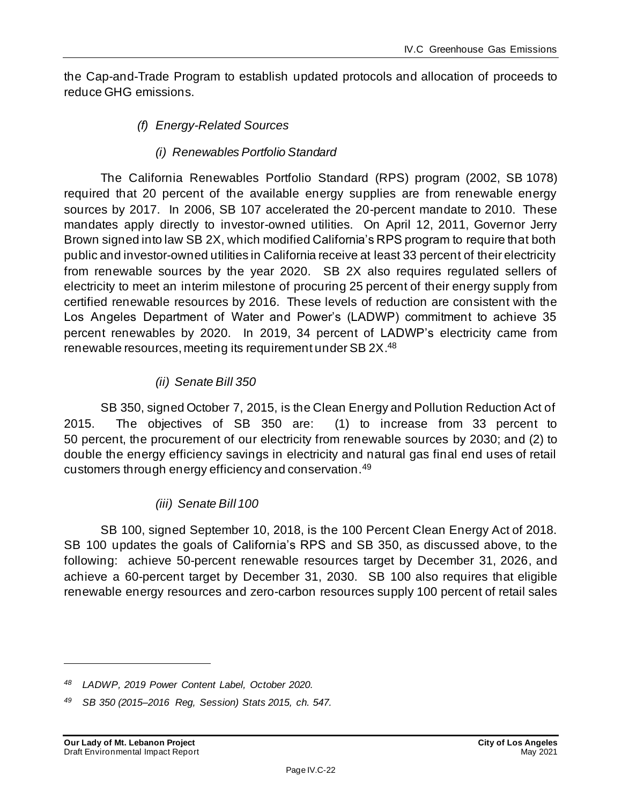the Cap-and-Trade Program to establish updated protocols and allocation of proceeds to reduce GHG emissions.

- <span id="page-21-0"></span>*(f) Energy-Related Sources*
	- *(i) Renewables Portfolio Standard*

The California Renewables Portfolio Standard (RPS) program (2002, SB 1078) required that 20 percent of the available energy supplies are from renewable energy sources by 2017. In 2006, SB 107 accelerated the 20-percent mandate to 2010. These mandates apply directly to investor-owned utilities. On April 12, 2011, Governor Jerry Brown signed into law SB 2X, which modified California's RPS program to require that both public and investor-owned utilities in California receive at least 33 percent of their electricity from renewable sources by the year 2020. SB 2X also requires regulated sellers of electricity to meet an interim milestone of procuring 25 percent of their energy supply from certified renewable resources by 2016. These levels of reduction are consistent with the Los Angeles Department of Water and Power's (LADWP) commitment to achieve 35 percent renewables by 2020. In 2019, 34 percent of LADWP's electricity came from renewable resources, meeting its requirement under SB 2X.48

#### *(ii) Senate Bill 350*

SB 350, signed October 7, 2015, is the Clean Energy and Pollution Reduction Act of 2015. The objectives of SB 350 are: (1) to increase from 33 percent to 50 percent, the procurement of our electricity from renewable sources by 2030; and (2) to double the energy efficiency savings in electricity and natural gas final end uses of retail customers through energy efficiency and conservation.<sup>49</sup>

#### *(iii) Senate Bill 100*

SB 100, signed September 10, 2018, is the 100 Percent Clean Energy Act of 2018. SB 100 updates the goals of California's RPS and SB 350, as discussed above, to the following: achieve 50-percent renewable resources target by December 31, 2026, and achieve a 60-percent target by December 31, 2030. SB 100 also requires that eligible renewable energy resources and zero-carbon resources supply 100 percent of retail sales

*<sup>48</sup> LADWP, 2019 Power Content Label, October 2020.*

*<sup>49</sup> SB 350 (2015–2016 Reg, Session) Stats 2015, ch. 547.*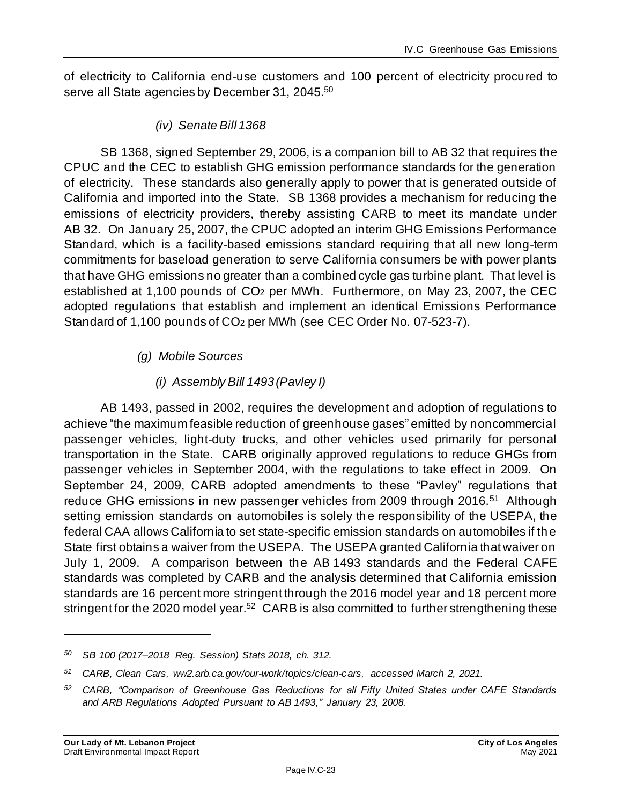of electricity to California end-use customers and 100 percent of electricity procured to serve all State agencies by December 31, 2045.<sup>50</sup>

*(iv) Senate Bill 1368*

SB 1368, signed September 29, 2006, is a companion bill to AB 32 that requires the CPUC and the CEC to establish GHG emission performance standards for the generation of electricity. These standards also generally apply to power that is generated outside of California and imported into the State. SB 1368 provides a mechanism for reducing the emissions of electricity providers, thereby assisting CARB to meet its mandate under AB 32. On January 25, 2007, the CPUC adopted an interim GHG Emissions Performance Standard, which is a facility-based emissions standard requiring that all new long-term commitments for baseload generation to serve California consumers be with power plants that have GHG emissions no greater than a combined cycle gas turbine plant. That level is established at 1,100 pounds of CO<sup>2</sup> per MWh. Furthermore, on May 23, 2007, the CEC adopted regulations that establish and implement an identical Emissions Performance Standard of 1,100 pounds of CO<sup>2</sup> per MWh (see CEC Order No. 07-523-7).

#### *(g) Mobile Sources*

#### *(i) Assembly Bill 1493 (Pavley I)*

AB 1493, passed in 2002, requires the development and adoption of regulations to achieve "the maximum feasible reduction of greenhouse gases" emitted by noncommercial passenger vehicles, light-duty trucks, and other vehicles used primarily for personal transportation in the State. CARB originally approved regulations to reduce GHGs from passenger vehicles in September 2004, with the regulations to take effect in 2009. On September 24, 2009, CARB adopted amendments to these "Pavley" regulations that reduce GHG emissions in new passenger vehicles from 2009 through 2016.<sup>51</sup> Although setting emission standards on automobiles is solely the responsibility of the USEPA, the federal CAA allows California to set state-specific emission standards on automobiles if the State first obtains a waiver from the USEPA. The USEPA granted California that waiver on July 1, 2009. A comparison between the AB 1493 standards and the Federal CAFE standards was completed by CARB and the analysis determined that California emission standards are 16 percent more stringent through the 2016 model year and 18 percent more stringent for the 2020 model year.<sup>52</sup> CARB is also committed to further strengthening these

*<sup>50</sup> SB 100 (2017–2018 Reg. Session) Stats 2018, ch. 312.*

*<sup>51</sup> CARB, Clean Cars, ww2.arb.ca.gov/our-work/topics/clean-cars, accessed March 2, 2021.*

*<sup>52</sup> CARB, "Comparison of Greenhouse Gas Reductions for all Fifty United States under CAFE Standards and ARB Regulations Adopted Pursuant to AB 1493," January 23, 2008.*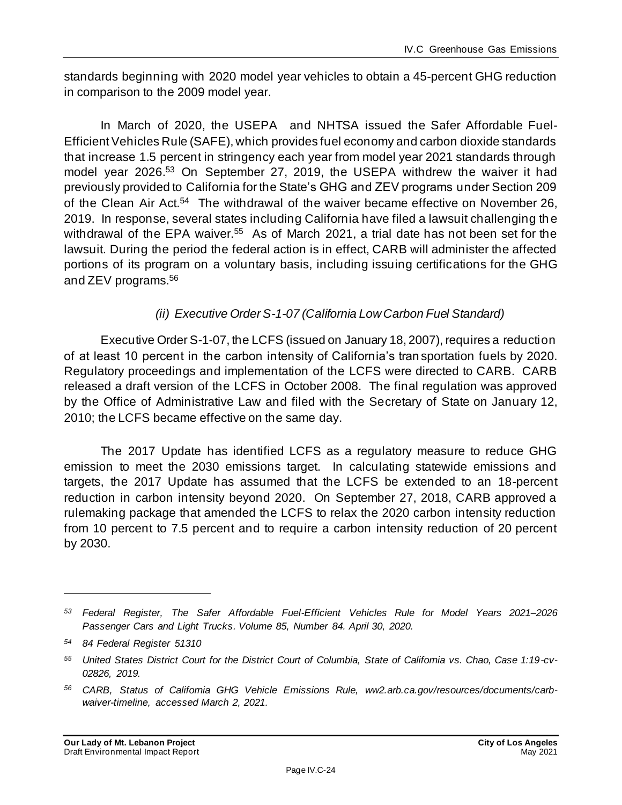standards beginning with 2020 model year vehicles to obtain a 45-percent GHG reduction in comparison to the 2009 model year.

In March of 2020, the USEPA and NHTSA issued the Safer Affordable Fuel-Efficient Vehicles Rule (SAFE), which provides fuel economy and carbon dioxide standards that increase 1.5 percent in stringency each year from model year 2021 standards through model year 2026. <sup>53</sup> On September 27, 2019, the USEPA withdrew the waiver it had previously provided to California for the State's GHG and ZEV programs under Section 209 of the Clean Air Act.<sup>54</sup> The withdrawal of the waiver became effective on November 26, 2019. In response, several states including California have filed a lawsuit challenging th e withdrawal of the EPA waiver.<sup>55</sup> As of March 2021, a trial date has not been set for the lawsuit. During the period the federal action is in effect, CARB will administer the affected portions of its program on a voluntary basis, including issuing certifications for the GHG and ZEV programs.<sup>56</sup>

#### *(ii) Executive Order S-1-07 (California Low Carbon Fuel Standard)*

Executive Order S-1-07, the LCFS (issued on January 18, 2007), requires a reduction of at least 10 percent in the carbon intensity of California's tran sportation fuels by 2020. Regulatory proceedings and implementation of the LCFS were directed to CARB. CARB released a draft version of the LCFS in October 2008. The final regulation was approved by the Office of Administrative Law and filed with the Secretary of State on January 12, 2010; the LCFS became effective on the same day.

The 2017 Update has identified LCFS as a regulatory measure to reduce GHG emission to meet the 2030 emissions target. In calculating statewide emissions and targets, the 2017 Update has assumed that the LCFS be extended to an 18-percent reduction in carbon intensity beyond 2020. On September 27, 2018, CARB approved a rulemaking package that amended the LCFS to relax the 2020 carbon intensity reduction from 10 percent to 7.5 percent and to require a carbon intensity reduction of 20 percent by 2030.

*<sup>53</sup> Federal Register, The Safer Affordable Fuel-Efficient Vehicles Rule for Model Years 2021–2026 Passenger Cars and Light Trucks. Volume 85, Number 84. April 30, 2020.*

*<sup>54</sup> 84 Federal Register 51310*

*<sup>55</sup> United States District Court for the District Court of Columbia, State of California vs. Chao, Case 1:19-cv-02826, 2019.*

*<sup>56</sup> CARB, Status of California GHG Vehicle Emissions Rule, ww2.arb.ca.gov/resources/documents/carbwaiver-timeline, accessed March 2, 2021.*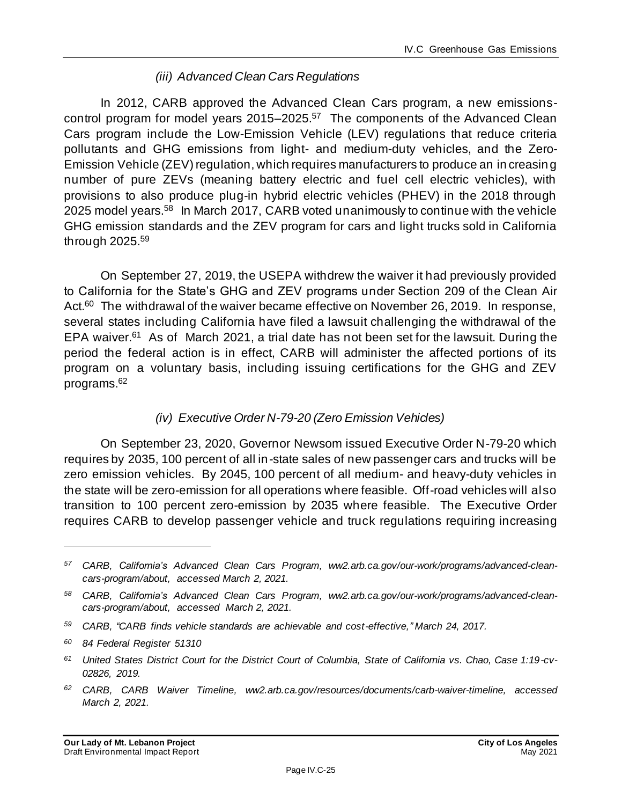#### *(iii) Advanced Clean Cars Regulations*

In 2012, CARB approved the Advanced Clean Cars program, a new emissionscontrol program for model years 2015–2025.<sup>57</sup> The components of the Advanced Clean Cars program include the Low-Emission Vehicle (LEV) regulations that reduce criteria pollutants and GHG emissions from light- and medium-duty vehicles, and the Zero-Emission Vehicle (ZEV) regulation, which requires manufacturers to produce an in creasing number of pure ZEVs (meaning battery electric and fuel cell electric vehicles), with provisions to also produce plug-in hybrid electric vehicles (PHEV) in the 2018 through 2025 model years.<sup>58</sup> In March 2017, CARB voted unanimously to continue with the vehicle GHG emission standards and the ZEV program for cars and light trucks sold in California through 2025.<sup>59</sup>

On September 27, 2019, the USEPA withdrew the waiver it had previously provided to California for the State's GHG and ZEV programs under Section 209 of the Clean Air Act.<sup>60</sup> The withdrawal of the waiver became effective on November 26, 2019. In response, several states including California have filed a lawsuit challenging the withdrawal of the EPA waiver.<sup>61</sup> As of March 2021, a trial date has not been set for the lawsuit. During the period the federal action is in effect, CARB will administer the affected portions of its program on a voluntary basis, including issuing certifications for the GHG and ZEV programs.<sup>62</sup>

#### *(iv) Executive Order N-79-20 (Zero Emission Vehicles)*

On September 23, 2020, Governor Newsom issued Executive Order N-79-20 which requires by 2035, 100 percent of all in-state sales of new passenger cars and trucks will be zero emission vehicles. By 2045, 100 percent of all medium- and heavy-duty vehicles in the state will be zero-emission for all operations where feasible. Off-road vehicles will also transition to 100 percent zero-emission by 2035 where feasible. The Executive Order requires CARB to develop passenger vehicle and truck regulations requiring increasing

- *<sup>59</sup> CARB, "CARB finds vehicle standards are achievable and cost-effective," March 24, 2017.*
- *<sup>60</sup> 84 Federal Register 51310*
- *<sup>61</sup> United States District Court for the District Court of Columbia, State of California vs. Chao, Case 1:19-cv-02826, 2019.*
- *<sup>62</sup> CARB, CARB Waiver Timeline, ww2.arb.ca.gov/resources/documents/carb-waiver-timeline, accessed March 2, 2021.*

*<sup>57</sup> CARB, California's Advanced Clean Cars Program, ww2.arb.ca.gov/our-work/programs/advanced-cleancars-program/about, accessed March 2, 2021.*

*<sup>58</sup> CARB, California's Advanced Clean Cars Program, ww2.arb.ca.gov/our-work/programs/advanced-cleancars-program/about, accessed March 2, 2021.*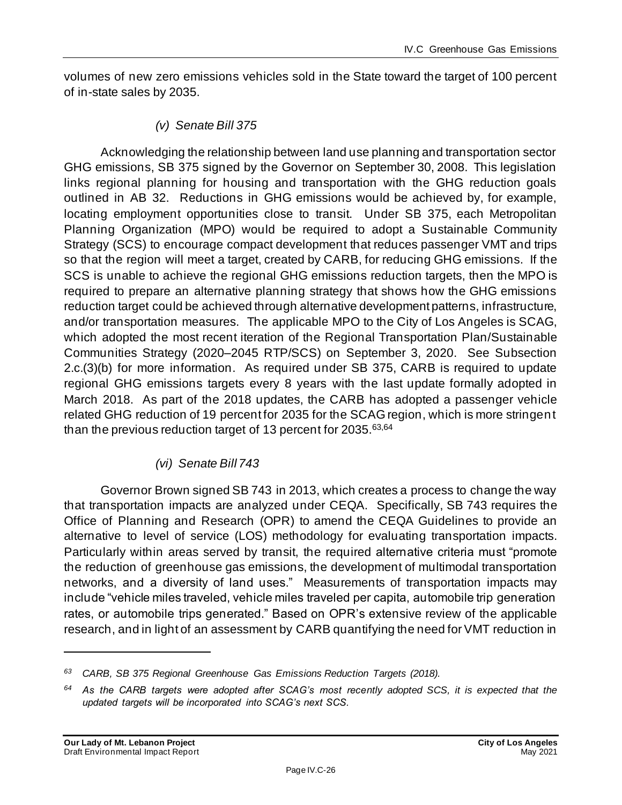volumes of new zero emissions vehicles sold in the State toward the target of 100 percent of in-state sales by 2035.

*(v) Senate Bill 375*

Acknowledging the relationship between land use planning and transportation sector GHG emissions, SB 375 signed by the Governor on September 30, 2008. This legislation links regional planning for housing and transportation with the GHG reduction goals outlined in AB 32. Reductions in GHG emissions would be achieved by, for example, locating employment opportunities close to transit. Under SB 375, each Metropolitan Planning Organization (MPO) would be required to adopt a Sustainable Community Strategy (SCS) to encourage compact development that reduces passenger VMT and trips so that the region will meet a target, created by CARB, for reducing GHG emissions. If the SCS is unable to achieve the regional GHG emissions reduction targets, then the MPO is required to prepare an alternative planning strategy that shows how the GHG emissions reduction target could be achieved through alternative development patterns, infrastructure, and/or transportation measures. The applicable MPO to the City of Los Angeles is SCAG, which adopted the most recent iteration of the Regional Transportation Plan/Sustainable Communities Strategy (2020–2045 RTP/SCS) on September 3, 2020. See Subsection 2.c.(3)(b) for more information. As required under SB 375, CARB is required to update regional GHG emissions targets every 8 years with the last update formally adopted in March 2018. As part of the 2018 updates, the CARB has adopted a passenger vehicle related GHG reduction of 19 percent for 2035 for the SCAG region, which is more stringent than the previous reduction target of 13 percent for 2035.<sup>63,64</sup>

#### *(vi) Senate Bill 743*

Governor Brown signed SB 743 in 2013, which creates a process to change the way that transportation impacts are analyzed under CEQA. Specifically, SB 743 requires the Office of Planning and Research (OPR) to amend the CEQA Guidelines to provide an alternative to level of service (LOS) methodology for evaluating transportation impacts. Particularly within areas served by transit, the required alternative criteria must "promote the reduction of greenhouse gas emissions, the development of multimodal transportation networks, and a diversity of land uses." Measurements of transportation impacts may include "vehicle miles traveled, vehicle miles traveled per capita, automobile trip generation rates, or automobile trips generated." Based on OPR's extensive review of the applicable research, and in light of an assessment by CARB quantifying the need for VMT reduction in

*<sup>63</sup> CARB, SB 375 Regional Greenhouse Gas Emissions Reduction Targets (2018).*

*<sup>64</sup> As the CARB targets were adopted after SCAG's most recently adopted SCS, it is expected that the updated targets will be incorporated into SCAG's next SCS.*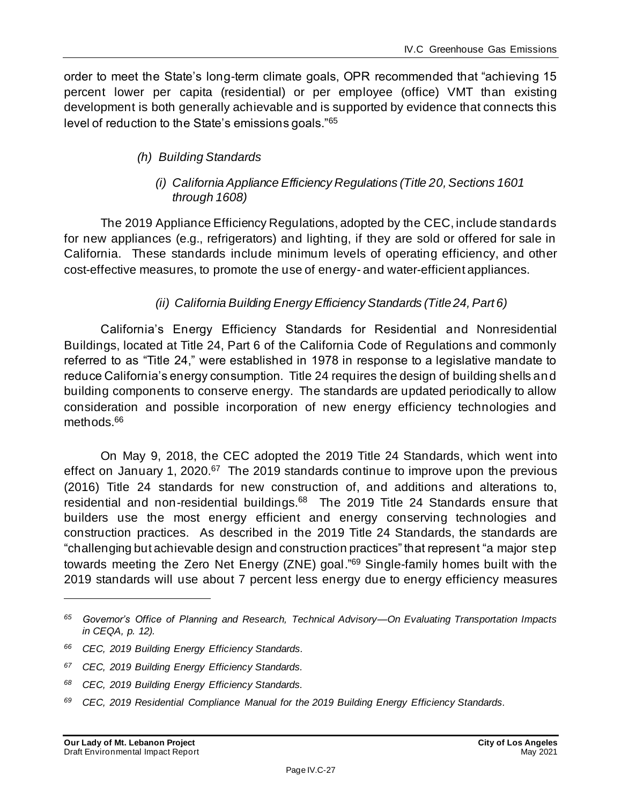order to meet the State's long-term climate goals, OPR recommended that "achieving 15 percent lower per capita (residential) or per employee (office) VMT than existing development is both generally achievable and is supported by evidence that connects this level of reduction to the State's emissions goals."<sup>65</sup>

#### *(h) Building Standards*

#### *(i) California Appliance Efficiency Regulations (Title 20, Sections 1601 through 1608)*

The 2019 Appliance Efficiency Regulations, adopted by the CEC, include standards for new appliances (e.g., refrigerators) and lighting, if they are sold or offered for sale in California. These standards include minimum levels of operating efficiency, and other cost-effective measures, to promote the use of energy- and water-efficient appliances.

#### *(ii) California Building Energy Efficiency Standards (Title 24, Part 6)*

California's Energy Efficiency Standards for Residential and Nonresidential Buildings, located at Title 24, Part 6 of the California Code of Regulations and commonly referred to as "Title 24," were established in 1978 in response to a legislative mandate to reduce California's energy consumption. Title 24 requires the design of building shells and building components to conserve energy. The standards are updated periodically to allow consideration and possible incorporation of new energy efficiency technologies and methods.<sup>66</sup>

On May 9, 2018, the CEC adopted the 2019 Title 24 Standards, which went into effect on January 1, 2020.<sup>67</sup> The 2019 standards continue to improve upon the previous (2016) Title 24 standards for new construction of, and additions and alterations to, residential and non-residential buildings.<sup>68</sup> The 2019 Title 24 Standards ensure that builders use the most energy efficient and energy conserving technologies and construction practices. As described in the 2019 Title 24 Standards, the standards are "challenging but achievable design and construction practices" that represent "a major step towards meeting the Zero Net Energy (ZNE) goal."<sup>69</sup> Single-family homes built with the 2019 standards will use about 7 percent less energy due to energy efficiency measures

*<sup>65</sup> Governor's Office of Planning and Research, Technical Advisory—On Evaluating Transportation Impacts in CEQA, p. 12).*

*<sup>66</sup> CEC, 2019 Building Energy Efficiency Standards.*

*<sup>67</sup> CEC, 2019 Building Energy Efficiency Standards.*

*<sup>68</sup> CEC, 2019 Building Energy Efficiency Standards.*

*<sup>69</sup> CEC, 2019 Residential Compliance Manual for the 2019 Building Energy Efficiency Standards.*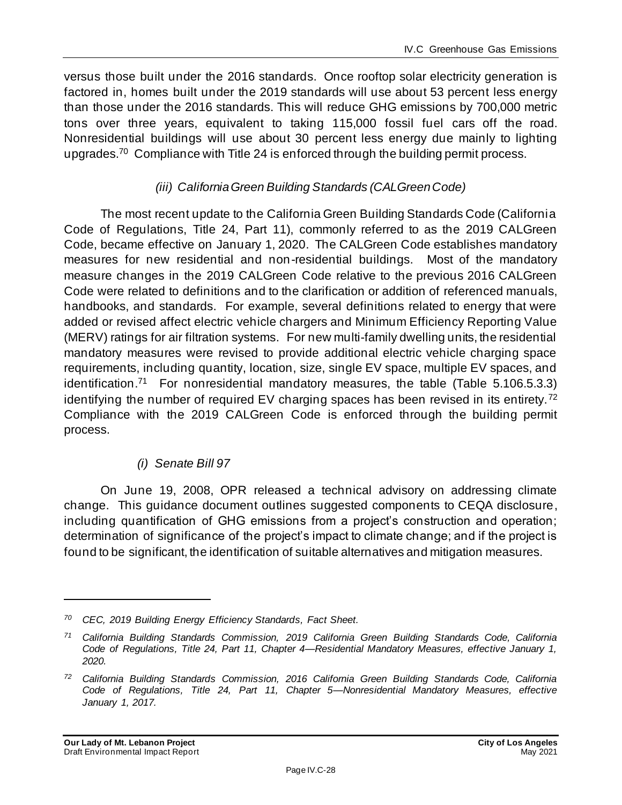versus those built under the 2016 standards. Once rooftop solar electricity generation is factored in, homes built under the 2019 standards will use about 53 percent less energy than those under the 2016 standards. This will reduce GHG emissions by 700,000 metric tons over three years, equivalent to taking 115,000 fossil fuel cars off the road. Nonresidential buildings will use about 30 percent less energy due mainly to lighting upgrades.<sup>70</sup> Compliance with Title 24 is enforced through the building permit process.

#### *(iii) California Green Building Standards (CALGreen Code)*

The most recent update to the California Green Building Standards Code (California Code of Regulations, Title 24, Part 11), commonly referred to as the 2019 CALGreen Code, became effective on January 1, 2020. The CALGreen Code establishes mandatory measures for new residential and non-residential buildings. Most of the mandatory measure changes in the 2019 CALGreen Code relative to the previous 2016 CALGreen Code were related to definitions and to the clarification or addition of referenced manuals, handbooks, and standards. For example, several definitions related to energy that were added or revised affect electric vehicle chargers and Minimum Efficiency Reporting Value (MERV) ratings for air filtration systems. For new multi-family dwelling units, the residential mandatory measures were revised to provide additional electric vehicle charging space requirements, including quantity, location, size, single EV space, multiple EV spaces, and identification.<sup>71</sup> For nonresidential mandatory measures, the table (Table 5.106.5.3.3) identifying the number of required EV charging spaces has been revised in its entirety.<sup>72</sup> Compliance with the 2019 CALGreen Code is enforced through the building permit process.

#### *(i) Senate Bill 97*

On June 19, 2008, OPR released a technical advisory on addressing climate change. This guidance document outlines suggested components to CEQA disclosure, including quantification of GHG emissions from a project's construction and operation; determination of significance of the project's impact to climate change; and if the project is found to be significant, the identification of suitable alternatives and mitigation measures.

*<sup>70</sup> CEC, 2019 Building Energy Efficiency Standards, Fact Sheet.*

*<sup>71</sup> California Building Standards Commission, 2019 California Green Building Standards Code, California Code of Regulations, Title 24, Part 11, Chapter 4—Residential Mandatory Measures, effective January 1, 2020.*

*<sup>72</sup> California Building Standards Commission, 2016 California Green Building Standards Code, California Code of Regulations, Title 24, Part 11, Chapter 5—Nonresidential Mandatory Measures, effective January 1, 2017.*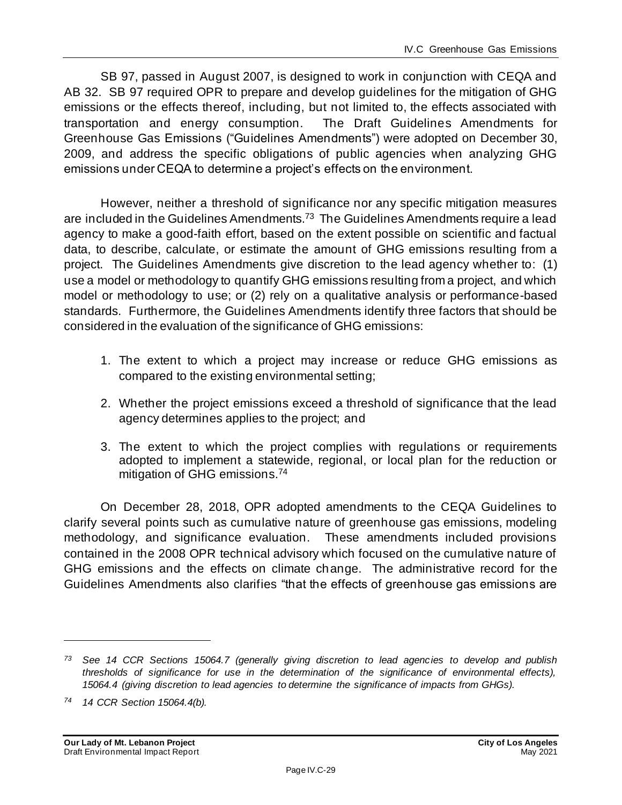SB 97, passed in August 2007, is designed to work in conjunction with CEQA and AB 32. SB 97 required OPR to prepare and develop guidelines for the mitigation of GHG emissions or the effects thereof, including, but not limited to, the effects associated with transportation and energy consumption. The Draft Guidelines Amendments for Greenhouse Gas Emissions ("Guidelines Amendments") were adopted on December 30, 2009, and address the specific obligations of public agencies when analyzing GHG emissions under CEQA to determine a project's effects on the environment.

However, neither a threshold of significance nor any specific mitigation measures are included in the Guidelines Amendments.<sup>73</sup> The Guidelines Amendments require a lead agency to make a good-faith effort, based on the extent possible on scientific and factual data, to describe, calculate, or estimate the amount of GHG emissions resulting from a project. The Guidelines Amendments give discretion to the lead agency whether to: (1) use a model or methodology to quantify GHG emissions resulting from a project, and which model or methodology to use; or (2) rely on a qualitative analysis or performance-based standards. Furthermore, the Guidelines Amendments identify three factors that should be considered in the evaluation of the significance of GHG emissions:

- 1. The extent to which a project may increase or reduce GHG emissions as compared to the existing environmental setting;
- 2. Whether the project emissions exceed a threshold of significance that the lead agency determines applies to the project; and
- 3. The extent to which the project complies with regulations or requirements adopted to implement a statewide, regional, or local plan for the reduction or mitigation of GHG emissions.<sup>74</sup>

On December 28, 2018, OPR adopted amendments to the CEQA Guidelines to clarify several points such as cumulative nature of greenhouse gas emissions, modeling methodology, and significance evaluation. These amendments included provisions contained in the 2008 OPR technical advisory which focused on the cumulative nature of GHG emissions and the effects on climate change. The administrative record for the Guidelines Amendments also clarifies "that the effects of greenhouse gas emissions are

*<sup>73</sup> See 14 CCR Sections 15064.7 (generally giving discretion to lead agencies to develop and publish thresholds of significance for use in the determination of the significance of environmental effects), 15064.4 (giving discretion to lead agencies to determine the significance of impacts from GHGs).*

*<sup>74</sup> 14 CCR Section 15064.4(b).*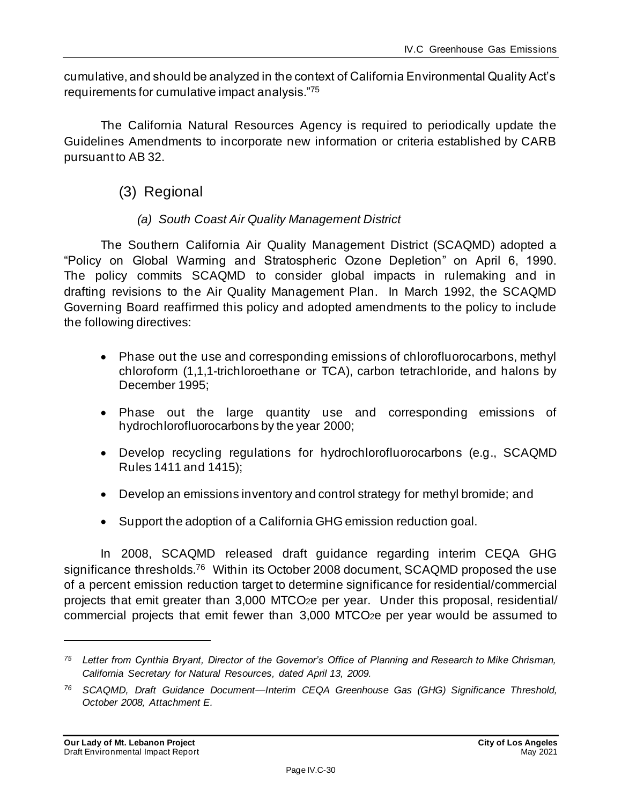cumulative, and should be analyzed in the context of California Environmental Quality Act's requirements for cumulative impact analysis."<sup>75</sup>

The California Natural Resources Agency is required to periodically update the Guidelines Amendments to incorporate new information or criteria established by CARB pursuant to AB 32.

#### (3) Regional

#### *(a) South Coast Air Quality Management District*

The Southern California Air Quality Management District (SCAQMD) adopted a "Policy on Global Warming and Stratospheric Ozone Depletion" on April 6, 1990. The policy commits SCAQMD to consider global impacts in rulemaking and in drafting revisions to the Air Quality Management Plan. In March 1992, the SCAQMD Governing Board reaffirmed this policy and adopted amendments to the policy to include the following directives:

- Phase out the use and corresponding emissions of chlorofluorocarbons, methyl chloroform (1,1,1-trichloroethane or TCA), carbon tetrachloride, and halons by December 1995;
- Phase out the large quantity use and corresponding emissions of hydrochlorofluorocarbons by the year 2000;
- Develop recycling regulations for hydrochlorofluorocarbons (e.g., SCAQMD Rules 1411 and 1415);
- Develop an emissions inventory and control strategy for methyl bromide; and
- Support the adoption of a California GHG emission reduction goal.

In 2008, SCAQMD released draft guidance regarding interim CEQA GHG significance thresholds.<sup>76</sup> Within its October 2008 document, SCAQMD proposed the use of a percent emission reduction target to determine significance for residential/commercial projects that emit greater than 3,000 MTCO2e per year. Under this proposal, residential/ commercial projects that emit fewer than 3,000 MTCO2e per year would be assumed to

*<sup>75</sup> Letter from Cynthia Bryant, Director of the Governor's Office of Planning and Research to Mike Chrisman, California Secretary for Natural Resources, dated April 13, 2009.*

*<sup>76</sup> SCAQMD, Draft Guidance Document—Interim CEQA Greenhouse Gas (GHG) Significance Threshold, October 2008, Attachment E.*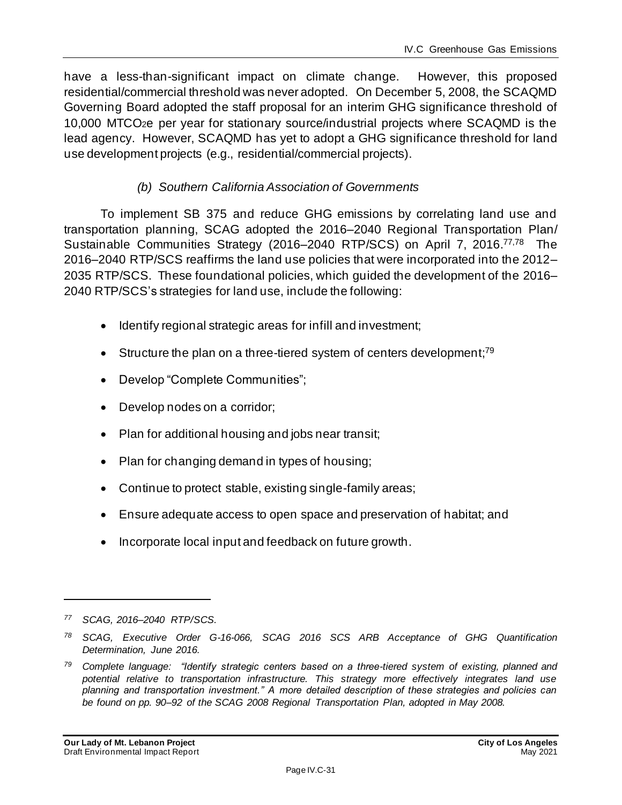have a less-than-significant impact on climate change. However, this proposed residential/commercial threshold was never adopted. On December 5, 2008, the SCAQMD Governing Board adopted the staff proposal for an interim GHG significance threshold of 10,000 MTCO2e per year for stationary source/industrial projects where SCAQMD is the lead agency. However, SCAQMD has yet to adopt a GHG significance threshold for land use development projects (e.g., residential/commercial projects).

#### *(b) Southern California Association of Governments*

To implement SB 375 and reduce GHG emissions by correlating land use and transportation planning, SCAG adopted the 2016–2040 Regional Transportation Plan/ Sustainable Communities Strategy (2016–2040 RTP/SCS) on April 7, 2016.<sup>77,78</sup> The 2016–2040 RTP/SCS reaffirms the land use policies that were incorporated into the 2012– 2035 RTP/SCS. These foundational policies, which guided the development of the 2016– 2040 RTP/SCS's strategies for land use, include the following:

- Identify regional strategic areas for infill and investment;
- Structure the plan on a three-tiered system of centers development;<sup>79</sup>
- Develop "Complete Communities";
- Develop nodes on a corridor;
- Plan for additional housing and jobs near transit;
- Plan for changing demand in types of housing;
- Continue to protect stable, existing single-family areas;
- Ensure adequate access to open space and preservation of habitat; and
- Incorporate local input and feedback on future growth.

*<sup>77</sup> SCAG, 2016–2040 RTP/SCS.*

*<sup>78</sup> SCAG, Executive Order G-16-066, SCAG 2016 SCS ARB Acceptance of GHG Quantification Determination, June 2016.*

*<sup>79</sup> Complete language: "Identify strategic centers based on a three-tiered system of existing, planned and potential relative to transportation infrastructure. This strategy more effectively integrates land use planning and transportation investment." A more detailed description of these strategies and policies can be found on pp. 90–92 of the SCAG 2008 Regional Transportation Plan, adopted in May 2008.*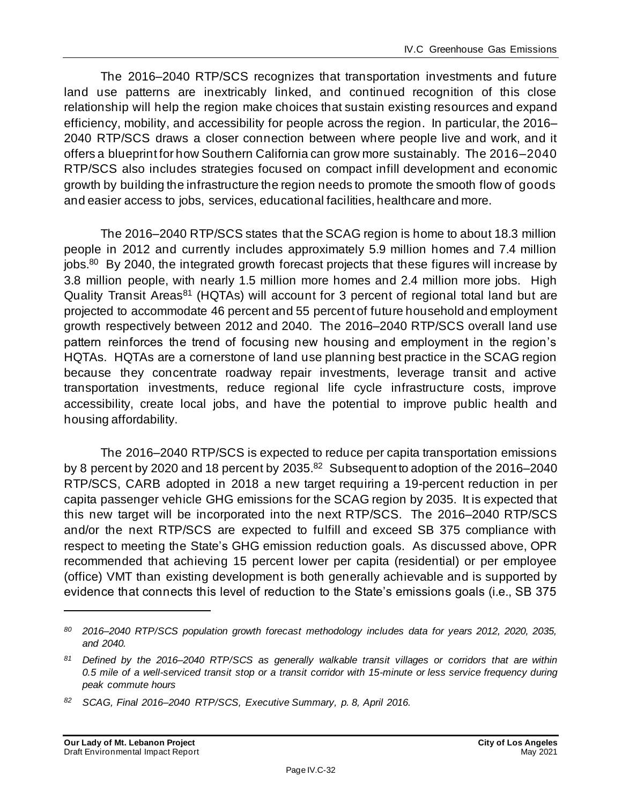The 2016–2040 RTP/SCS recognizes that transportation investments and future land use patterns are inextricably linked, and continued recognition of this close relationship will help the region make choices that sustain existing resources and expand efficiency, mobility, and accessibility for people across the region. In particular, the 2016– 2040 RTP/SCS draws a closer connection between where people live and work, and it offers a blueprint for how Southern California can grow more sustainably. The 2016–2040 RTP/SCS also includes strategies focused on compact infill development and economic growth by building the infrastructure the region needs to promote the smooth flow of goods and easier access to jobs, services, educational facilities, healthcare and more.

The 2016–2040 RTP/SCS states that the SCAG region is home to about 18.3 million people in 2012 and currently includes approximately 5.9 million homes and 7.4 million jobs.<sup>80</sup> By 2040, the integrated growth forecast projects that these figures will increase by 3.8 million people, with nearly 1.5 million more homes and 2.4 million more jobs. High Quality Transit Areas<sup>81</sup> (HQTAs) will account for 3 percent of regional total land but are projected to accommodate 46 percent and 55 percent of future household and employment growth respectively between 2012 and 2040. The 2016–2040 RTP/SCS overall land use pattern reinforces the trend of focusing new housing and employment in the region's HQTAs. HQTAs are a cornerstone of land use planning best practice in the SCAG region because they concentrate roadway repair investments, leverage transit and active transportation investments, reduce regional life cycle infrastructure costs, improve accessibility, create local jobs, and have the potential to improve public health and housing affordability.

The 2016–2040 RTP/SCS is expected to reduce per capita transportation emissions by 8 percent by 2020 and 18 percent by 2035.<sup>82</sup> Subsequent to adoption of the 2016–2040 RTP/SCS, CARB adopted in 2018 a new target requiring a 19-percent reduction in per capita passenger vehicle GHG emissions for the SCAG region by 2035. It is expected that this new target will be incorporated into the next RTP/SCS. The 2016–2040 RTP/SCS and/or the next RTP/SCS are expected to fulfill and exceed SB 375 compliance with respect to meeting the State's GHG emission reduction goals. As discussed above, OPR recommended that achieving 15 percent lower per capita (residential) or per employee (office) VMT than existing development is both generally achievable and is supported by evidence that connects this level of reduction to the State's emissions goals (i.e., SB 375

*<sup>80</sup> 2016–2040 RTP/SCS population growth forecast methodology includes data for years 2012, 2020, 2035, and 2040.*

*<sup>81</sup> Defined by the 2016–2040 RTP/SCS as generally walkable transit villages or corridors that are within 0.5 mile of a well-serviced transit stop or a transit corridor with 15-minute or less service frequency during peak commute hours*

*<sup>82</sup> SCAG, Final 2016–2040 RTP/SCS, Executive Summary, p. 8, April 2016.*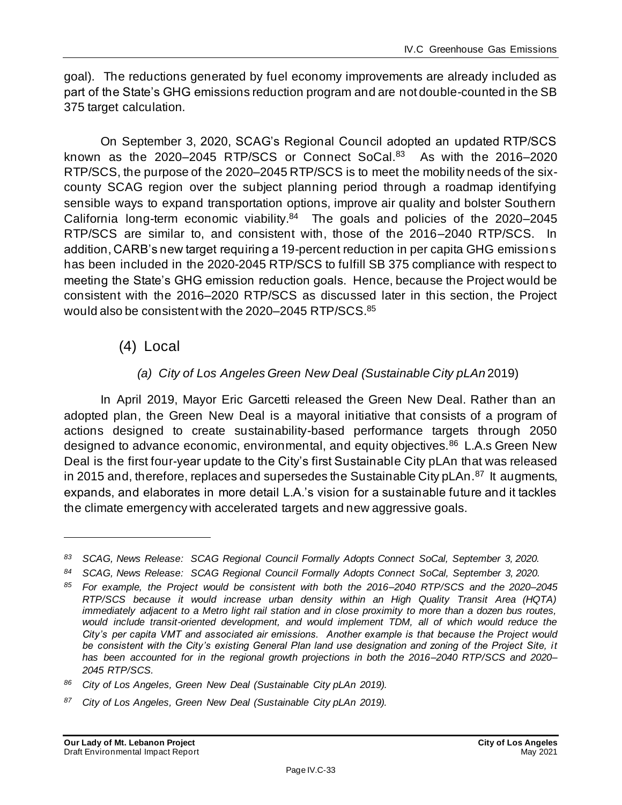goal). The reductions generated by fuel economy improvements are already included as part of the State's GHG emissions reduction program and are not double-counted in the SB 375 target calculation.

On September 3, 2020, SCAG's Regional Council adopted an updated RTP/SCS known as the 2020–2045 RTP/SCS or Connect SoCal.<sup>83</sup> As with the 2016–2020 RTP/SCS, the purpose of the 2020–2045 RTP/SCS is to meet the mobility needs of the sixcounty SCAG region over the subject planning period through a roadmap identifying sensible ways to expand transportation options, improve air quality and bolster Southern California long-term economic viability. $84$  The goals and policies of the 2020–2045 RTP/SCS are similar to, and consistent with, those of the 2016–2040 RTP/SCS. In addition, CARB's new target requiring a 19-percent reduction in per capita GHG emissions has been included in the 2020-2045 RTP/SCS to fulfill SB 375 compliance with respect to meeting the State's GHG emission reduction goals. Hence, because the Project would be consistent with the 2016–2020 RTP/SCS as discussed later in this section, the Project would also be consistent with the 2020–2045 RTP/SCS.<sup>85</sup>

(4) Local

#### *(a) City of Los Angeles Green New Deal (Sustainable City pLAn* 2019)

In April 2019, Mayor Eric Garcetti released the Green New Deal. Rather than an adopted plan, the Green New Deal is a mayoral initiative that consists of a program of actions designed to create sustainability-based performance targets through 2050 designed to advance economic, environmental, and equity objectives.<sup>86</sup> L.A.s Green New Deal is the first four-year update to the City's first Sustainable City pLAn that was released in 2015 and, therefore, replaces and supersedes the Sustainable City pLAn.<sup>87</sup> It augments, expands, and elaborates in more detail L.A.'s vision for a sustainable future and it tackles the climate emergency with accelerated targets and new aggressive goals.

*<sup>83</sup> SCAG, News Release: SCAG Regional Council Formally Adopts Connect SoCal, September 3, 2020.*

*<sup>84</sup> SCAG, News Release: SCAG Regional Council Formally Adopts Connect SoCal, September 3, 2020.*

*<sup>85</sup> For example, the Project would be consistent with both the 2016–2040 RTP/SCS and the 2020–2045 RTP/SCS because it would increase urban density within an High Quality Transit Area (HQTA) immediately adjacent to a Metro light rail station and in close proximity to more than a dozen bus routes,*  would include transit-oriented development, and would implement TDM, all of which would reduce the *City's per capita VMT and associated air emissions. Another example is that because t he Project would be consistent with the City's existing General Plan land use designation and zoning of the Project Site, it has been accounted for in the regional growth projections in both the 2016–2040 RTP/SCS and 2020– 2045 RTP/SCS.*

*<sup>86</sup> City of Los Angeles, Green New Deal (Sustainable City pLAn 2019).*

*<sup>87</sup> City of Los Angeles, Green New Deal (Sustainable City pLAn 2019).*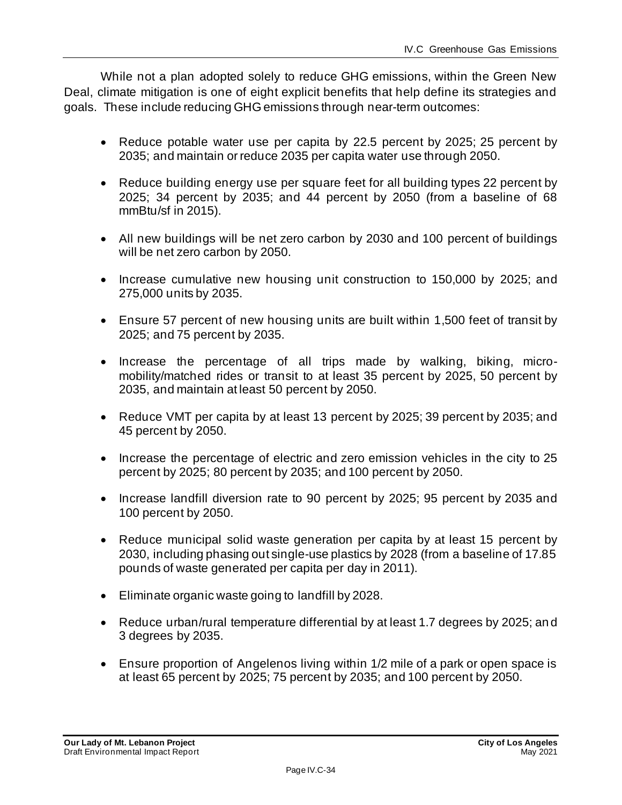While not a plan adopted solely to reduce GHG emissions, within the Green New Deal, climate mitigation is one of eight explicit benefits that help define its strategies and goals. These include reducing GHG emissions through near-term outcomes:

- Reduce potable water use per capita by 22.5 percent by 2025; 25 percent by 2035; and maintain or reduce 2035 per capita water use through 2050.
- Reduce building energy use per square feet for all building types 22 percent by 2025; 34 percent by 2035; and 44 percent by 2050 (from a baseline of 68 mmBtu/sf in 2015).
- All new buildings will be net zero carbon by 2030 and 100 percent of buildings will be net zero carbon by 2050.
- Increase cumulative new housing unit construction to 150,000 by 2025; and 275,000 units by 2035.
- Ensure 57 percent of new housing units are built within 1,500 feet of transit by 2025; and 75 percent by 2035.
- Increase the percentage of all trips made by walking, biking, micromobility/matched rides or transit to at least 35 percent by 2025, 50 percent by 2035, and maintain at least 50 percent by 2050.
- Reduce VMT per capita by at least 13 percent by 2025; 39 percent by 2035; and 45 percent by 2050.
- Increase the percentage of electric and zero emission vehicles in the city to 25 percent by 2025; 80 percent by 2035; and 100 percent by 2050.
- Increase landfill diversion rate to 90 percent by 2025; 95 percent by 2035 and 100 percent by 2050.
- Reduce municipal solid waste generation per capita by at least 15 percent by 2030, including phasing out single-use plastics by 2028 (from a baseline of 17.85 pounds of waste generated per capita per day in 2011).
- Eliminate organic waste going to landfill by 2028.
- Reduce urban/rural temperature differential by at least 1.7 degrees by 2025; an d 3 degrees by 2035.
- Ensure proportion of Angelenos living within 1/2 mile of a park or open space is at least 65 percent by 2025; 75 percent by 2035; and 100 percent by 2050.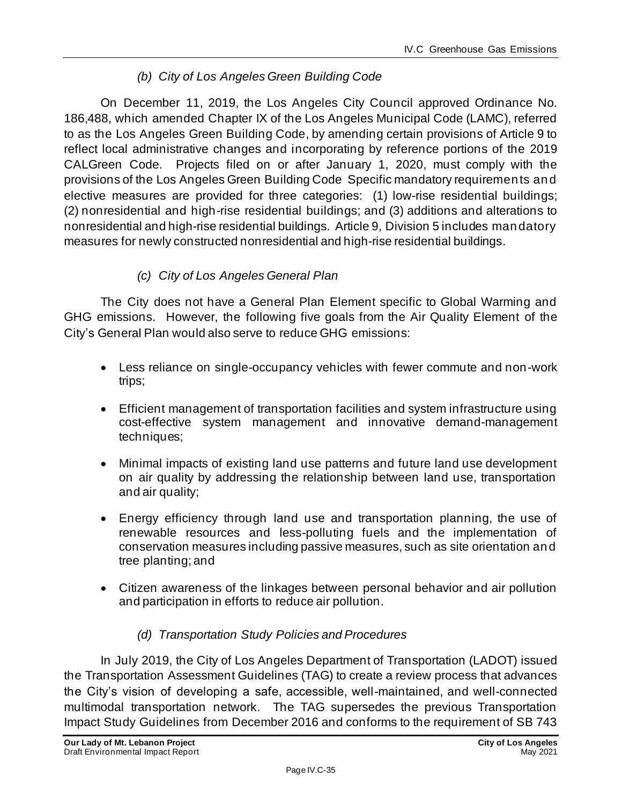#### *(b) City of Los Angeles Green Building Code*

On December 11, 2019, the Los Angeles City Council approved Ordinance No. 186,488, which amended Chapter IX of the Los Angeles Municipal Code (LAMC), referred to as the Los Angeles Green Building Code, by amending certain provisions of Article 9 to reflect local administrative changes and incorporating by reference portions of the 2019 CALGreen Code. Projects filed on or after January 1, 2020, must comply with the provisions of the Los Angeles Green Building Code Specific mandatory requirements and elective measures are provided for three categories: (1) low-rise residential buildings; (2) nonresidential and high-rise residential buildings; and (3) additions and alterations to nonresidential and high-rise residential buildings. Article 9, Division 5 includes mandatory measures for newly constructed nonresidential and high-rise residential buildings.

#### *(c) City of Los Angeles General Plan*

The City does not have a General Plan Element specific to Global Warming and GHG emissions. However, the following five goals from the Air Quality Element of the City's General Plan would also serve to reduce GHG emissions:

- Less reliance on single-occupancy vehicles with fewer commute and non-work trips;
- Efficient management of transportation facilities and system infrastructure using cost-effective system management and innovative demand-management techniques;
- Minimal impacts of existing land use patterns and future land use development on air quality by addressing the relationship between land use, transportation and air quality;
- Energy efficiency through land use and transportation planning, the use of renewable resources and less-polluting fuels and the implementation of conservation measures including passive measures, such as site orientation and tree planting; and
- Citizen awareness of the linkages between personal behavior and air pollution and participation in efforts to reduce air pollution.

#### *(d) Transportation Study Policies and Procedures*

In July 2019, the City of Los Angeles Department of Transportation (LADOT) issued the Transportation Assessment Guidelines (TAG) to create a review process that advances the City's vision of developing a safe, accessible, well-maintained, and well-connected multimodal transportation network. The TAG supersedes the previous Transportation Impact Study Guidelines from December 2016 and conforms to the requirement of SB 743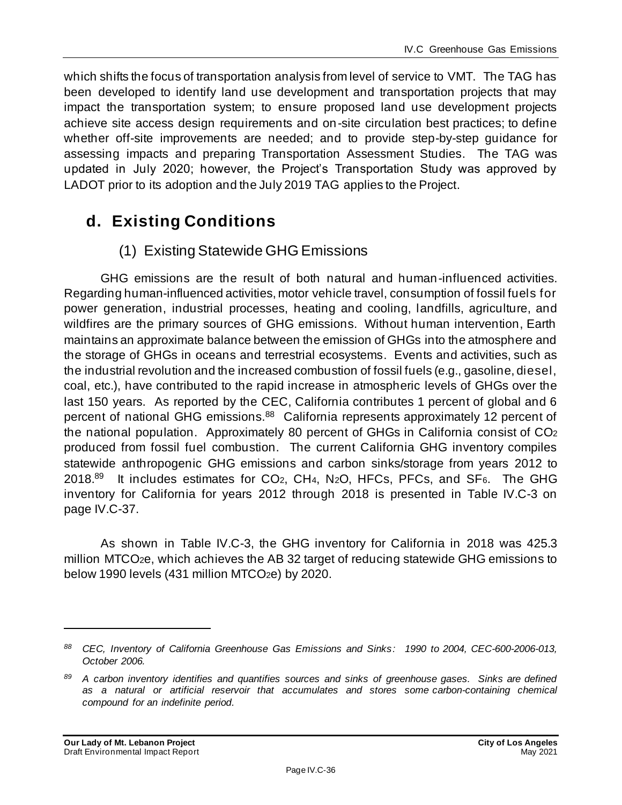which shifts the focus of transportation analysis from level of service to VMT. The TAG has been developed to identify land use development and transportation projects that may impact the transportation system; to ensure proposed land use development projects achieve site access design requirements and on-site circulation best practices; to define whether off-site improvements are needed; and to provide step-by-step guidance for assessing impacts and preparing Transportation Assessment Studies. The TAG was updated in July 2020; however, the Project's Transportation Study was approved by LADOT prior to its adoption and the July 2019 TAG applies to the Project.

# **d. Existing Conditions**

### (1) Existing Statewide GHG Emissions

GHG emissions are the result of both natural and human-influenced activities. Regarding human-influenced activities, motor vehicle travel, consumption of fossil fuels for power generation, industrial processes, heating and cooling, landfills, agriculture, and wildfires are the primary sources of GHG emissions. Without human intervention, Earth maintains an approximate balance between the emission of GHGs into the atmosphere and the storage of GHGs in oceans and terrestrial ecosystems. Events and activities, such as the industrial revolution and the increased combustion of fossil fuels (e.g., gasoline, diesel, coal, etc.), have contributed to the rapid increase in atmospheric levels of GHGs over the last 150 years. As reported by the CEC, California contributes 1 percent of global and 6 percent of national GHG emissions.<sup>88</sup> California represents approximately 12 percent of the national population. Approximately 80 percent of GHGs in California consist of CO<sup>2</sup> produced from fossil fuel combustion. The current California GHG inventory compiles statewide anthropogenic GHG emissions and carbon sinks/storage from years 2012 to 2018.<sup>89</sup> It includes estimates for CO<sub>2</sub>, CH<sub>4</sub>, N<sub>2</sub>O, HFCs, PFCs, and SF<sub>6</sub>. The GHG inventory for California for years 2012 through 2018 is presented in Table IV.C-3 on page IV.C-37.

As shown in Table IV.C-3, the GHG inventory for California in 2018 was 425.3 million MTCO2e, which achieves the AB 32 target of reducing statewide GHG emissions to below 1990 levels (431 million MTCO2e) by 2020.

*<sup>88</sup> CEC, Inventory of California Greenhouse Gas Emissions and Sinks: 1990 to 2004, CEC-600-2006-013, October 2006.*

*<sup>89</sup> A carbon inventory identifies and quantifies sources and sinks of greenhouse gases. Sinks are defined as a natural or artificial reservoir that accumulates and stores some carbon-containing chemical compound for an indefinite period.*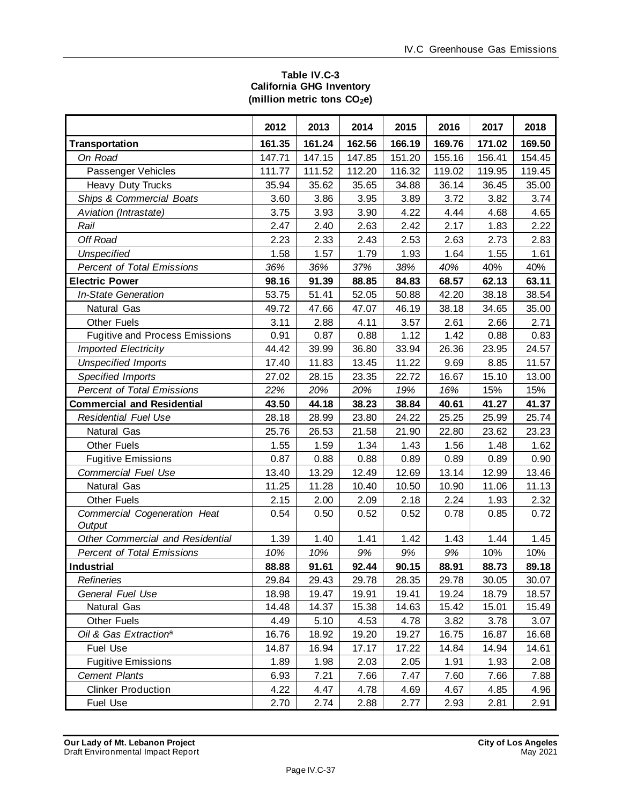#### **Table IV.C-3 California GHG Inventory (million metric tons CO2e)**

|                                        | 2012   | 2013   | 2014   | 2015   | 2016   | 2017   | 2018   |
|----------------------------------------|--------|--------|--------|--------|--------|--------|--------|
| <b>Transportation</b>                  | 161.35 | 161.24 | 162.56 | 166.19 | 169.76 | 171.02 | 169.50 |
| On Road                                | 147.71 | 147.15 | 147.85 | 151.20 | 155.16 | 156.41 | 154.45 |
| Passenger Vehicles                     | 111.77 | 111.52 | 112.20 | 116.32 | 119.02 | 119.95 | 119.45 |
| Heavy Duty Trucks                      | 35.94  | 35.62  | 35.65  | 34.88  | 36.14  | 36.45  | 35.00  |
| <b>Ships &amp; Commercial Boats</b>    | 3.60   | 3.86   | 3.95   | 3.89   | 3.72   | 3.82   | 3.74   |
| Aviation (Intrastate)                  | 3.75   | 3.93   | 3.90   | 4.22   | 4.44   | 4.68   | 4.65   |
| Rail                                   | 2.47   | 2.40   | 2.63   | 2.42   | 2.17   | 1.83   | 2.22   |
| Off Road                               | 2.23   | 2.33   | 2.43   | 2.53   | 2.63   | 2.73   | 2.83   |
| <b>Unspecified</b>                     | 1.58   | 1.57   | 1.79   | 1.93   | 1.64   | 1.55   | 1.61   |
| <b>Percent of Total Emissions</b>      | 36%    | 36%    | 37%    | 38%    | 40%    | 40%    | 40%    |
| <b>Electric Power</b>                  | 98.16  | 91.39  | 88.85  | 84.83  | 68.57  | 62.13  | 63.11  |
| <b>In-State Generation</b>             | 53.75  | 51.41  | 52.05  | 50.88  | 42.20  | 38.18  | 38.54  |
| Natural Gas                            | 49.72  | 47.66  | 47.07  | 46.19  | 38.18  | 34.65  | 35.00  |
| <b>Other Fuels</b>                     | 3.11   | 2.88   | 4.11   | 3.57   | 2.61   | 2.66   | 2.71   |
| <b>Fugitive and Process Emissions</b>  | 0.91   | 0.87   | 0.88   | 1.12   | 1.42   | 0.88   | 0.83   |
| <b>Imported Electricity</b>            | 44.42  | 39.99  | 36.80  | 33.94  | 26.36  | 23.95  | 24.57  |
| <b>Unspecified Imports</b>             | 17.40  | 11.83  | 13.45  | 11.22  | 9.69   | 8.85   | 11.57  |
| Specified Imports                      | 27.02  | 28.15  | 23.35  | 22.72  | 16.67  | 15.10  | 13.00  |
| <b>Percent of Total Emissions</b>      | 22%    | 20%    | 20%    | 19%    | 16%    | 15%    | 15%    |
| <b>Commercial and Residential</b>      | 43.50  | 44.18  | 38.23  | 38.84  | 40.61  | 41.27  | 41.37  |
| <b>Residential Fuel Use</b>            | 28.18  | 28.99  | 23.80  | 24.22  | 25.25  | 25.99  | 25.74  |
| Natural Gas                            | 25.76  | 26.53  | 21.58  | 21.90  | 22.80  | 23.62  | 23.23  |
| <b>Other Fuels</b>                     | 1.55   | 1.59   | 1.34   | 1.43   | 1.56   | 1.48   | 1.62   |
| <b>Fugitive Emissions</b>              | 0.87   | 0.88   | 0.88   | 0.89   | 0.89   | 0.89   | 0.90   |
| <b>Commercial Fuel Use</b>             | 13.40  | 13.29  | 12.49  | 12.69  | 13.14  | 12.99  | 13.46  |
| Natural Gas                            | 11.25  | 11.28  | 10.40  | 10.50  | 10.90  | 11.06  | 11.13  |
| <b>Other Fuels</b>                     | 2.15   | 2.00   | 2.09   | 2.18   | 2.24   | 1.93   | 2.32   |
| Commercial Cogeneration Heat<br>Output | 0.54   | 0.50   | 0.52   | 0.52   | 0.78   | 0.85   | 0.72   |
| Other Commercial and Residential       | 1.39   | 1.40   | 1.41   | 1.42   | 1.43   | 1.44   | 1.45   |
| <b>Percent of Total Emissions</b>      | 10%    | 10%    | 9%     | 9%     | 9%     | 10%    | 10%    |
| Industrial                             | 88.88  | 91.61  | 92.44  | 90.15  | 88.91  | 88.73  | 89.18  |
| Refineries                             | 29.84  | 29.43  | 29.78  | 28.35  | 29.78  | 30.05  | 30.07  |
| General Fuel Use                       | 18.98  | 19.47  | 19.91  | 19.41  | 19.24  | 18.79  | 18.57  |
| Natural Gas                            | 14.48  | 14.37  | 15.38  | 14.63  | 15.42  | 15.01  | 15.49  |
| <b>Other Fuels</b>                     | 4.49   | 5.10   | 4.53   | 4.78   | 3.82   | 3.78   | 3.07   |
| Oil & Gas Extraction <sup>a</sup>      | 16.76  | 18.92  | 19.20  | 19.27  | 16.75  | 16.87  | 16.68  |
| <b>Fuel Use</b>                        | 14.87  | 16.94  | 17.17  | 17.22  | 14.84  | 14.94  | 14.61  |
| <b>Fugitive Emissions</b>              | 1.89   | 1.98   | 2.03   | 2.05   | 1.91   | 1.93   | 2.08   |
| <b>Cement Plants</b>                   | 6.93   | 7.21   | 7.66   | 7.47   | 7.60   | 7.66   | 7.88   |
| <b>Clinker Production</b>              | 4.22   | 4.47   | 4.78   | 4.69   | 4.67   | 4.85   | 4.96   |
| Fuel Use                               | 2.70   | 2.74   | 2.88   | 2.77   | 2.93   | 2.81   | 2.91   |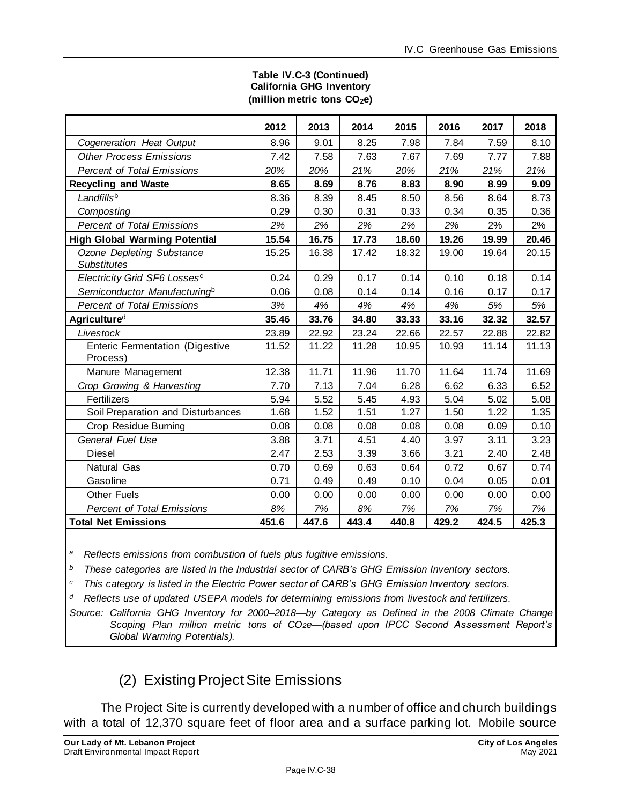|                                                    | 2012  | 2013  | 2014  | 2015  | 2016  | 2017  | 2018  |
|----------------------------------------------------|-------|-------|-------|-------|-------|-------|-------|
| Cogeneration Heat Output                           | 8.96  | 9.01  | 8.25  | 7.98  | 7.84  | 7.59  | 8.10  |
| <b>Other Process Emissions</b>                     | 7.42  | 7.58  | 7.63  | 7.67  | 7.69  | 7.77  | 7.88  |
| <b>Percent of Total Emissions</b>                  | 20%   | 20%   | 21%   | 20%   | 21%   | 21%   | 21%   |
| <b>Recycling and Waste</b>                         | 8.65  | 8.69  | 8.76  | 8.83  | 8.90  | 8.99  | 9.09  |
| Landfillsb                                         | 8.36  | 8.39  | 8.45  | 8.50  | 8.56  | 8.64  | 8.73  |
| Composting                                         | 0.29  | 0.30  | 0.31  | 0.33  | 0.34  | 0.35  | 0.36  |
| <b>Percent of Total Emissions</b>                  | 2%    | 2%    | 2%    | 2%    | 2%    | 2%    | 2%    |
| <b>High Global Warming Potential</b>               | 15.54 | 16.75 | 17.73 | 18.60 | 19.26 | 19.99 | 20.46 |
| Ozone Depleting Substance<br><b>Substitutes</b>    | 15.25 | 16.38 | 17.42 | 18.32 | 19.00 | 19.64 | 20.15 |
| Electricity Grid SF6 Lossesc                       | 0.24  | 0.29  | 0.17  | 0.14  | 0.10  | 0.18  | 0.14  |
| Semiconductor Manufacturing <sup>b</sup>           | 0.06  | 0.08  | 0.14  | 0.14  | 0.16  | 0.17  | 0.17  |
| <b>Percent of Total Emissions</b>                  | 3%    | 4%    | 4%    | 4%    | 4%    | 5%    | 5%    |
| Agricultured                                       | 35.46 | 33.76 | 34.80 | 33.33 | 33.16 | 32.32 | 32.57 |
| Livestock                                          | 23.89 | 22.92 | 23.24 | 22.66 | 22.57 | 22.88 | 22.82 |
| <b>Enteric Fermentation (Digestive</b><br>Process) | 11.52 | 11.22 | 11.28 | 10.95 | 10.93 | 11.14 | 11.13 |
| Manure Management                                  | 12.38 | 11.71 | 11.96 | 11.70 | 11.64 | 11.74 | 11.69 |
| Crop Growing & Harvesting                          | 7.70  | 7.13  | 7.04  | 6.28  | 6.62  | 6.33  | 6.52  |
| Fertilizers                                        | 5.94  | 5.52  | 5.45  | 4.93  | 5.04  | 5.02  | 5.08  |
| Soil Preparation and Disturbances                  | 1.68  | 1.52  | 1.51  | 1.27  | 1.50  | 1.22  | 1.35  |
| Crop Residue Burning                               | 0.08  | 0.08  | 0.08  | 0.08  | 0.08  | 0.09  | 0.10  |
| General Fuel Use                                   | 3.88  | 3.71  | 4.51  | 4.40  | 3.97  | 3.11  | 3.23  |
| <b>Diesel</b>                                      | 2.47  | 2.53  | 3.39  | 3.66  | 3.21  | 2.40  | 2.48  |
| <b>Natural Gas</b>                                 | 0.70  | 0.69  | 0.63  | 0.64  | 0.72  | 0.67  | 0.74  |
| Gasoline                                           | 0.71  | 0.49  | 0.49  | 0.10  | 0.04  | 0.05  | 0.01  |
| <b>Other Fuels</b>                                 | 0.00  | 0.00  | 0.00  | 0.00  | 0.00  | 0.00  | 0.00  |
| <b>Percent of Total Emissions</b>                  | 8%    | 7%    | 8%    | 7%    | 7%    | 7%    | 7%    |
| <b>Total Net Emissions</b>                         | 451.6 | 447.6 | 443.4 | 440.8 | 429.2 | 424.5 | 425.3 |

#### **Table IV.C-3 (Continued) California GHG Inventory (million metric tons CO2e)**

*<sup>a</sup>Reflects emissions from combustion of fuels plus fugitive emissions.*

*<sup>b</sup>These categories are listed in the Industrial sector of CARB's GHG Emission Inventory sectors.*

*<sup>c</sup>This category is listed in the Electric Power sector of CARB's GHG Emission Inventory sectors.*

*<sup>d</sup>Reflects use of updated USEPA models for determining emissions from livestock and fertilizers.*

*Source: California GHG Inventory for 2000–2018—by Category as Defined in the 2008 Climate Change Scoping Plan million metric tons of CO2e—(based upon IPCC Second Assessment Report's Global Warming Potentials).*

(2) Existing ProjectSite Emissions

The Project Site is currently developed with a number of office and church buildings with a total of 12,370 square feet of floor area and a surface parking lot. Mobile source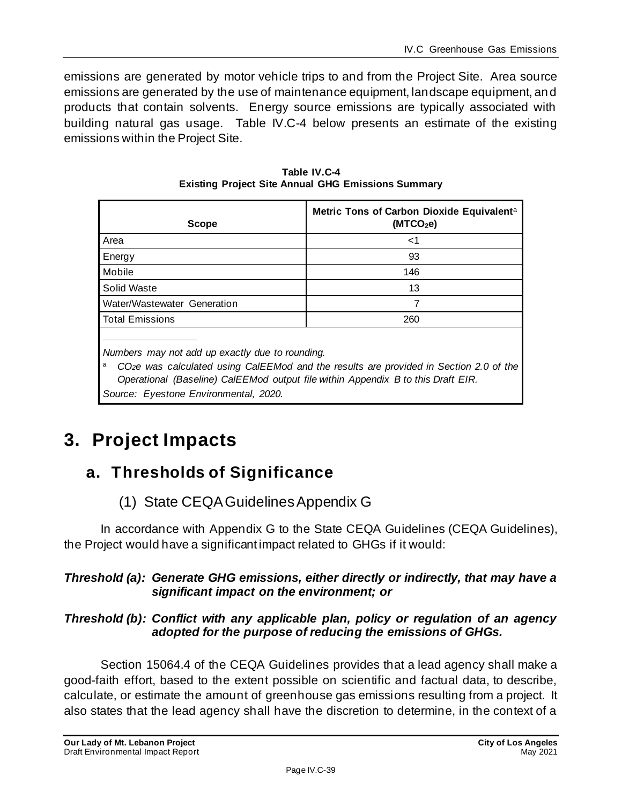emissions are generated by motor vehicle trips to and from the Project Site. Area source emissions are generated by the use of maintenance equipment, landscape equipment, and products that contain solvents. Energy source emissions are typically associated with building natural gas usage. Table IV.C-4 below presents an estimate of the existing emissions within the Project Site.

| <b>Scope</b>                | Metric Tons of Carbon Dioxide Equivalent <sup>a</sup><br>(MTCO <sub>2</sub> e) |
|-----------------------------|--------------------------------------------------------------------------------|
| Area                        | $<$ 1                                                                          |
| Energy                      | 93                                                                             |
| Mobile                      | 146                                                                            |
| Solid Waste                 | 13                                                                             |
| Water/Wastewater Generation |                                                                                |
| <b>Total Emissions</b>      | 260                                                                            |
|                             |                                                                                |

**Table IV.C-4 Existing Project Site Annual GHG Emissions Summary** 

*Numbers may not add up exactly due to rounding.*

<sup>a</sup> CO<sub>2</sub><sup>*e*</sup> was calculated using CalEEMod and the results are provided in Section 2.0 of the *Operational (Baseline) CalEEMod output file within Appendix B to this Draft EIR. Source: Eyestone Environmental, 2020.*

# **3. Project Impacts**

# **a. Thresholds of Significance**

# (1) State CEQA Guidelines Appendix G

In accordance with Appendix G to the State CEQA Guidelines (CEQA Guidelines), the Project would have a significant impact related to GHGs if it would:

# *Threshold (a): Generate GHG emissions, either directly or indirectly, that may have a significant impact on the environment; or*

### *Threshold (b): Conflict with any applicable plan, policy or regulation of an agency adopted for the purpose of reducing the emissions of GHGs.*

Section 15064.4 of the CEQA Guidelines provides that a lead agency shall make a good-faith effort, based to the extent possible on scientific and factual data, to describe, calculate, or estimate the amount of greenhouse gas emissions resulting from a project. It also states that the lead agency shall have the discretion to determine, in the context of a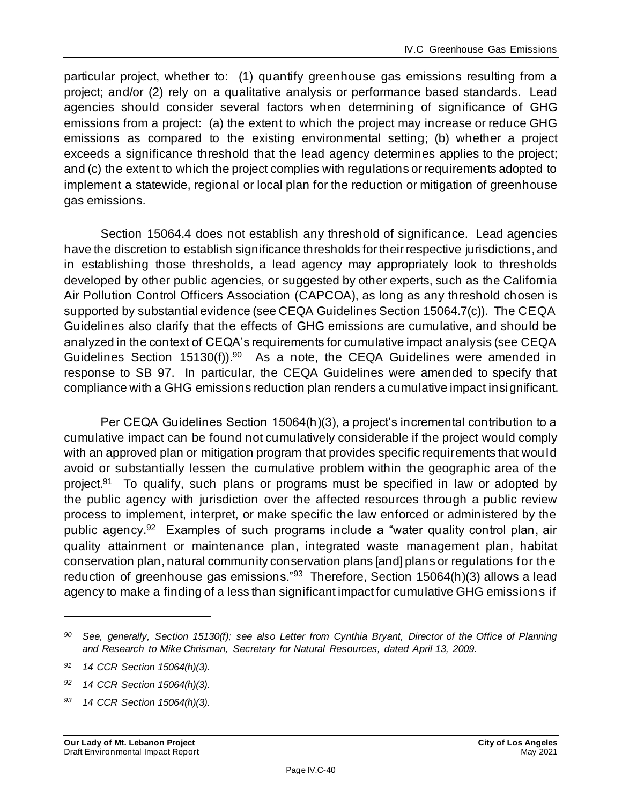particular project, whether to: (1) quantify greenhouse gas emissions resulting from a project; and/or (2) rely on a qualitative analysis or performance based standards. Lead agencies should consider several factors when determining of significance of GHG emissions from a project: (a) the extent to which the project may increase or reduce GHG emissions as compared to the existing environmental setting; (b) whether a project exceeds a significance threshold that the lead agency determines applies to the project; and (c) the extent to which the project complies with regulations or requirements adopted to implement a statewide, regional or local plan for the reduction or mitigation of greenhouse gas emissions.

Section 15064.4 does not establish any threshold of significance. Lead agencies have the discretion to establish significance thresholds for their respective jurisdictions, and in establishing those thresholds, a lead agency may appropriately look to thresholds developed by other public agencies, or suggested by other experts, such as the California Air Pollution Control Officers Association (CAPCOA), as long as any threshold chosen is supported by substantial evidence (see CEQA Guidelines Section 15064.7(c)). The CEQA Guidelines also clarify that the effects of GHG emissions are cumulative, and should be analyzed in the context of CEQA's requirements for cumulative impact analysis (see CEQA Guidelines Section  $15130(f)$ ).<sup>90</sup> As a note, the CEQA Guidelines were amended in response to SB 97. In particular, the CEQA Guidelines were amended to specify that compliance with a GHG emissions reduction plan renders a cumulative impact insignificant.

Per CEQA Guidelines Section 15064(h)(3), a project's incremental contribution to a cumulative impact can be found not cumulatively considerable if the project would comply with an approved plan or mitigation program that provides specific requirements that would avoid or substantially lessen the cumulative problem within the geographic area of the project.<sup>91</sup> To qualify, such plans or programs must be specified in law or adopted by the public agency with jurisdiction over the affected resources through a public review process to implement, interpret, or make specific the law enforced or administered by the public agency.<sup>92</sup> Examples of such programs include a "water quality control plan, air quality attainment or maintenance plan, integrated waste management plan, habitat conservation plan, natural community conservation plans [and] plans or regulations for the reduction of greenhouse gas emissions."<sup>93</sup> Therefore, Section 15064(h)(3) allows a lead agency to make a finding of a less than significant impact for cumulative GHG emissions if

*<sup>90</sup> See, generally, Section 15130(f); see also Letter from Cynthia Bryant, Director of the Office of Planning and Research to Mike Chrisman, Secretary for Natural Resources, dated April 13, 2009.*

*<sup>91</sup> 14 CCR Section 15064(h)(3).*

*<sup>92</sup> 14 CCR Section 15064(h)(3).*

*<sup>93</sup> 14 CCR Section 15064(h)(3).*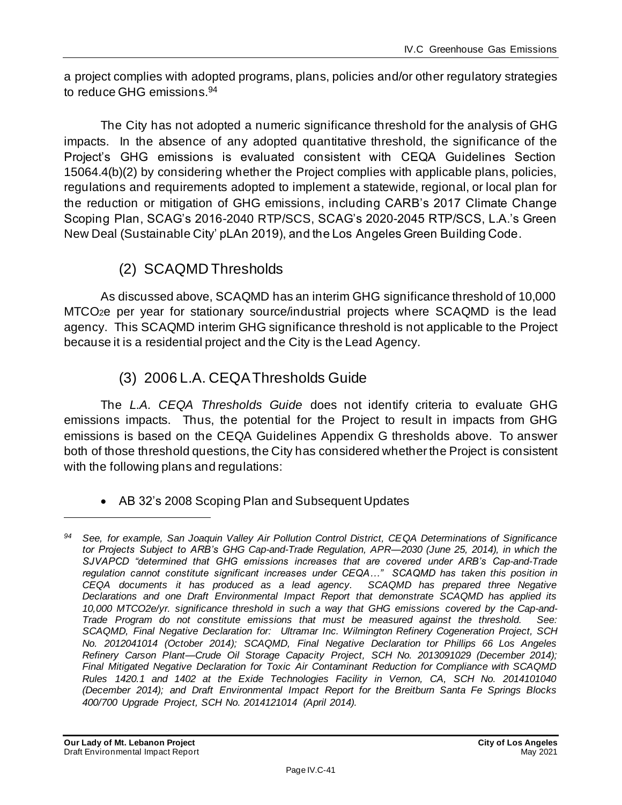a project complies with adopted programs, plans, policies and/or other regulatory strategies to reduce GHG emissions.<sup>94</sup>

The City has not adopted a numeric significance threshold for the analysis of GHG impacts. In the absence of any adopted quantitative threshold, the significance of the Project's GHG emissions is evaluated consistent with CEQA Guidelines Section 15064.4(b)(2) by considering whether the Project complies with applicable plans, policies, regulations and requirements adopted to implement a statewide, regional, or local plan for the reduction or mitigation of GHG emissions, including CARB's 2017 Climate Change Scoping Plan, SCAG's 2016-2040 RTP/SCS, SCAG's 2020-2045 RTP/SCS, L.A.'s Green New Deal (Sustainable City' pLAn 2019), and the Los Angeles Green Building Code.

# (2) SCAQMD Thresholds

As discussed above, SCAQMD has an interim GHG significance threshold of 10,000 MTCO2e per year for stationary source/industrial projects where SCAQMD is the lead agency. This SCAQMD interim GHG significance threshold is not applicable to the Project because it is a residential project and the City is the Lead Agency.

# (3) 2006 L.A. CEQA Thresholds Guide

The *L.A. CEQA Thresholds Guide* does not identify criteria to evaluate GHG emissions impacts. Thus, the potential for the Project to result in impacts from GHG emissions is based on the CEQA Guidelines Appendix G thresholds above. To answer both of those threshold questions, the City has considered whether the Project is consistent with the following plans and regulations:

# • AB 32's 2008 Scoping Plan and Subsequent Updates

*<sup>94</sup> See, for example, San Joaquin Valley Air Pollution Control District, CEQA Determinations of Significance tor Projects Subject to ARB's GHG Cap-and-Trade Regulation, APR—2030 (June 25, 2014), in which the SJVAPCD "determined that GHG emissions increases that are covered under ARB's Cap-and-Trade regulation cannot constitute significant increases under CEQA…" SCAQMD has taken this position in*  CEQA documents it has produced as a lead agency. SCAQMD has prepared three Negative *Declarations and one Draft Environmental Impact Report that demonstrate SCAQMD has applied its 10,000 MTCO2e/yr. significance threshold in such a way that GHG emissions covered by the Cap-and-Trade Program do not constitute emissions that must be measured against the threshold. See: SCAQMD, Final Negative Declaration for: Ultramar Inc. Wilmington Refinery Cogeneration Project, SCH No. 2012041014 (October 2014); SCAQMD, Final Negative Declaration tor Phillips 66 Los Angeles Refinery Carson Plant—Crude Oil Storage Capacity Project, SCH No. 2013091029 (December 2014); Final Mitigated Negative Declaration for Toxic Air Contaminant Reduction for Compliance with SCAQMD Rules 1420.1 and 1402 at the Exide Technologies Facility in Vernon, CA, SCH No. 2014101040 (December 2014); and Draft Environmental Impact Report for the Breitburn Santa Fe Springs Blocks 400/700 Upgrade Project, SCH No. 2014121014 (April 2014).*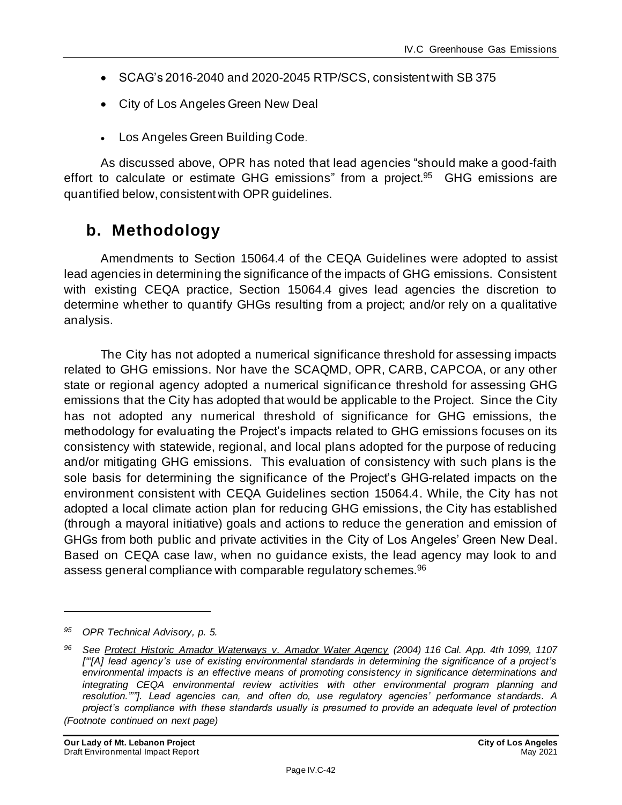- SCAG's 2016-2040 and 2020-2045 RTP/SCS, consistent with SB 375
- City of Los Angeles Green New Deal
- Los Angeles Green Building Code.

As discussed above, OPR has noted that lead agencies "should make a good-faith effort to calculate or estimate GHG emissions" from a project.<sup>95</sup> GHG emissions are quantified below, consistent with OPR guidelines.

# **b. Methodology**

Amendments to Section 15064.4 of the CEQA Guidelines were adopted to assist lead agencies in determining the significance of the impacts of GHG emissions. Consistent with existing CEQA practice, Section 15064.4 gives lead agencies the discretion to determine whether to quantify GHGs resulting from a project; and/or rely on a qualitative analysis.

The City has not adopted a numerical significance threshold for assessing impacts related to GHG emissions. Nor have the SCAQMD, OPR, CARB, CAPCOA, or any other state or regional agency adopted a numerical significance threshold for assessing GHG emissions that the City has adopted that would be applicable to the Project. Since the City has not adopted any numerical threshold of significance for GHG emissions, the methodology for evaluating the Project's impacts related to GHG emissions focuses on its consistency with statewide, regional, and local plans adopted for the purpose of reducing and/or mitigating GHG emissions. This evaluation of consistency with such plans is the sole basis for determining the significance of the Project's GHG-related impacts on the environment consistent with CEQA Guidelines section 15064.4. While, the City has not adopted a local climate action plan for reducing GHG emissions, the City has established (through a mayoral initiative) goals and actions to reduce the generation and emission of GHGs from both public and private activities in the City of Los Angeles' Green New Deal. Based on CEQA case law, when no guidance exists, the lead agency may look to and assess general compliance with comparable regulatory schemes.<sup>96</sup>

*<sup>95</sup> OPR Technical Advisory, p. 5.*

*<sup>96</sup> See Protect Historic Amador Waterways v. Amador Water Agency (2004) 116 Cal. App. 4th 1099, 1107 ["'[A] lead agency's use of existing environmental standards in determining the significance of a project's environmental impacts is an effective means of promoting consistency in significance determinations and integrating CEQA environmental review activities with other environmental program planning and resolution."'"]. Lead agencies can, and often do, use regulatory agencies' performance standards. A project's compliance with these standards usually is presumed to provide an adequate level of protection (Footnote continued on next page)*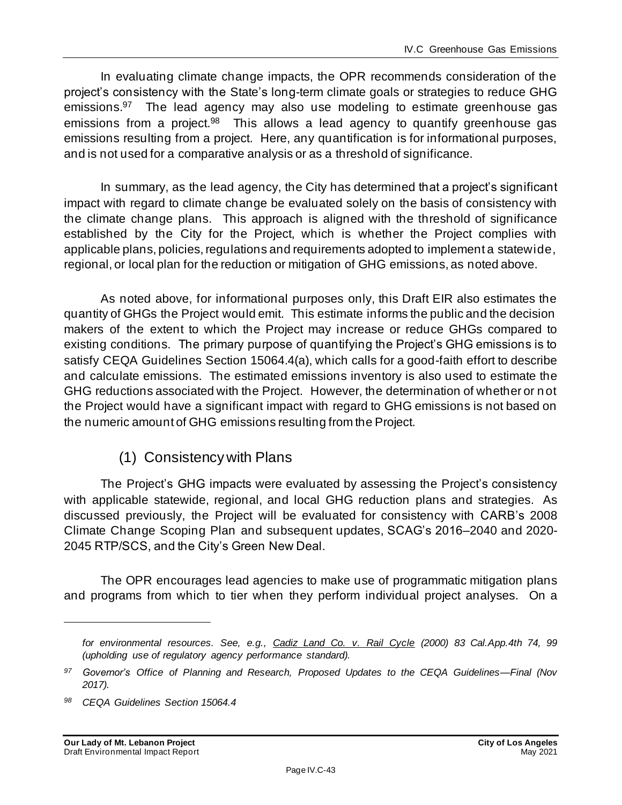In evaluating climate change impacts, the OPR recommends consideration of the project's consistency with the State's long-term climate goals or strategies to reduce GHG emissions.<sup>97</sup> The lead agency may also use modeling to estimate greenhouse gas emissions from a project.<sup>98</sup> This allows a lead agency to quantify greenhouse gas emissions resulting from a project. Here, any quantification is for informational purposes, and is not used for a comparative analysis or as a threshold of significance.

In summary, as the lead agency, the City has determined that a project's significant impact with regard to climate change be evaluated solely on the basis of consistency with the climate change plans. This approach is aligned with the threshold of significance established by the City for the Project, which is whether the Project complies with applicable plans, policies, regulations and requirements adopted to implement a statewide, regional, or local plan for the reduction or mitigation of GHG emissions, as noted above.

As noted above, for informational purposes only, this Draft EIR also estimates the quantity of GHGs the Project would emit. This estimate informs the public and the decision makers of the extent to which the Project may increase or reduce GHGs compared to existing conditions. The primary purpose of quantifying the Project's GHG emissions is to satisfy CEQA Guidelines Section 15064.4(a), which calls for a good-faith effort to describe and calculate emissions. The estimated emissions inventory is also used to estimate the GHG reductions associated with the Project. However, the determination of whether or not the Project would have a significant impact with regard to GHG emissions is not based on the numeric amount of GHG emissions resulting from the Project.

# (1) Consistency with Plans

The Project's GHG impacts were evaluated by assessing the Project's consistency with applicable statewide, regional, and local GHG reduction plans and strategies. As discussed previously, the Project will be evaluated for consistency with CARB's 2008 Climate Change Scoping Plan and subsequent updates, SCAG's 2016–2040 and 2020- 2045 RTP/SCS, and the City's Green New Deal.

The OPR encourages lead agencies to make use of programmatic mitigation plans and programs from which to tier when they perform individual project analyses. On a

*for environmental resources. See, e.g., Cadiz Land Co. v. Rail Cycle (2000) 83 Cal.App.4th 74, 99 (upholding use of regulatory agency performance standard).*

*<sup>97</sup> Governor's Office of Planning and Research, Proposed Updates to the CEQA Guidelines—Final (Nov 2017).*

*<sup>98</sup> CEQA Guidelines Section 15064.4*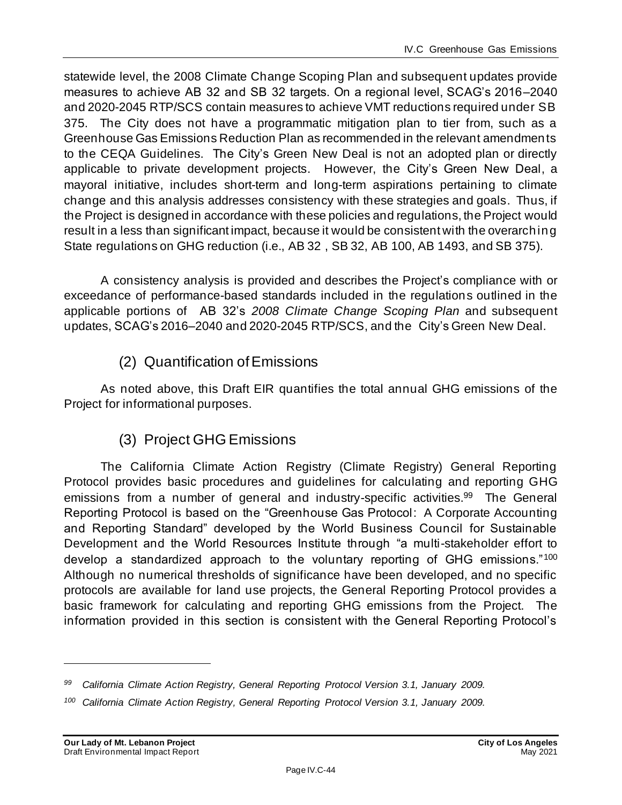statewide level, the 2008 Climate Change Scoping Plan and subsequent updates provide measures to achieve AB 32 and SB 32 targets. On a regional level, SCAG's 2016–2040 and 2020-2045 RTP/SCS contain measures to achieve VMT reductions required under SB 375. The City does not have a programmatic mitigation plan to tier from, such as a Greenhouse Gas Emissions Reduction Plan as recommended in the relevant amendments to the CEQA Guidelines. The City's Green New Deal is not an adopted plan or directly applicable to private development projects. However, the City's Green New Deal, a mayoral initiative, includes short-term and long-term aspirations pertaining to climate change and this analysis addresses consistency with these strategies and goals. Thus, if the Project is designed in accordance with these policies and regulations, the Project would result in a less than significant impact, because it would be consistent with the overarching State regulations on GHG reduction (i.e., AB 32 , SB 32, AB 100, AB 1493, and SB 375).

A consistency analysis is provided and describes the Project's compliance with or exceedance of performance-based standards included in the regulations outlined in the applicable portions of AB 32's *2008 Climate Change Scoping Plan* and subsequent updates, SCAG's 2016–2040 and 2020-2045 RTP/SCS, and the City's Green New Deal.

# (2) Quantification of Emissions

As noted above, this Draft EIR quantifies the total annual GHG emissions of the Project for informational purposes.

# (3) Project GHG Emissions

The California Climate Action Registry (Climate Registry) General Reporting Protocol provides basic procedures and guidelines for calculating and reporting GHG emissions from a number of general and industry-specific activities.<sup>99</sup> The General Reporting Protocol is based on the "Greenhouse Gas Protocol: A Corporate Accounting and Reporting Standard" developed by the World Business Council for Sustainable Development and the World Resources Institute through "a multi-stakeholder effort to develop a standardized approach to the voluntary reporting of GHG emissions."<sup>100</sup> Although no numerical thresholds of significance have been developed, and no specific protocols are available for land use projects, the General Reporting Protocol provides a basic framework for calculating and reporting GHG emissions from the Project. The information provided in this section is consistent with the General Reporting Protocol's

*<sup>99</sup> California Climate Action Registry, General Reporting Protocol Version 3.1, January 2009.*

*<sup>100</sup> California Climate Action Registry, General Reporting Protocol Version 3.1, January 2009.*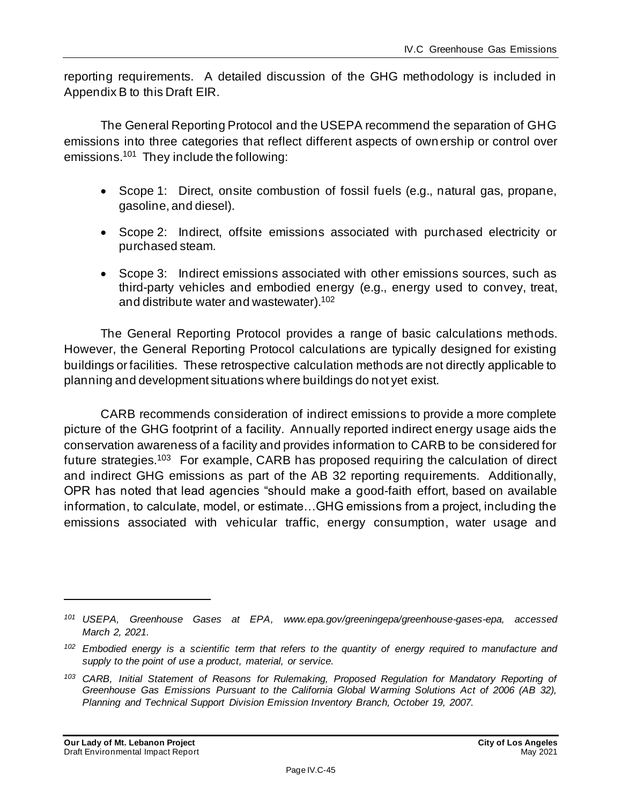reporting requirements. A detailed discussion of the GHG methodology is included in Appendix B to this Draft EIR.

The General Reporting Protocol and the USEPA recommend the separation of GHG emissions into three categories that reflect different aspects of own ership or control over emissions.<sup>101</sup> They include the following:

- Scope 1: Direct, onsite combustion of fossil fuels (e.g., natural gas, propane, gasoline, and diesel).
- Scope 2: Indirect, offsite emissions associated with purchased electricity or purchased steam.
- Scope 3: Indirect emissions associated with other emissions sources, such as third-party vehicles and embodied energy (e.g., energy used to convey, treat, and distribute water and wastewater). 102

The General Reporting Protocol provides a range of basic calculations methods. However, the General Reporting Protocol calculations are typically designed for existing buildings or facilities. These retrospective calculation methods are not directly applicable to planning and development situations where buildings do not yet exist.

CARB recommends consideration of indirect emissions to provide a more complete picture of the GHG footprint of a facility. Annually reported indirect energy usage aids the conservation awareness of a facility and provides information to CARB to be considered for future strategies.<sup>103</sup> For example, CARB has proposed requiring the calculation of direct and indirect GHG emissions as part of the AB 32 reporting requirements. Additionally, OPR has noted that lead agencies "should make a good-faith effort, based on available information, to calculate, model, or estimate…GHG emissions from a project, including the emissions associated with vehicular traffic, energy consumption, water usage and

*<sup>101</sup> USEPA, Greenhouse Gases at EPA, www.epa.gov/greeningepa/greenhouse-gases-epa, accessed March 2, 2021.*

*<sup>102</sup> Embodied energy is a scientific term that refers to the quantity of energy required to manufacture and supply to the point of use a product, material, or service.*

*<sup>103</sup> CARB, Initial Statement of Reasons for Rulemaking, Proposed Regulation for Mandatory Reporting of Greenhouse Gas Emissions Pursuant to the California Global Warming Solutions Act of 2006 (AB 32), Planning and Technical Support Division Emission Inventory Branch, October 19, 2007.*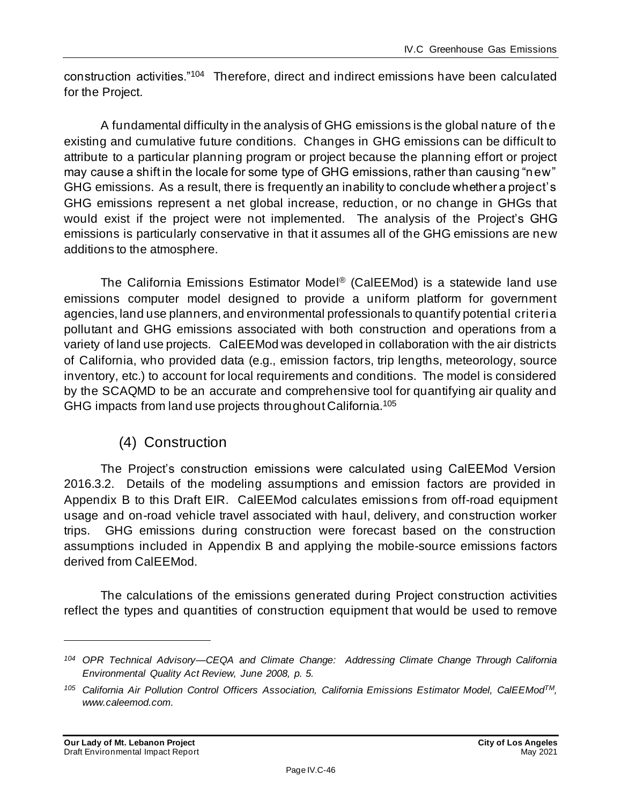construction activities."<sup>104</sup> Therefore, direct and indirect emissions have been calculated for the Project.

A fundamental difficulty in the analysis of GHG emissions is the global nature of the existing and cumulative future conditions. Changes in GHG emissions can be difficult to attribute to a particular planning program or project because the planning effort or project may cause a shift in the locale for some type of GHG emissions, rather than causing "new" GHG emissions. As a result, there is frequently an inability to conclude whether a project's GHG emissions represent a net global increase, reduction, or no change in GHGs that would exist if the project were not implemented. The analysis of the Project's GHG emissions is particularly conservative in that it assumes all of the GHG emissions are new additions to the atmosphere.

The California Emissions Estimator Model ® (CalEEMod) is a statewide land use emissions computer model designed to provide a uniform platform for government agencies, land use planners, and environmental professionals to quantify potential criteria pollutant and GHG emissions associated with both construction and operations from a variety of land use projects. CalEEMod was developed in collaboration with the air districts of California, who provided data (e.g., emission factors, trip lengths, meteorology, source inventory, etc.) to account for local requirements and conditions. The model is considered by the SCAQMD to be an accurate and comprehensive tool for quantifying air quality and GHG impacts from land use projects throughout California.<sup>105</sup>

# (4) Construction

The Project's construction emissions were calculated using CalEEMod Version 2016.3.2. Details of the modeling assumptions and emission factors are provided in Appendix B to this Draft EIR. CalEEMod calculates emissions from off-road equipment usage and on-road vehicle travel associated with haul, delivery, and construction worker trips. GHG emissions during construction were forecast based on the construction assumptions included in Appendix B and applying the mobile-source emissions factors derived from CalEEMod.

The calculations of the emissions generated during Project construction activities reflect the types and quantities of construction equipment that would be used to remove

*<sup>104</sup> OPR Technical Advisory—CEQA and Climate Change: Addressing Climate Change Through California Environmental Quality Act Review, June 2008, p. 5.*

*<sup>105</sup> California Air Pollution Control Officers Association, California Emissions Estimator Model, CalEEModTM, www.caleemod.com.*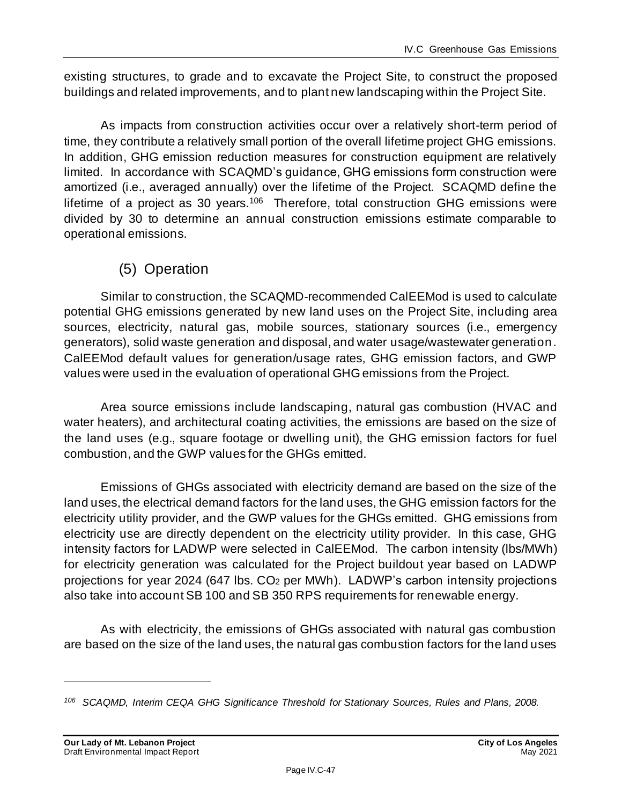existing structures, to grade and to excavate the Project Site, to construct the proposed buildings and related improvements, and to plant new landscaping within the Project Site.

As impacts from construction activities occur over a relatively short-term period of time, they contribute a relatively small portion of the overall lifetime project GHG emissions. In addition, GHG emission reduction measures for construction equipment are relatively limited. In accordance with SCAQMD's guidance, GHG emissions form construction were amortized (i.e., averaged annually) over the lifetime of the Project. SCAQMD define the lifetime of a project as 30 years.<sup>106</sup> Therefore, total construction GHG emissions were divided by 30 to determine an annual construction emissions estimate comparable to operational emissions.

# (5) Operation

Similar to construction, the SCAQMD-recommended CalEEMod is used to calculate potential GHG emissions generated by new land uses on the Project Site, including area sources, electricity, natural gas, mobile sources, stationary sources (i.e., emergency generators), solid waste generation and disposal, and water usage/wastewater generation. CalEEMod default values for generation/usage rates, GHG emission factors, and GWP values were used in the evaluation of operational GHG emissions from the Project.

Area source emissions include landscaping, natural gas combustion (HVAC and water heaters), and architectural coating activities, the emissions are based on the size of the land uses (e.g., square footage or dwelling unit), the GHG emission factors for fuel combustion, and the GWP values for the GHGs emitted.

Emissions of GHGs associated with electricity demand are based on the size of the land uses, the electrical demand factors for the land uses, the GHG emission factors for the electricity utility provider, and the GWP values for the GHGs emitted. GHG emissions from electricity use are directly dependent on the electricity utility provider. In this case, GHG intensity factors for LADWP were selected in CalEEMod. The carbon intensity (lbs/MWh) for electricity generation was calculated for the Project buildout year based on LADWP projections for year 2024 (647 lbs. CO<sup>2</sup> per MWh). LADWP's carbon intensity projections also take into account SB 100 and SB 350 RPS requirements for renewable energy.

As with electricity, the emissions of GHGs associated with natural gas combustion are based on the size of the land uses, the natural gas combustion factors for the land uses

*<sup>106</sup> SCAQMD, Interim CEQA GHG Significance Threshold for Stationary Sources, Rules and Plans, 2008.*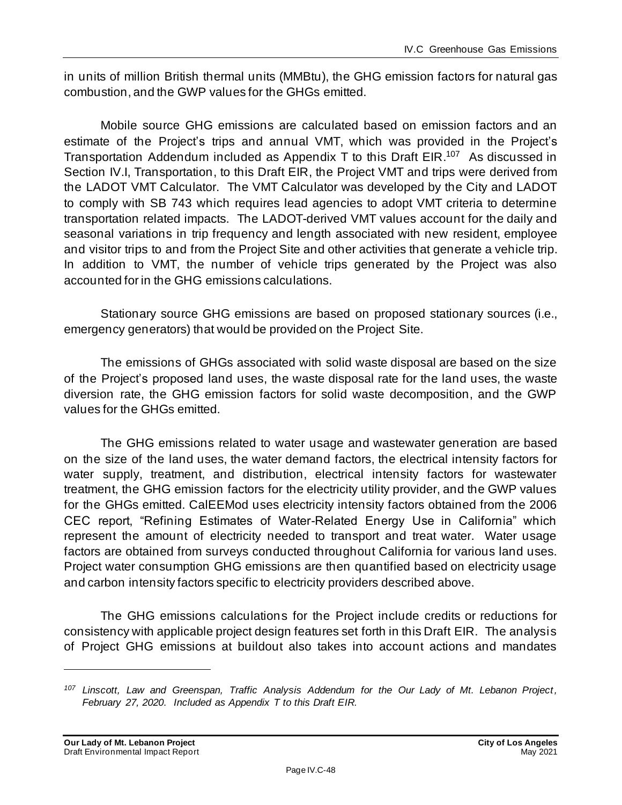in units of million British thermal units (MMBtu), the GHG emission factors for natural gas combustion, and the GWP values for the GHGs emitted.

Mobile source GHG emissions are calculated based on emission factors and an estimate of the Project's trips and annual VMT, which was provided in the Project's Transportation Addendum included as Appendix T to this Draft EIR.<sup>107</sup> As discussed in Section IV.I, Transportation, to this Draft EIR, the Project VMT and trips were derived from the LADOT VMT Calculator. The VMT Calculator was developed by the City and LADOT to comply with SB 743 which requires lead agencies to adopt VMT criteria to determine transportation related impacts. The LADOT-derived VMT values account for the daily and seasonal variations in trip frequency and length associated with new resident, employee and visitor trips to and from the Project Site and other activities that generate a vehicle trip. In addition to VMT, the number of vehicle trips generated by the Project was also accounted for in the GHG emissions calculations.

Stationary source GHG emissions are based on proposed stationary sources (i.e., emergency generators) that would be provided on the Project Site.

The emissions of GHGs associated with solid waste disposal are based on the size of the Project's proposed land uses, the waste disposal rate for the land uses, the waste diversion rate, the GHG emission factors for solid waste decomposition, and the GWP values for the GHGs emitted.

The GHG emissions related to water usage and wastewater generation are based on the size of the land uses, the water demand factors, the electrical intensity factors for water supply, treatment, and distribution, electrical intensity factors for wastewater treatment, the GHG emission factors for the electricity utility provider, and the GWP values for the GHGs emitted. CalEEMod uses electricity intensity factors obtained from the 2006 CEC report, "Refining Estimates of Water-Related Energy Use in California" which represent the amount of electricity needed to transport and treat water. Water usage factors are obtained from surveys conducted throughout California for various land uses. Project water consumption GHG emissions are then quantified based on electricity usage and carbon intensity factors specific to electricity providers described above.

The GHG emissions calculations for the Project include credits or reductions for consistency with applicable project design features set forth in this Draft EIR. The analysis of Project GHG emissions at buildout also takes into account actions and mandates

*<sup>107</sup> Linscott, Law and Greenspan, Traffic Analysis Addendum for the Our Lady of Mt. Lebanon Project, February 27, 2020. Included as Appendix T to this Draft EIR.*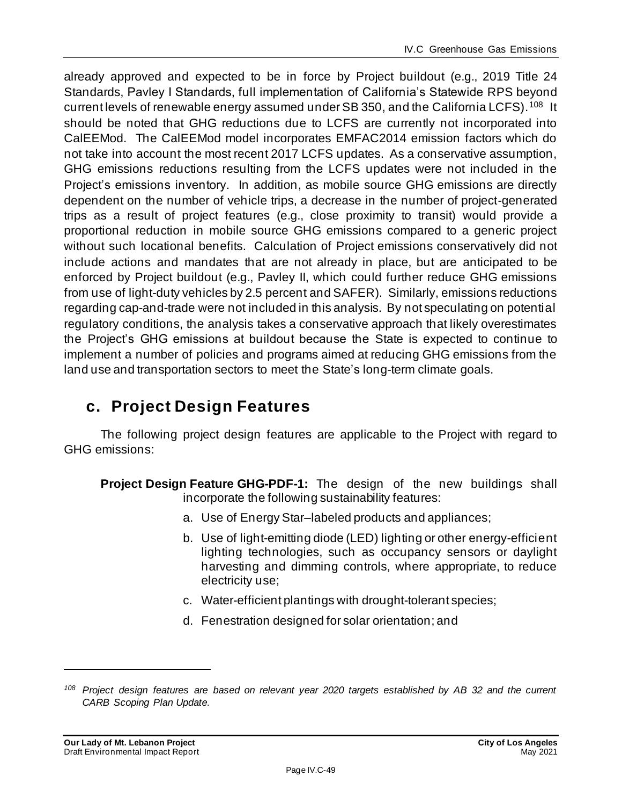already approved and expected to be in force by Project buildout (e.g., 2019 Title 24 Standards, Pavley I Standards, full implementation of California's Statewide RPS beyond current levels of renewable energy assumed under SB 350, and the California LCFS). <sup>108</sup> It should be noted that GHG reductions due to LCFS are currently not incorporated into CalEEMod. The CalEEMod model incorporates EMFAC2014 emission factors which do not take into account the most recent 2017 LCFS updates. As a conservative assumption, GHG emissions reductions resulting from the LCFS updates were not included in the Project's emissions inventory. In addition, as mobile source GHG emissions are directly dependent on the number of vehicle trips, a decrease in the number of project-generated trips as a result of project features (e.g., close proximity to transit) would provide a proportional reduction in mobile source GHG emissions compared to a generic project without such locational benefits. Calculation of Project emissions conservatively did not include actions and mandates that are not already in place, but are anticipated to be enforced by Project buildout (e.g., Pavley II, which could further reduce GHG emissions from use of light-duty vehicles by 2.5 percent and SAFER). Similarly, emissions reductions regarding cap-and-trade were not included in this analysis. By not speculating on potential regulatory conditions, the analysis takes a conservative approach that likely overestimates the Project's GHG emissions at buildout because the State is expected to continue to implement a number of policies and programs aimed at reducing GHG emissions from the land use and transportation sectors to meet the State's long-term climate goals.

# **c. Project Design Features**

The following project design features are applicable to the Project with regard to GHG emissions:

- **Project Design Feature GHG-PDF-1:** The design of the new buildings shall incorporate the following sustainability features:
	- a. Use of Energy Star–labeled products and appliances;
	- b. Use of light-emitting diode (LED) lighting or other energy-efficient lighting technologies, such as occupancy sensors or daylight harvesting and dimming controls, where appropriate, to reduce electricity use;
	- c. Water-efficient plantings with drought-tolerant species;
	- d. Fenestration designed for solar orientation; and

*<sup>108</sup> Project design features are based on relevant year 2020 targets established by AB 32 and the current CARB Scoping Plan Update.*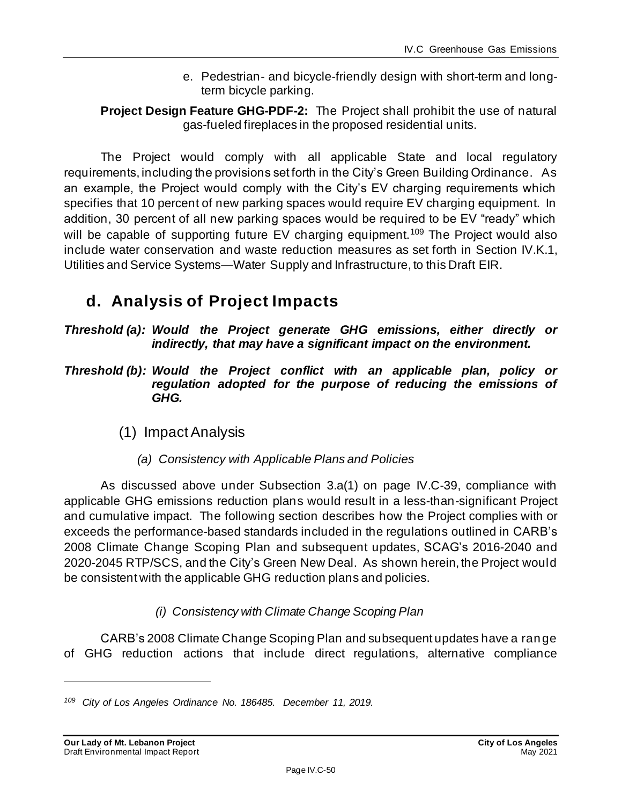- e. Pedestrian- and bicycle-friendly design with short-term and longterm bicycle parking.
- **Project Design Feature GHG-PDF-2:** The Project shall prohibit the use of natural gas-fueled fireplaces in the proposed residential units.

The Project would comply with all applicable State and local regulatory requirements, including the provisions set forth in the City's Green Building Ordinance. As an example, the Project would comply with the City's EV charging requirements which specifies that 10 percent of new parking spaces would require EV charging equipment. In addition, 30 percent of all new parking spaces would be required to be EV "ready" which will be capable of supporting future EV charging equipment.<sup>109</sup> The Project would also include water conservation and waste reduction measures as set forth in Section IV.K.1, Utilities and Service Systems—Water Supply and Infrastructure, to this Draft EIR.

# **d. Analysis of Project Impacts**

*Threshold (a): Would the Project generate GHG emissions, either directly or indirectly, that may have a significant impact on the environment.*

*Threshold (b): Would the Project conflict with an applicable plan, policy or regulation adopted for the purpose of reducing the emissions of GHG.*

- (1) ImpactAnalysis
	- *(a) Consistency with Applicable Plans and Policies*

As discussed above under Subsection 3.a(1) on page IV.C-39, compliance with applicable GHG emissions reduction plans would result in a less-than-significant Project and cumulative impact. The following section describes how the Project complies with or exceeds the performance-based standards included in the regulations outlined in CARB's 2008 Climate Change Scoping Plan and subsequent updates, SCAG's 2016-2040 and 2020-2045 RTP/SCS, and the City's Green New Deal. As shown herein, the Project would be consistent with the applicable GHG reduction plans and policies.

# *(i) Consistency with Climate Change Scoping Plan*

CARB's 2008 Climate Change Scoping Plan and subsequent updates have a range of GHG reduction actions that include direct regulations, alternative compliance

*<sup>109</sup> City of Los Angeles Ordinance No. 186485. December 11, 2019.*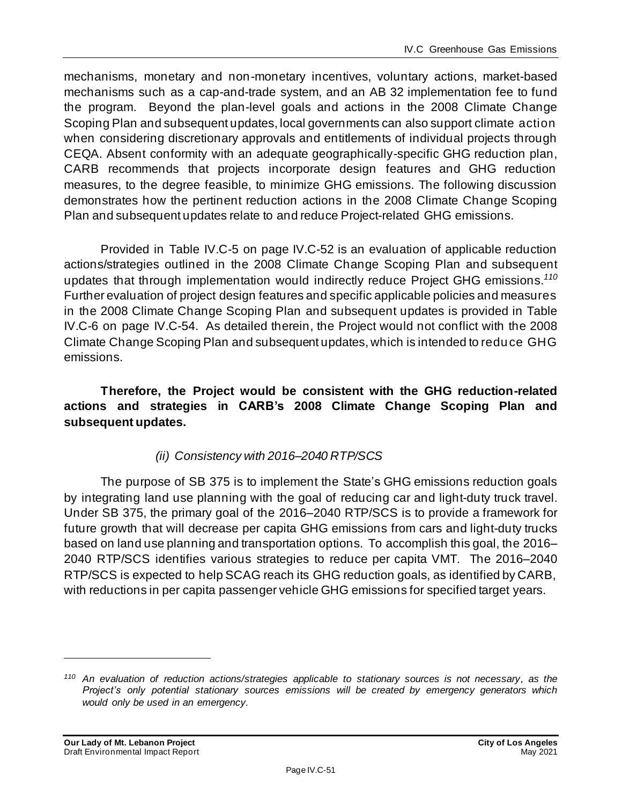mechanisms, monetary and non-monetary incentives, voluntary actions, market-based mechanisms such as a cap-and-trade system, and an AB 32 implementation fee to fund the program. Beyond the plan-level goals and actions in the 2008 Climate Change Scoping Plan and subsequent updates, local governments can also support climate action when considering discretionary approvals and entitlements of individual projects through CEQA. Absent conformity with an adequate geographically-specific GHG reduction plan, CARB recommends that projects incorporate design features and GHG reduction measures, to the degree feasible, to minimize GHG emissions. The following discussion demonstrates how the pertinent reduction actions in the 2008 Climate Change Scoping Plan and subsequent updates relate to and reduce Project-related GHG emissions.

Provided in Table IV.C-5 on page IV.C-52 is an evaluation of applicable reduction actions/strategies outlined in the 2008 Climate Change Scoping Plan and subsequent updates that through implementation would indirectly reduce Project GHG emissions. *110* Further evaluation of project design features and specific applicable policies and measures in the 2008 Climate Change Scoping Plan and subsequent updates is provided in Table IV.C-6 on page IV.C-54. As detailed therein, the Project would not conflict with the 2008 Climate Change Scoping Plan and subsequent updates, which is intended to reduce GHG emissions.

**Therefore, the Project would be consistent with the GHG reduction-related actions and strategies in CARB's 2008 Climate Change Scoping Plan and subsequent updates.**

# *(ii) Consistency with 2016–2040 RTP/SCS*

The purpose of SB 375 is to implement the State's GHG emissions reduction goals by integrating land use planning with the goal of reducing car and light-duty truck travel. Under SB 375, the primary goal of the 2016–2040 RTP/SCS is to provide a framework for future growth that will decrease per capita GHG emissions from cars and light-duty trucks based on land use planning and transportation options. To accomplish this goal, the 2016– 2040 RTP/SCS identifies various strategies to reduce per capita VMT. The 2016–2040 RTP/SCS is expected to help SCAG reach its GHG reduction goals, as identified by CARB, with reductions in per capita passenger vehicle GHG emissions for specified target years.

*<sup>110</sup> An evaluation of reduction actions/strategies applicable to stationary sources is not necessary, as the Project's only potential stationary sources emissions will be created by emergency generators which would only be used in an emergency.*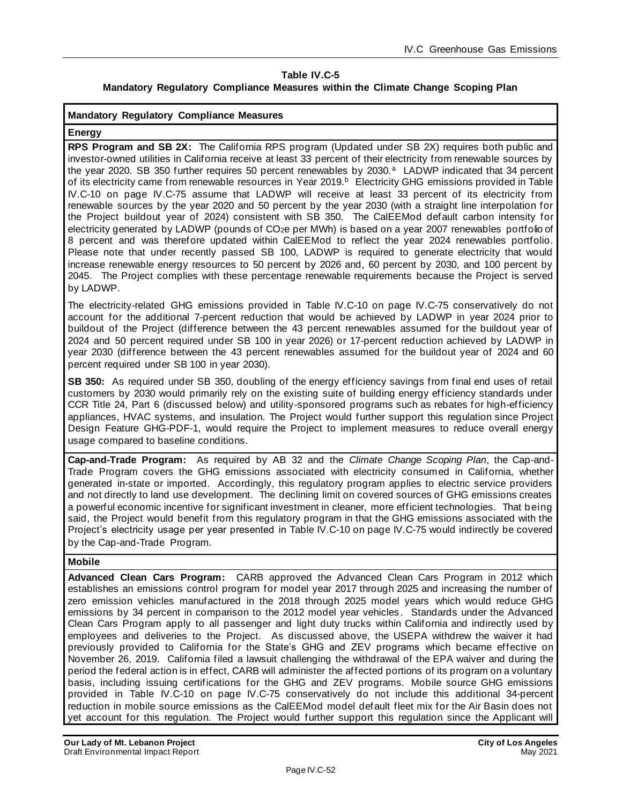#### **Table IV.C-5 Mandatory Regulatory Compliance Measures within the Climate Change Scoping Plan**

#### **Mandatory Regulatory Compliance Measures**

#### **Energy**

**RPS Program and SB 2X:** The California RPS program (Updated under SB 2X) requires both public and investor-owned utilities in California receive at least 33 percent of their electricity from renewable sources by the year 2020. SB 350 further requires 50 percent renewables by 2030.<sup>a</sup> LADWP indicated that 34 percent of its electricity came from renewable resources in Year 2019.<sup>b</sup> Electricity GHG emissions provided in Table IV.C-10 on page IV.C-75 assume that LADWP will receive at least 33 percent of its electricity from renewable sources by the year 2020 and 50 percent by the year 2030 (with a straight line interpolation for the Project buildout year of 2024) consistent with SB 350. The CalEEMod default carbon intensity for electricity generated by LADWP (pounds of CO2e per MWh) is based on a year 2007 renewables portfolio of 8 percent and was therefore updated within CalEEMod to reflect the year 2024 renewables portfolio. Please note that under recently passed SB 100, LADWP is required to generate electricity that would increase renewable energy resources to 50 percent by 2026 and, 60 percent by 2030, and 100 percent by 2045. The Project complies with these percentage renewable requirements because the Project is served by LADWP.

The electricity-related GHG emissions provided in Table IV.C-10 on page IV.C-75 conservatively do not account for the additional 7-percent reduction that would be achieved by LADWP in year 2024 prior to buildout of the Project (difference between the 43 percent renewables assumed for the buildout year of 2024 and 50 percent required under SB 100 in year 2026) or 17-percent reduction achieved by LADWP in year 2030 (difference between the 43 percent renewables assumed for the buildout year of 2024 and 60 percent required under SB 100 in year 2030).

**SB 350:** As required under SB 350, doubling of the energy efficiency savings from final end uses of retail customers by 2030 would primarily rely on the existing suite of building energy efficiency standards under CCR Title 24, Part 6 (discussed below) and utility-sponsored programs such as rebates for high-efficiency appliances, HVAC systems, and insulation. The Project would further support this regulation since Project Design Feature GHG-PDF-1, would require the Project to implement measures to reduce overall energy usage compared to baseline conditions.

**Cap-and-Trade Program:** As required by AB 32 and the *Climate Change Scoping Plan*, the Cap-and-Trade Program covers the GHG emissions associated with electricity consumed in California, whether generated in-state or imported. Accordingly, this regulatory program applies to electric service providers and not directly to land use development. The declining limit on covered sources of GHG emissions creates a powerful economic incentive for significant investment in cleaner, more efficient technologies. That being said, the Project would benefit from this regulatory program in that the GHG emissions associated with the Project's electricity usage per year presented in Table IV.C-10 on page IV.C-75 would indirectly be covered by the Cap-and-Trade Program.

#### **Mobile**

**Advanced Clean Cars Program:** CARB approved the Advanced Clean Cars Program in 2012 which establishes an emissions control program for model year 2017 through 2025 and increasing the number of zero emission vehicles manufactured in the 2018 through 2025 model years which would reduce GHG emissions by 34 percent in comparison to the 2012 model year vehicles. Standards under the Advanced Clean Cars Program apply to all passenger and light duty trucks within California and indirectly used by employees and deliveries to the Project. As discussed above, the USEPA withdrew the waiver it had previously provided to California for the State's GHG and ZEV programs which became effective on November 26, 2019. California filed a lawsuit challenging the withdrawal of the EPA waiver and during the period the federal action is in effect, CARB will administer the affected portions of its program on a voluntary basis, including issuing certifications for the GHG and ZEV programs. Mobile source GHG emissions provided in Table IV.C-10 on page IV.C-75 conservatively do not include this additional 34-percent reduction in mobile source emissions as the CalEEMod model default fleet mix for the Air Basin does not yet account for this regulation. The Project would further support this regulation since the Applicant will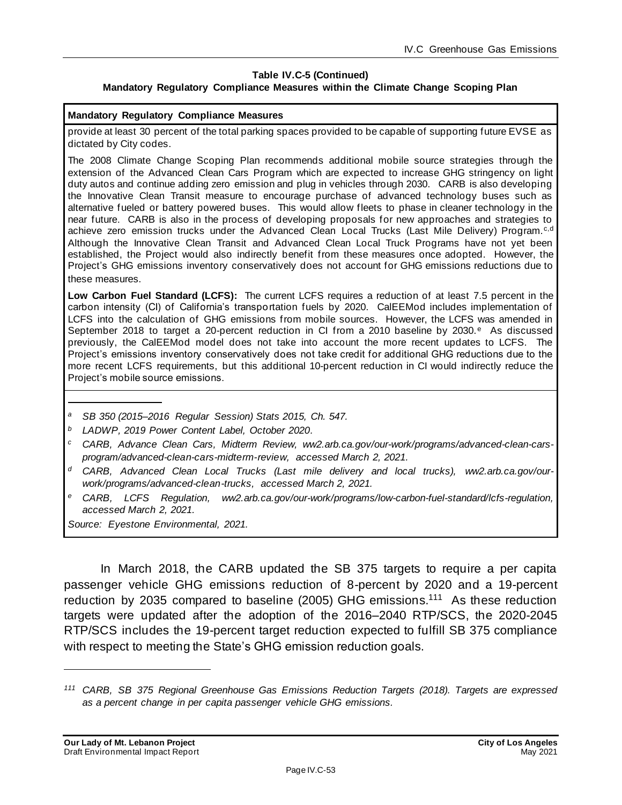#### **Table IV.C-5 (Continued) Mandatory Regulatory Compliance Measures within the Climate Change Scoping Plan**

#### **Mandatory Regulatory Compliance Measures**

provide at least 30 percent of the total parking spaces provided to be capable of supporting future EVSE as dictated by City codes.

The 2008 Climate Change Scoping Plan recommends additional mobile source strategies through the extension of the Advanced Clean Cars Program which are expected to increase GHG stringency on light duty autos and continue adding zero emission and plug in vehicles through 2030. CARB is also developing the Innovative Clean Transit measure to encourage purchase of advanced technology buses such as alternative fueled or battery powered buses. This would allow fleets to phase in cleaner technology in the near future. CARB is also in the process of developing proposals for new approaches and strategies to achieve zero emission trucks under the Advanced Clean Local Trucks (Last Mile Delivery) Program.<sup>c,d</sup> Although the Innovative Clean Transit and Advanced Clean Local Truck Programs have not yet been established, the Project would also indirectly benefit from these measures once adopted. However, the Project's GHG emissions inventory conservatively does not account for GHG emissions reductions due to these measures.

**Low Carbon Fuel Standard (LCFS):** The current LCFS requires a reduction of at least 7.5 percent in the carbon intensity (CI) of California's transportation fuels by 2020. CalEEMod includes implementation of LCFS into the calculation of GHG emissions from mobile sources. However, the LCFS was amended in September 2018 to target a 20-percent reduction in CI from a 2010 baseline by 2030. $e$  As discussed previously, the CalEEMod model does not take into account the more recent updates to LCFS. The Project's emissions inventory conservatively does not take credit for additional GHG reductions due to the more recent LCFS requirements, but this additional 10-percent reduction in CI would indirectly reduce the Project's mobile source emissions.

- *<sup>a</sup> SB 350 (2015–2016 Regular Session) Stats 2015, Ch. 547.*
- *<sup>b</sup> LADWP, 2019 Power Content Label, October 2020.*
- *<sup>c</sup> CARB, Advance Clean Cars, Midterm Review, ww2.arb.ca.gov/our-work/programs/advanced-clean-carsprogram/advanced-clean-cars-midterm-review, accessed March 2, 2021.*
- *<sup>d</sup> CARB, Advanced Clean Local Trucks (Last mile delivery and local trucks), ww2.arb.ca.gov/ourwork/programs/advanced-clean-trucks, accessed March 2, 2021.*
- *<sup>e</sup> CARB, LCFS Regulation, ww2.arb.ca.gov/our-work/programs/low-carbon-fuel-standard/lcfs-regulation, accessed March 2, 2021.*

*Source: Eyestone Environmental, 2021.*

In March 2018, the CARB updated the SB 375 targets to require a per capita passenger vehicle GHG emissions reduction of 8-percent by 2020 and a 19-percent reduction by 2035 compared to baseline (2005) GHG emissions.<sup>111</sup> As these reduction targets were updated after the adoption of the 2016–2040 RTP/SCS, the 2020-2045 RTP/SCS includes the 19-percent target reduction expected to fulfill SB 375 compliance with respect to meeting the State's GHG emission reduction goals.

*<sup>111</sup> CARB, SB 375 Regional Greenhouse Gas Emissions Reduction Targets (2018). Targets are expressed as a percent change in per capita passenger vehicle GHG emissions.*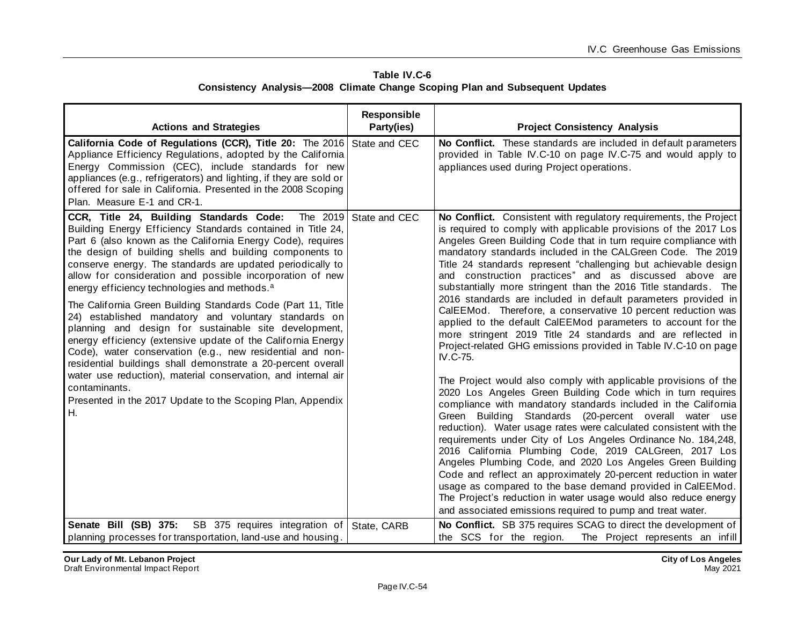| Table IV.C-6 |                                                                              |  |  |  |  |
|--------------|------------------------------------------------------------------------------|--|--|--|--|
|              | Consistency Analysis-2008 Climate Change Scoping Plan and Subsequent Updates |  |  |  |  |

| <b>Actions and Strategies</b>                                                                                                                                                                                                                                                                                                                                                                                                                                                                                                                                                                                                                                                                                                                                                                                                                                                                                                                                | Responsible<br>Party(ies) | <b>Project Consistency Analysis</b>                                                                                                                                                                                                                                                                                                                                                                                                                                                                                                                                                                                                                                                                                                                                                                                                                                                                                                                                                                                                                                                                                                                                                                                                                                                                                                                                                                                                                                                                                                                                                                                    |
|--------------------------------------------------------------------------------------------------------------------------------------------------------------------------------------------------------------------------------------------------------------------------------------------------------------------------------------------------------------------------------------------------------------------------------------------------------------------------------------------------------------------------------------------------------------------------------------------------------------------------------------------------------------------------------------------------------------------------------------------------------------------------------------------------------------------------------------------------------------------------------------------------------------------------------------------------------------|---------------------------|------------------------------------------------------------------------------------------------------------------------------------------------------------------------------------------------------------------------------------------------------------------------------------------------------------------------------------------------------------------------------------------------------------------------------------------------------------------------------------------------------------------------------------------------------------------------------------------------------------------------------------------------------------------------------------------------------------------------------------------------------------------------------------------------------------------------------------------------------------------------------------------------------------------------------------------------------------------------------------------------------------------------------------------------------------------------------------------------------------------------------------------------------------------------------------------------------------------------------------------------------------------------------------------------------------------------------------------------------------------------------------------------------------------------------------------------------------------------------------------------------------------------------------------------------------------------------------------------------------------------|
| California Code of Regulations (CCR), Title 20: The 2016 State and CEC<br>Appliance Efficiency Regulations, adopted by the California<br>Energy Commission (CEC), include standards for new<br>appliances (e.g., refrigerators) and lighting, if they are sold or<br>offered for sale in California. Presented in the 2008 Scoping<br>Plan. Measure E-1 and CR-1.                                                                                                                                                                                                                                                                                                                                                                                                                                                                                                                                                                                            |                           | No Conflict. These standards are included in default parameters<br>provided in Table IV.C-10 on page IV.C-75 and would apply to<br>appliances used during Project operations.                                                                                                                                                                                                                                                                                                                                                                                                                                                                                                                                                                                                                                                                                                                                                                                                                                                                                                                                                                                                                                                                                                                                                                                                                                                                                                                                                                                                                                          |
| CCR, Title 24, Building Standards Code:<br>Building Energy Efficiency Standards contained in Title 24,<br>Part 6 (also known as the California Energy Code), requires<br>the design of building shells and building components to<br>conserve energy. The standards are updated periodically to<br>allow for consideration and possible incorporation of new<br>energy efficiency technologies and methods. <sup>a</sup><br>The California Green Building Standards Code (Part 11, Title<br>24) established mandatory and voluntary standards on<br>planning and design for sustainable site development,<br>energy efficiency (extensive update of the California Energy<br>Code), water conservation (e.g., new residential and non-<br>residential buildings shall demonstrate a 20-percent overall<br>water use reduction), material conservation, and internal air<br>contaminants.<br>Presented in the 2017 Update to the Scoping Plan, Appendix<br>Н. | The 2019 State and CEC    | No Conflict. Consistent with regulatory requirements, the Project<br>is required to comply with applicable provisions of the 2017 Los<br>Angeles Green Building Code that in turn require compliance with<br>mandatory standards included in the CALGreen Code. The 2019<br>Title 24 standards represent "challenging but achievable design<br>and construction practices" and as discussed above are<br>substantially more stringent than the 2016 Title standards. The<br>2016 standards are included in default parameters provided in<br>CalEEMod. Therefore, a conservative 10 percent reduction was<br>applied to the default CalEEMod parameters to account for the<br>more stringent 2019 Title 24 standards and are reflected in<br>Project-related GHG emissions provided in Table IV.C-10 on page<br>IV.C-75.<br>The Project would also comply with applicable provisions of the<br>2020 Los Angeles Green Building Code which in turn requires<br>compliance with mandatory standards included in the California<br>Green Building Standards (20-percent overall water use<br>reduction). Water usage rates were calculated consistent with the<br>requirements under City of Los Angeles Ordinance No. 184,248,<br>2016 California Plumbing Code, 2019 CALGreen, 2017 Los<br>Angeles Plumbing Code, and 2020 Los Angeles Green Building<br>Code and reflect an approximately 20-percent reduction in water<br>usage as compared to the base demand provided in CalEEMod.<br>The Project's reduction in water usage would also reduce energy<br>and associated emissions required to pump and treat water. |
| Senate Bill (SB) 375:<br>SB 375 requires integration of                                                                                                                                                                                                                                                                                                                                                                                                                                                                                                                                                                                                                                                                                                                                                                                                                                                                                                      | State, CARB               | No Conflict. SB 375 requires SCAG to direct the development of                                                                                                                                                                                                                                                                                                                                                                                                                                                                                                                                                                                                                                                                                                                                                                                                                                                                                                                                                                                                                                                                                                                                                                                                                                                                                                                                                                                                                                                                                                                                                         |
| planning processes for transportation, land-use and housing.                                                                                                                                                                                                                                                                                                                                                                                                                                                                                                                                                                                                                                                                                                                                                                                                                                                                                                 |                           | the SCS for the region.<br>The Project represents an infill                                                                                                                                                                                                                                                                                                                                                                                                                                                                                                                                                                                                                                                                                                                                                                                                                                                                                                                                                                                                                                                                                                                                                                                                                                                                                                                                                                                                                                                                                                                                                            |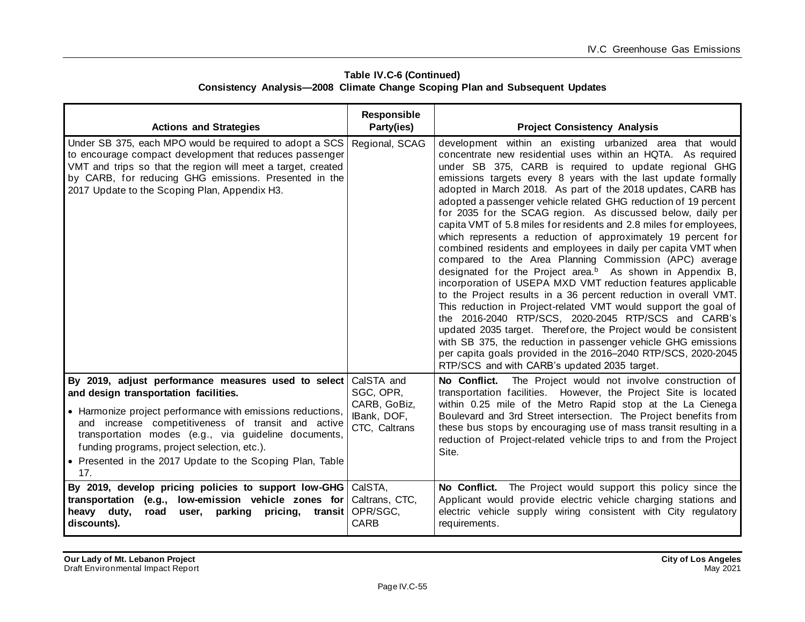| Table IV.C-6 (Continued) |                                                                                     |  |  |  |  |
|--------------------------|-------------------------------------------------------------------------------------|--|--|--|--|
|                          | <b>Consistency Analysis-2008 Climate Change Scoping Plan and Subsequent Updates</b> |  |  |  |  |

| <b>Actions and Strategies</b>                                                                                                                                                                                                                                                                                                                                                               | Responsible<br>Party(ies)                                               | <b>Project Consistency Analysis</b>                                                                                                                                                                                                                                                                                                                                                                                                                                                                                                                                                                                                                                                                                                                                                                                                                                                                                                                                                                                                                                                                                                                                                                                                                                                                               |
|---------------------------------------------------------------------------------------------------------------------------------------------------------------------------------------------------------------------------------------------------------------------------------------------------------------------------------------------------------------------------------------------|-------------------------------------------------------------------------|-------------------------------------------------------------------------------------------------------------------------------------------------------------------------------------------------------------------------------------------------------------------------------------------------------------------------------------------------------------------------------------------------------------------------------------------------------------------------------------------------------------------------------------------------------------------------------------------------------------------------------------------------------------------------------------------------------------------------------------------------------------------------------------------------------------------------------------------------------------------------------------------------------------------------------------------------------------------------------------------------------------------------------------------------------------------------------------------------------------------------------------------------------------------------------------------------------------------------------------------------------------------------------------------------------------------|
| Under SB 375, each MPO would be required to adopt a SCS<br>to encourage compact development that reduces passenger<br>VMT and trips so that the region will meet a target, created<br>by CARB, for reducing GHG emissions. Presented in the<br>2017 Update to the Scoping Plan, Appendix H3.                                                                                                | Regional, SCAG                                                          | development within an existing urbanized area that would<br>concentrate new residential uses within an HQTA. As required<br>under SB 375, CARB is required to update regional GHG<br>emissions targets every 8 years with the last update formally<br>adopted in March 2018. As part of the 2018 updates, CARB has<br>adopted a passenger vehicle related GHG reduction of 19 percent<br>for 2035 for the SCAG region. As discussed below, daily per<br>capita VMT of 5.8 miles for residents and 2.8 miles for employees,<br>which represents a reduction of approximately 19 percent for<br>combined residents and employees in daily per capita VMT when<br>compared to the Area Planning Commission (APC) average<br>designated for the Project area. <sup>b</sup> As shown in Appendix B,<br>incorporation of USEPA MXD VMT reduction features applicable<br>to the Project results in a 36 percent reduction in overall VMT.<br>This reduction in Project-related VMT would support the goal of<br>the 2016-2040 RTP/SCS, 2020-2045 RTP/SCS and CARB's<br>updated 2035 target. Therefore, the Project would be consistent<br>with SB 375, the reduction in passenger vehicle GHG emissions<br>per capita goals provided in the 2016-2040 RTP/SCS, 2020-2045<br>RTP/SCS and with CARB's updated 2035 target. |
| By 2019, adjust performance measures used to select<br>and design transportation facilities.<br>• Harmonize project performance with emissions reductions,<br>and increase competitiveness of transit and active<br>transportation modes (e.g., via guideline documents,<br>funding programs, project selection, etc.).<br>• Presented in the 2017 Update to the Scoping Plan, Table<br>17. | CalSTA and<br>SGC, OPR,<br>CARB, GoBiz,<br>IBank, DOF,<br>CTC, Caltrans | No Conflict. The Project would not involve construction of<br>transportation facilities. However, the Project Site is located<br>within 0.25 mile of the Metro Rapid stop at the La Cienega<br>Boulevard and 3rd Street intersection. The Project benefits from<br>these bus stops by encouraging use of mass transit resulting in a<br>reduction of Project-related vehicle trips to and from the Project<br>Site.                                                                                                                                                                                                                                                                                                                                                                                                                                                                                                                                                                                                                                                                                                                                                                                                                                                                                               |
| By 2019, develop pricing policies to support low-GHG CalSTA,<br>transportation (e.g., low-emission vehicle zones for<br>heavy duty,<br>user, parking<br>pricing,<br>road<br>transit<br>discounts).                                                                                                                                                                                          | Caltrans, CTC,<br>OPR/SGC,<br><b>CARB</b>                               | No Conflict. The Project would support this policy since the<br>Applicant would provide electric vehicle charging stations and<br>electric vehicle supply wiring consistent with City regulatory<br>requirements.                                                                                                                                                                                                                                                                                                                                                                                                                                                                                                                                                                                                                                                                                                                                                                                                                                                                                                                                                                                                                                                                                                 |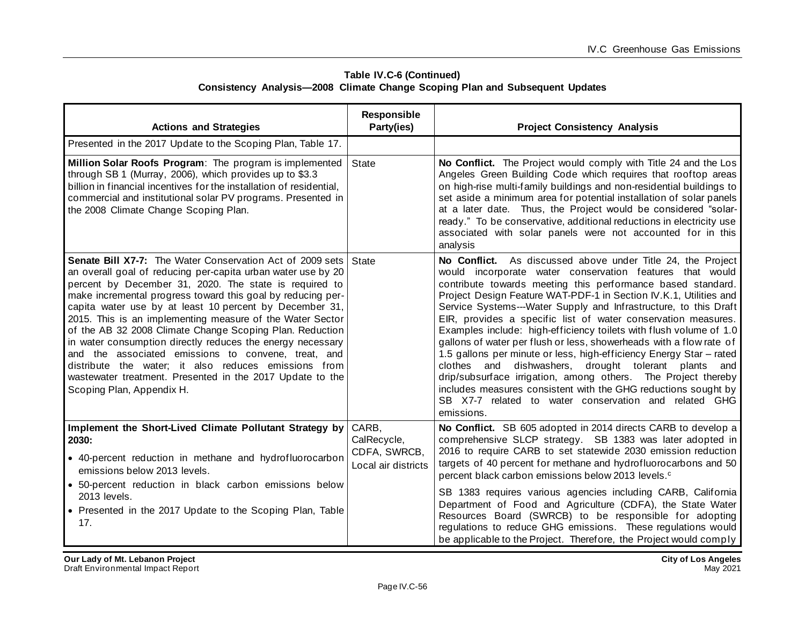| Table IV.C-6 (Continued) |                                                                                     |  |  |  |  |
|--------------------------|-------------------------------------------------------------------------------------|--|--|--|--|
|                          | <b>Consistency Analysis-2008 Climate Change Scoping Plan and Subsequent Updates</b> |  |  |  |  |

| <b>Actions and Strategies</b>                                                                                                                                                                                                                                                                                                                                                                                                                                                                                                                                                                                                                                                                                 | Responsible<br>Party(ies)                                   | <b>Project Consistency Analysis</b>                                                                                                                                                                                                                                                                                                                                                                                                                                                                                                                                                                                                                                                                                                                                                                                                                                                       |
|---------------------------------------------------------------------------------------------------------------------------------------------------------------------------------------------------------------------------------------------------------------------------------------------------------------------------------------------------------------------------------------------------------------------------------------------------------------------------------------------------------------------------------------------------------------------------------------------------------------------------------------------------------------------------------------------------------------|-------------------------------------------------------------|-------------------------------------------------------------------------------------------------------------------------------------------------------------------------------------------------------------------------------------------------------------------------------------------------------------------------------------------------------------------------------------------------------------------------------------------------------------------------------------------------------------------------------------------------------------------------------------------------------------------------------------------------------------------------------------------------------------------------------------------------------------------------------------------------------------------------------------------------------------------------------------------|
| Presented in the 2017 Update to the Scoping Plan, Table 17.                                                                                                                                                                                                                                                                                                                                                                                                                                                                                                                                                                                                                                                   |                                                             |                                                                                                                                                                                                                                                                                                                                                                                                                                                                                                                                                                                                                                                                                                                                                                                                                                                                                           |
| Million Solar Roofs Program: The program is implemented<br>through SB 1 (Murray, 2006), which provides up to \$3.3<br>billion in financial incentives for the installation of residential,<br>commercial and institutional solar PV programs. Presented in<br>the 2008 Climate Change Scoping Plan.                                                                                                                                                                                                                                                                                                                                                                                                           | State                                                       | No Conflict. The Project would comply with Title 24 and the Los<br>Angeles Green Building Code which requires that rooftop areas<br>on high-rise multi-family buildings and non-residential buildings to<br>set aside a minimum area for potential installation of solar panels<br>at a later date. Thus, the Project would be considered "solar-<br>ready." To be conservative, additional reductions in electricity use<br>associated with solar panels were not accounted for in this<br>analysis                                                                                                                                                                                                                                                                                                                                                                                      |
| Senate Bill X7-7: The Water Conservation Act of 2009 sets<br>an overall goal of reducing per-capita urban water use by 20<br>percent by December 31, 2020. The state is required to<br>make incremental progress toward this goal by reducing per-<br>capita water use by at least 10 percent by December 31,<br>2015. This is an implementing measure of the Water Sector<br>of the AB 32 2008 Climate Change Scoping Plan. Reduction<br>in water consumption directly reduces the energy necessary<br>and the associated emissions to convene, treat, and<br>distribute the water; it also reduces emissions from<br>wastewater treatment. Presented in the 2017 Update to the<br>Scoping Plan, Appendix H. | State                                                       | No Conflict. As discussed above under Title 24, the Project<br>would incorporate water conservation features that would<br>contribute towards meeting this performance based standard.<br>Project Design Feature WAT-PDF-1 in Section IV.K.1, Utilities and<br>Service Systems---Water Supply and Infrastructure, to this Draft<br>EIR, provides a specific list of water conservation measures.<br>Examples include: high-efficiency toilets with flush volume of 1.0<br>gallons of water per flush or less, showerheads with a flow rate of<br>1.5 gallons per minute or less, high-efficiency Energy Star - rated<br>clothes and<br>dishwashers, drought tolerant plants and<br>drip/subsurface irrigation, among others. The Project thereby<br>includes measures consistent with the GHG reductions sought by<br>SB X7-7 related to water conservation and related GHG<br>emissions. |
| Implement the Short-Lived Climate Pollutant Strategy by<br>2030:<br>• 40-percent reduction in methane and hydrofluorocarbon<br>emissions below 2013 levels.<br>· 50-percent reduction in black carbon emissions below<br>2013 levels.<br>• Presented in the 2017 Update to the Scoping Plan, Table<br>17.                                                                                                                                                                                                                                                                                                                                                                                                     | CARB.<br>CalRecycle,<br>CDFA, SWRCB,<br>Local air districts | No Conflict. SB 605 adopted in 2014 directs CARB to develop a<br>comprehensive SLCP strategy. SB 1383 was later adopted in<br>2016 to require CARB to set statewide 2030 emission reduction<br>targets of 40 percent for methane and hydrofluorocarbons and 50<br>percent black carbon emissions below 2013 levels. <sup>c</sup><br>SB 1383 requires various agencies including CARB, California<br>Department of Food and Agriculture (CDFA), the State Water<br>Resources Board (SWRCB) to be responsible for adopting<br>regulations to reduce GHG emissions. These regulations would<br>be applicable to the Project. Therefore, the Project would comply                                                                                                                                                                                                                             |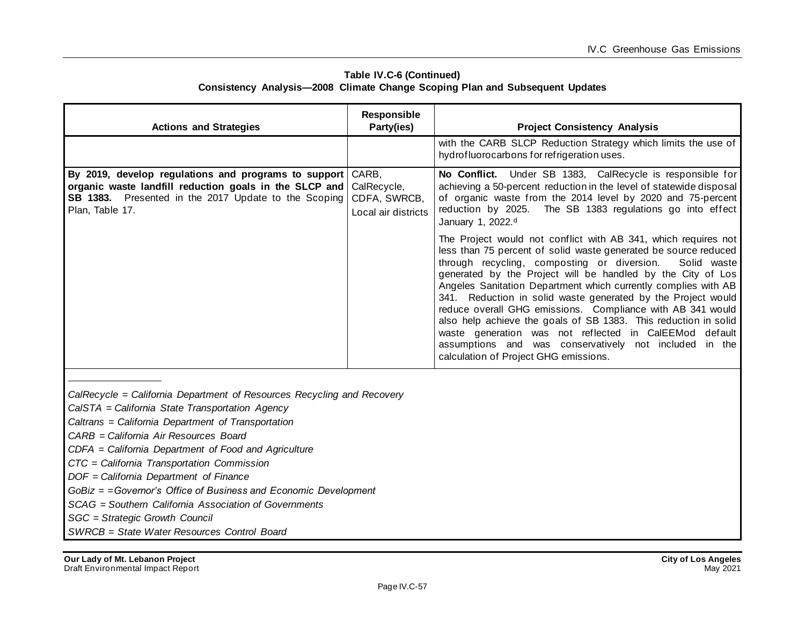| <b>Actions and Strategies</b>                                                                                                                                                             | <b>Responsible</b><br>Party(ies)                            | <b>Project Consistency Analysis</b>                                                                                                                                                                                                                                                                                                                                                                                                                                                                                                                                                                                                                                                                                                                                                                                                                                                                                                                                                             |
|-------------------------------------------------------------------------------------------------------------------------------------------------------------------------------------------|-------------------------------------------------------------|-------------------------------------------------------------------------------------------------------------------------------------------------------------------------------------------------------------------------------------------------------------------------------------------------------------------------------------------------------------------------------------------------------------------------------------------------------------------------------------------------------------------------------------------------------------------------------------------------------------------------------------------------------------------------------------------------------------------------------------------------------------------------------------------------------------------------------------------------------------------------------------------------------------------------------------------------------------------------------------------------|
|                                                                                                                                                                                           |                                                             | with the CARB SLCP Reduction Strategy which limits the use of<br>hydrofluorocarbons for refrigeration uses.                                                                                                                                                                                                                                                                                                                                                                                                                                                                                                                                                                                                                                                                                                                                                                                                                                                                                     |
| By 2019, develop regulations and programs to support<br>organic waste landfill reduction goals in the SLCP and<br>SB 1383. Presented in the 2017 Update to the Scoping<br>Plan, Table 17. | CARB,<br>CalRecycle,<br>CDFA, SWRCB,<br>Local air districts | No Conflict. Under SB 1383, CalRecycle is responsible for<br>achieving a 50-percent reduction in the level of statewide disposal<br>of organic waste from the 2014 level by 2020 and 75-percent<br>reduction by 2025. The SB 1383 regulations go into effect<br>January 1, 2022. <sup>d</sup><br>The Project would not conflict with AB 341, which requires not<br>less than 75 percent of solid waste generated be source reduced<br>through recycling, composting or diversion.<br>Solid waste<br>generated by the Project will be handled by the City of Los<br>Angeles Sanitation Department which currently complies with AB<br>341. Reduction in solid waste generated by the Project would<br>reduce overall GHG emissions. Compliance with AB 341 would<br>also help achieve the goals of SB 1383. This reduction in solid<br>waste generation was not reflected in CalEEMod default<br>assumptions and was conservatively not included in the<br>calculation of Project GHG emissions. |

#### **Table IV.C-6 (Continued) Consistency Analysis—2008 Climate Change Scoping Plan and Subsequent Updates**

*CalRecycle = California Department of Resources Recycling and Recovery*

*CalSTA = California State Transportation Agency*

*Caltrans = California Department of Transportation*

*CARB = California Air Resources Board*

*CDFA = California Department of Food and Agriculture*

*CTC = California Transportation Commission*

*DOF = California Department of Finance*

*GoBiz = =Governor's Office of Business and Economic Development*

*SCAG = Southern California Association of Governments*

*SGC = Strategic Growth Council*

*SWRCB = State Water Resources Control Board*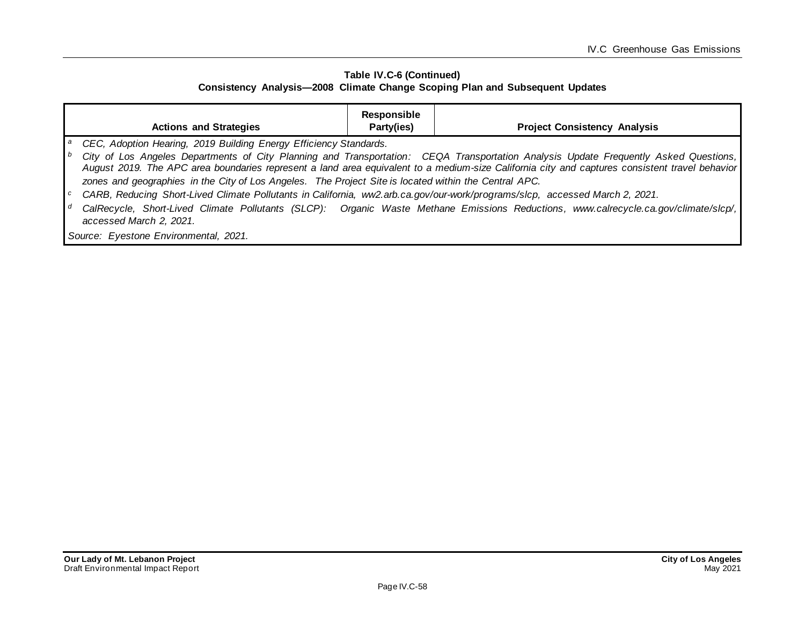#### **Table IV.C-6 (Continued) Consistency Analysis—2008 Climate Change Scoping Plan and Subsequent Updates**

|                | <b>Actions and Strategies</b>                                                                                               | Responsible<br>Party(ies) | <b>Project Consistency Analysis</b>                                                                                                                                                                                                                                                    |
|----------------|-----------------------------------------------------------------------------------------------------------------------------|---------------------------|----------------------------------------------------------------------------------------------------------------------------------------------------------------------------------------------------------------------------------------------------------------------------------------|
|                | CEC, Adoption Hearing, 2019 Building Energy Efficiency Standards.                                                           |                           |                                                                                                                                                                                                                                                                                        |
| $\mathsf{L}^b$ | zones and geographies in the City of Los Angeles. The Project Site is located within the Central APC.                       |                           | City of Los Angeles Departments of City Planning and Transportation: CEQA Transportation Analysis Update Frequently Asked Questions,<br>August 2019. The APC area boundaries represent a land area equivalent to a medium-size California city and captures consistent travel behavior |
| $\overline{c}$ | CARB, Reducing Short-Lived Climate Pollutants in California, ww2.arb.ca.gov/our-work/programs/slcp, accessed March 2, 2021. |                           |                                                                                                                                                                                                                                                                                        |
| $\mathsf{I}$ d | accessed March 2, 2021.                                                                                                     |                           | CalRecycle, Short-Lived Climate Pollutants (SLCP): Organic Waste Methane Emissions Reductions, www.calrecycle.ca.gov/climate/slcp/,                                                                                                                                                    |
|                | Source: Eyestone Environmental, 2021.                                                                                       |                           |                                                                                                                                                                                                                                                                                        |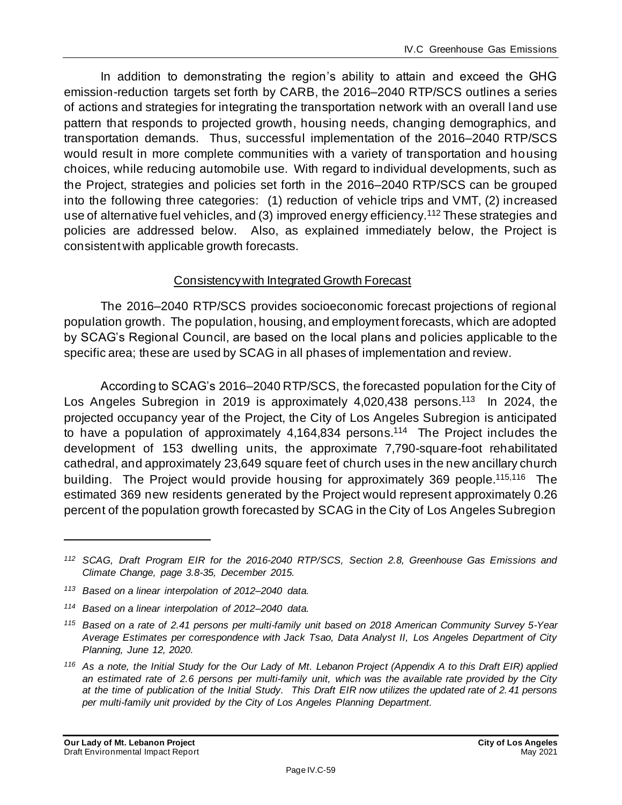In addition to demonstrating the region's ability to attain and exceed the GHG emission-reduction targets set forth by CARB, the 2016–2040 RTP/SCS outlines a series of actions and strategies for integrating the transportation network with an overall land use pattern that responds to projected growth, housing needs, changing demographics, and transportation demands. Thus, successful implementation of the 2016–2040 RTP/SCS would result in more complete communities with a variety of transportation and housing choices, while reducing automobile use. With regard to individual developments, such as the Project, strategies and policies set forth in the 2016–2040 RTP/SCS can be grouped into the following three categories: (1) reduction of vehicle trips and VMT, (2) increased use of alternative fuel vehicles, and (3) improved energy efficiency.<sup>112</sup> These strategies and policies are addressed below. Also, as explained immediately below, the Project is consistent with applicable growth forecasts.

### Consistency with Integrated Growth Forecast

The 2016–2040 RTP/SCS provides socioeconomic forecast projections of regional population growth. The population, housing, and employment forecasts, which are adopted by SCAG's Regional Council, are based on the local plans and policies applicable to the specific area; these are used by SCAG in all phases of implementation and review.

According to SCAG's 2016–2040 RTP/SCS, the forecasted population for the City of Los Angeles Subregion in 2019 is approximately 4,020,438 persons.<sup>113</sup> In 2024, the projected occupancy year of the Project, the City of Los Angeles Subregion is anticipated to have a population of approximately 4,164,834 persons.<sup>114</sup> The Project includes the development of 153 dwelling units, the approximate 7,790-square-foot rehabilitated cathedral, and approximately 23,649 square feet of church uses in the new ancillary church building. The Project would provide housing for approximately 369 people.<sup>115,116</sup> The estimated 369 new residents generated by the Project would represent approximately 0.26 percent of the population growth forecasted by SCAG in the City of Los Angeles Subregion

*<sup>112</sup> SCAG, Draft Program EIR for the 2016-2040 RTP/SCS, Section 2.8, Greenhouse Gas Emissions and Climate Change, page 3.8-35, December 2015.*

*<sup>113</sup> Based on a linear interpolation of 2012–2040 data.*

*<sup>114</sup> Based on a linear interpolation of 2012–2040 data.*

*<sup>115</sup> Based on a rate of 2.41 persons per multi-family unit based on 2018 American Community Survey 5-Year Average Estimates per correspondence with Jack Tsao, Data Analyst II, Los Angeles Department of City Planning, June 12, 2020.*

*<sup>116</sup> As a note, the Initial Study for the Our Lady of Mt. Lebanon Project (Appendix A to this Draft EIR) applied an estimated rate of 2.6 persons per multi-family unit, which was the available rate provided by the City at the time of publication of the Initial Study. This Draft EIR now utilizes the updated rate of 2. 41 persons per multi-family unit provided by the City of Los Angeles Planning Department.*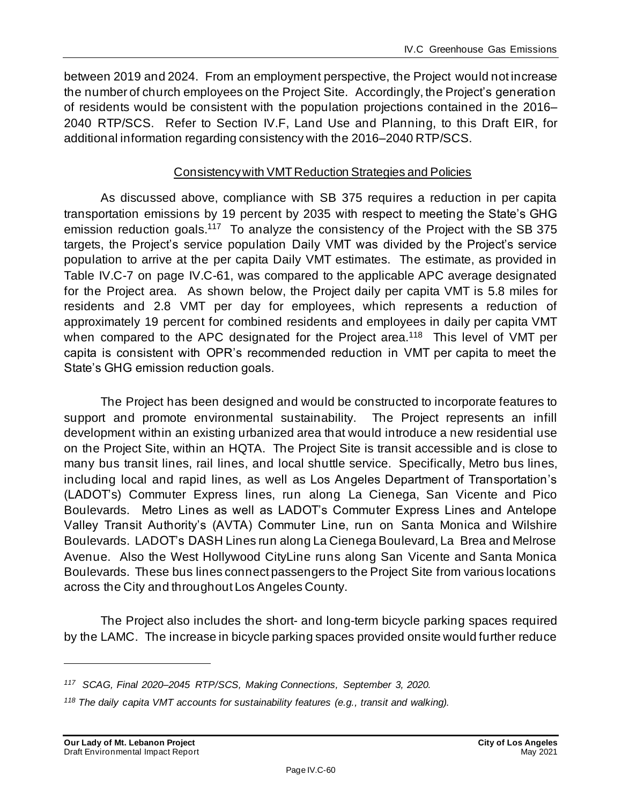between 2019 and 2024. From an employment perspective, the Project would not increase the number of church employees on the Project Site. Accordingly, the Project's generation of residents would be consistent with the population projections contained in the 2016– 2040 RTP/SCS. Refer to Section IV.F, Land Use and Planning, to this Draft EIR, for additional information regarding consistency with the 2016–2040 RTP/SCS.

## Consistency with VMT Reduction Strategies and Policies

As discussed above, compliance with SB 375 requires a reduction in per capita transportation emissions by 19 percent by 2035 with respect to meeting the State's GHG emission reduction goals.<sup>117</sup> To analyze the consistency of the Project with the SB 375 targets, the Project's service population Daily VMT was divided by the Project's service population to arrive at the per capita Daily VMT estimates. The estimate, as provided in Table IV.C-7 on page IV.C-61, was compared to the applicable APC average designated for the Project area. As shown below, the Project daily per capita VMT is 5.8 miles for residents and 2.8 VMT per day for employees, which represents a reduction of approximately 19 percent for combined residents and employees in daily per capita VMT when compared to the APC designated for the Project area.<sup>118</sup> This level of VMT per capita is consistent with OPR's recommended reduction in VMT per capita to meet the State's GHG emission reduction goals.

The Project has been designed and would be constructed to incorporate features to support and promote environmental sustainability. The Project represents an infill development within an existing urbanized area that would introduce a new residential use on the Project Site, within an HQTA. The Project Site is transit accessible and is close to many bus transit lines, rail lines, and local shuttle service. Specifically, Metro bus lines, including local and rapid lines, as well as Los Angeles Department of Transportation's (LADOT's) Commuter Express lines, run along La Cienega, San Vicente and Pico Boulevards. Metro Lines as well as LADOT's Commuter Express Lines and Antelope Valley Transit Authority's (AVTA) Commuter Line, run on Santa Monica and Wilshire Boulevards. LADOT's DASH Lines run along La Cienega Boulevard, La Brea and Melrose Avenue. Also the West Hollywood CityLine runs along San Vicente and Santa Monica Boulevards. These bus lines connect passengers to the Project Site from various locations across the City and throughout Los Angeles County.

The Project also includes the short- and long-term bicycle parking spaces required by the LAMC. The increase in bicycle parking spaces provided onsite would further reduce

*<sup>117</sup> SCAG, Final 2020–2045 RTP/SCS, Making Connections, September 3, 2020.*

*<sup>118</sup> The daily capita VMT accounts for sustainability features (e.g., transit and walking).*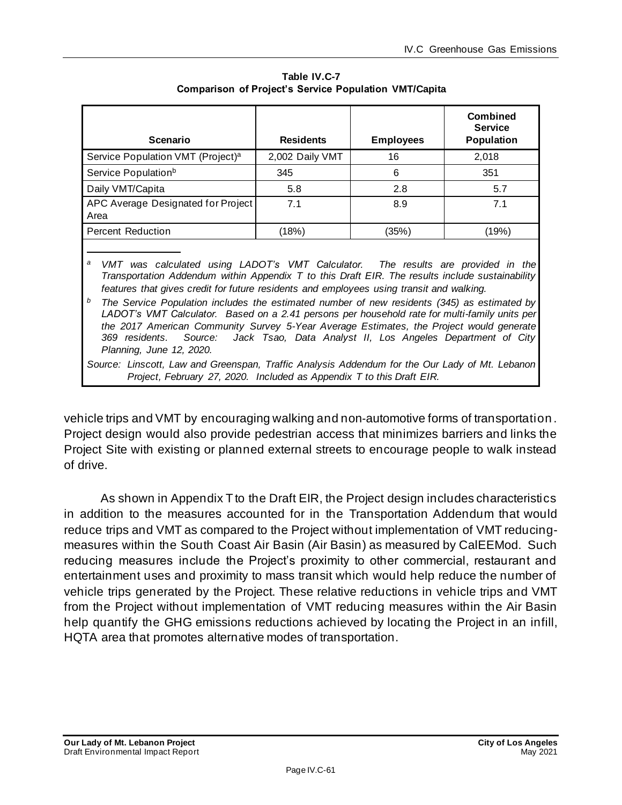| <b>Scenario</b>                               | <b>Residents</b> | <b>Employees</b> | <b>Combined</b><br><b>Service</b><br><b>Population</b> |
|-----------------------------------------------|------------------|------------------|--------------------------------------------------------|
| Service Population VMT (Project) <sup>a</sup> | 2,002 Daily VMT  | 16               | 2,018                                                  |
| Service Population <sup>b</sup>               | 345              | 6                | 351                                                    |
| Daily VMT/Capita                              | 5.8              | 2.8              | 5.7                                                    |
| APC Average Designated for Project<br>Area    | 7.1              | 8.9              | 7.1                                                    |
| <b>Percent Reduction</b>                      | (18%)            | (35%)            | (19%)                                                  |
|                                               |                  |                  |                                                        |

**Table IV.C-7 Comparison of Project's Service Population VMT/Capita** 

*<sup>a</sup> VMT was calculated using LADOT's VMT Calculator. The results are provided in the Transportation Addendum within Appendix T to this Draft EIR. The results include sustainability features that gives credit for future residents and employees using transit and walking.*

*<sup>b</sup> The Service Population includes the estimated number of new residents (345) as estimated by LADOT's VMT Calculator. Based on a 2.41 persons per household rate for multi-family units per the 2017 American Community Survey 5-Year Average Estimates, the Project would generate 369 residents. Source: Jack Tsao, Data Analyst II, Los Angeles Department of City Planning, June 12, 2020.*

*Source: Linscott, Law and Greenspan, Traffic Analysis Addendum for the Our Lady of Mt. Lebanon Project, February 27, 2020. Included as Appendix T to this Draft EIR.*

vehicle trips and VMT by encouraging walking and non‐automotive forms of transportation . Project design would also provide pedestrian access that minimizes barriers and links the Project Site with existing or planned external streets to encourage people to walk instead of drive.

As shown in Appendix T to the Draft EIR, the Project design includes characteristics in addition to the measures accounted for in the Transportation Addendum that would reduce trips and VMT as compared to the Project without implementation of VMT reducingmeasures within the South Coast Air Basin (Air Basin) as measured by CalEEMod. Such reducing measures include the Project's proximity to other commercial, restaurant and entertainment uses and proximity to mass transit which would help reduce the number of vehicle trips generated by the Project. These relative reductions in vehicle trips and VMT from the Project without implementation of VMT reducing measures within the Air Basin help quantify the GHG emissions reductions achieved by locating the Project in an infill, HQTA area that promotes alternative modes of transportation.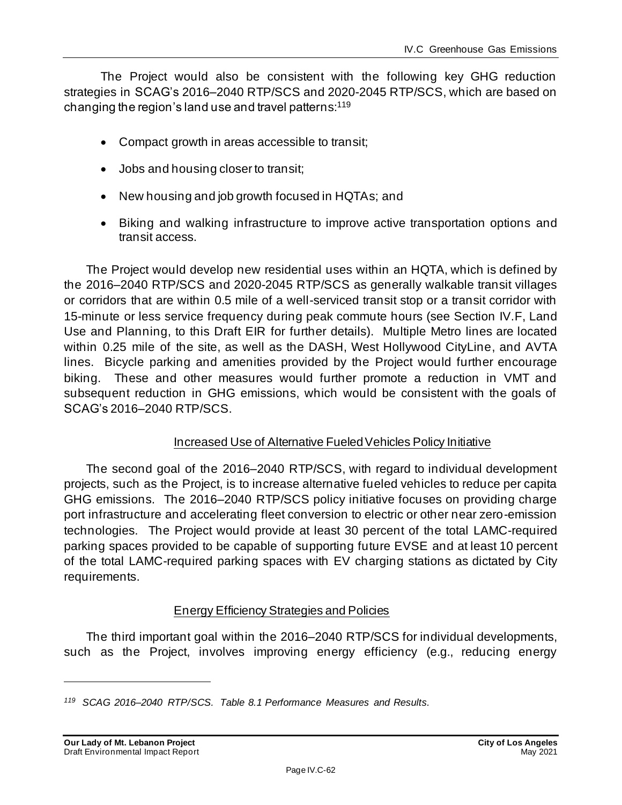The Project would also be consistent with the following key GHG reduction strategies in SCAG's 2016–2040 RTP/SCS and 2020-2045 RTP/SCS, which are based on changing the region's land use and travel patterns: 119

- Compact growth in areas accessible to transit;
- Jobs and housing closer to transit;
- New housing and job growth focused in HQTAs; and
- Biking and walking infrastructure to improve active transportation options and transit access.

The Project would develop new residential uses within an HQTA, which is defined by the 2016–2040 RTP/SCS and 2020-2045 RTP/SCS as generally walkable transit villages or corridors that are within 0.5 mile of a well-serviced transit stop or a transit corridor with 15-minute or less service frequency during peak commute hours (see Section IV.F, Land Use and Planning, to this Draft EIR for further details). Multiple Metro lines are located within 0.25 mile of the site, as well as the DASH, West Hollywood CityLine, and AVTA lines. Bicycle parking and amenities provided by the Project would further encourage biking. These and other measures would further promote a reduction in VMT and subsequent reduction in GHG emissions, which would be consistent with the goals of SCAG's 2016–2040 RTP/SCS.

### Increased Use of Alternative Fueled Vehicles Policy Initiative

The second goal of the 2016–2040 RTP/SCS, with regard to individual development projects, such as the Project, is to increase alternative fueled vehicles to reduce per capita GHG emissions. The 2016–2040 RTP/SCS policy initiative focuses on providing charge port infrastructure and accelerating fleet conversion to electric or other near zero-emission technologies. The Project would provide at least 30 percent of the total LAMC-required parking spaces provided to be capable of supporting future EVSE and at least 10 percent of the total LAMC-required parking spaces with EV charging stations as dictated by City requirements.

# Energy Efficiency Strategies and Policies

The third important goal within the 2016–2040 RTP/SCS for individual developments, such as the Project, involves improving energy efficiency (e.g., reducing energy

*<sup>119</sup> SCAG 2016–2040 RTP/SCS. Table 8.1 Performance Measures and Results.*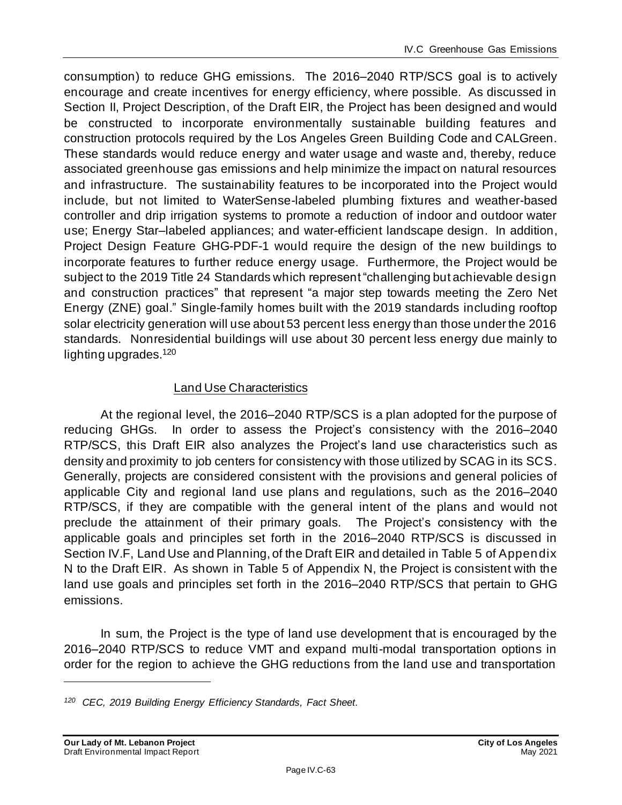consumption) to reduce GHG emissions. The 2016–2040 RTP/SCS goal is to actively encourage and create incentives for energy efficiency, where possible. As discussed in Section II, Project Description, of the Draft EIR, the Project has been designed and would be constructed to incorporate environmentally sustainable building features and construction protocols required by the Los Angeles Green Building Code and CALGreen. These standards would reduce energy and water usage and waste and, thereby, reduce associated greenhouse gas emissions and help minimize the impact on natural resources and infrastructure. The sustainability features to be incorporated into the Project would include, but not limited to WaterSense-labeled plumbing fixtures and weather-based controller and drip irrigation systems to promote a reduction of indoor and outdoor water use; Energy Star–labeled appliances; and water-efficient landscape design. In addition, Project Design Feature GHG-PDF-1 would require the design of the new buildings to incorporate features to further reduce energy usage. Furthermore, the Project would be subject to the 2019 Title 24 Standards which represent "challenging but achievable design and construction practices" that represent "a major step towards meeting the Zero Net Energy (ZNE) goal." Single-family homes built with the 2019 standards including rooftop solar electricity generation will use about 53 percent less energy than those under the 2016 standards. Nonresidential buildings will use about 30 percent less energy due mainly to lighting upgrades.<sup>120</sup>

# Land Use Characteristics

At the regional level, the 2016–2040 RTP/SCS is a plan adopted for the purpose of reducing GHGs. In order to assess the Project's consistency with the 2016–2040 RTP/SCS, this Draft EIR also analyzes the Project's land use characteristics such as density and proximity to job centers for consistency with those utilized by SCAG in its SCS. Generally, projects are considered consistent with the provisions and general policies of applicable City and regional land use plans and regulations, such as the 2016–2040 RTP/SCS, if they are compatible with the general intent of the plans and would not preclude the attainment of their primary goals. The Project's consistency with the applicable goals and principles set forth in the 2016–2040 RTP/SCS is discussed in Section IV.F, Land Use and Planning, of the Draft EIR and detailed in Table 5 of Appendix N to the Draft EIR. As shown in Table 5 of Appendix N, the Project is consistent with the land use goals and principles set forth in the 2016–2040 RTP/SCS that pertain to GHG emissions.

In sum, the Project is the type of land use development that is encouraged by the 2016–2040 RTP/SCS to reduce VMT and expand multi-modal transportation options in order for the region to achieve the GHG reductions from the land use and transportation

*<sup>120</sup> CEC, 2019 Building Energy Efficiency Standards, Fact Sheet.*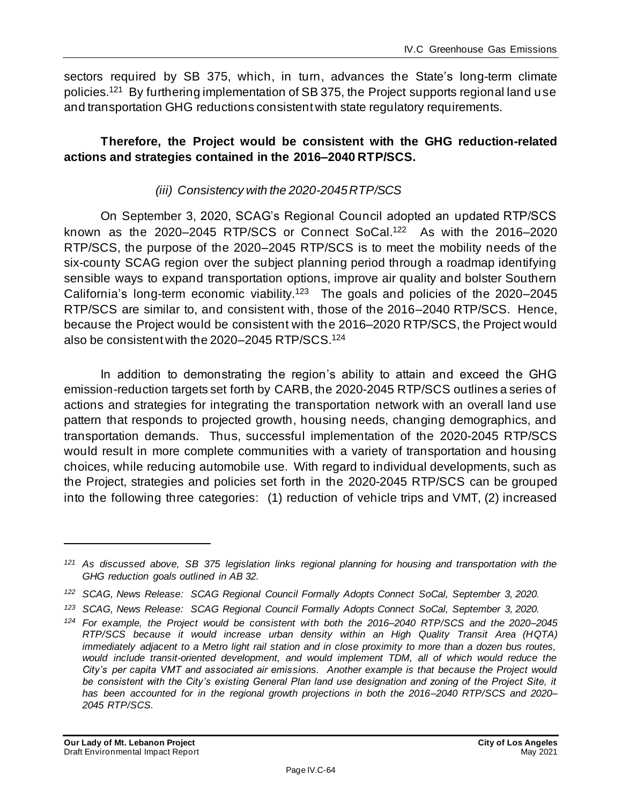sectors required by SB 375, which, in turn, advances the State's long-term climate policies.<sup>121</sup> By furthering implementation of SB 375, the Project supports regional land use and transportation GHG reductions consistent with state regulatory requirements.

# **Therefore, the Project would be consistent with the GHG reduction-related actions and strategies contained in the 2016–2040 RTP/SCS.**

# *(iii) Consistency with the 2020-2045 RTP/SCS*

On September 3, 2020, SCAG's Regional Council adopted an updated RTP/SCS known as the 2020–2045 RTP/SCS or Connect SoCal.<sup>122</sup> As with the 2016–2020 RTP/SCS, the purpose of the 2020–2045 RTP/SCS is to meet the mobility needs of the six-county SCAG region over the subject planning period through a roadmap identifying sensible ways to expand transportation options, improve air quality and bolster Southern California's long-term economic viability.<sup>123</sup> The goals and policies of the 2020–2045 RTP/SCS are similar to, and consistent with, those of the 2016–2040 RTP/SCS. Hence, because the Project would be consistent with the 2016–2020 RTP/SCS, the Project would also be consistent with the 2020–2045 RTP/SCS.<sup>124</sup>

In addition to demonstrating the region's ability to attain and exceed the GHG emission-reduction targets set forth by CARB, the 2020-2045 RTP/SCS outlines a series of actions and strategies for integrating the transportation network with an overall land use pattern that responds to projected growth, housing needs, changing demographics, and transportation demands. Thus, successful implementation of the 2020-2045 RTP/SCS would result in more complete communities with a variety of transportation and housing choices, while reducing automobile use. With regard to individual developments, such as the Project, strategies and policies set forth in the 2020-2045 RTP/SCS can be grouped into the following three categories: (1) reduction of vehicle trips and VMT, (2) increased

*<sup>121</sup> As discussed above, SB 375 legislation links regional planning for housing and transportation with the GHG reduction goals outlined in AB 32.*

*<sup>122</sup> SCAG, News Release: SCAG Regional Council Formally Adopts Connect SoCal, September 3, 2020.*

*<sup>123</sup> SCAG, News Release: SCAG Regional Council Formally Adopts Connect SoCal, September 3, 2020.*

*<sup>124</sup> For example, the Project would be consistent with both the 2016–2040 RTP/SCS and the 2020–2045 RTP/SCS because it would increase urban density within an High Quality Transit Area (HQTA) immediately adjacent to a Metro light rail station and in close proximity to more than a dozen bus routes,*  would include transit-oriented development, and would implement TDM, all of which would reduce the *City's per capita VMT and associated air emissions. Another example is that because the Project would*  be consistent with the City's existing General Plan land use designation and zoning of the Project Site, it *has been accounted for in the regional growth projections in both the 2016–2040 RTP/SCS and 2020– 2045 RTP/SCS.*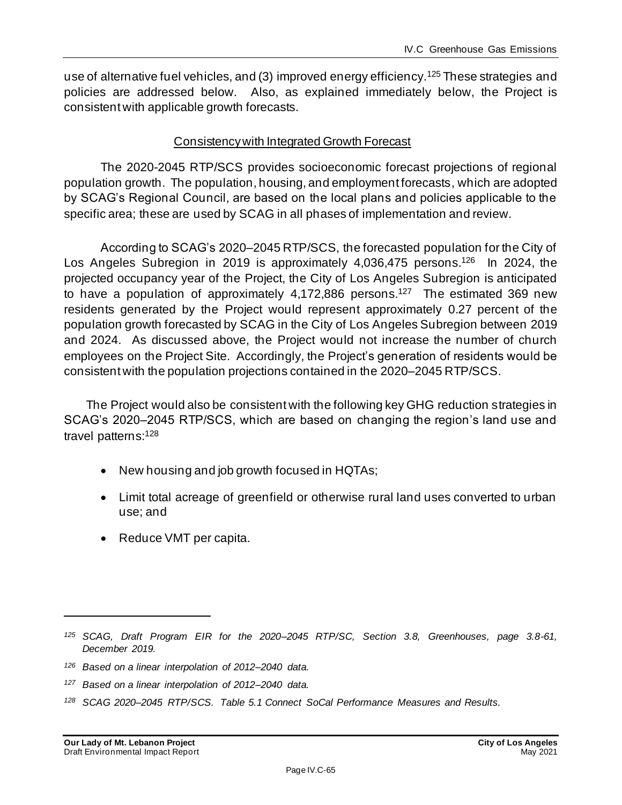use of alternative fuel vehicles, and (3) improved energy efficiency.<sup>125</sup> These strategies and policies are addressed below. Also, as explained immediately below, the Project is consistent with applicable growth forecasts.

### Consistency with Integrated Growth Forecast

The 2020-2045 RTP/SCS provides socioeconomic forecast projections of regional population growth. The population, housing, and employment forecasts, which are adopted by SCAG's Regional Council, are based on the local plans and policies applicable to the specific area; these are used by SCAG in all phases of implementation and review.

According to SCAG's 2020–2045 RTP/SCS, the forecasted population for the City of Los Angeles Subregion in 2019 is approximately 4,036,475 persons.<sup>126</sup> In 2024, the projected occupancy year of the Project, the City of Los Angeles Subregion is anticipated to have a population of approximately 4,172,886 persons.<sup>127</sup> The estimated 369 new residents generated by the Project would represent approximately 0.27 percent of the population growth forecasted by SCAG in the City of Los Angeles Subregion between 2019 and 2024. As discussed above, the Project would not increase the number of church employees on the Project Site. Accordingly, the Project's generation of residents would be consistent with the population projections contained in the 2020–2045 RTP/SCS.

The Project would also be consistent with the following key GHG reduction strategies in SCAG's 2020–2045 RTP/SCS, which are based on changing the region's land use and travel patterns:<sup>128</sup>

- New housing and job growth focused in HQTAs;
- Limit total acreage of greenfield or otherwise rural land uses converted to urban use; and
- Reduce VMT per capita.

*<sup>125</sup> SCAG, Draft Program EIR for the 2020–2045 RTP/SC, Section 3.8, Greenhouses, page 3.8-61, December 2019.*

*<sup>126</sup> Based on a linear interpolation of 2012–2040 data.*

*<sup>127</sup> Based on a linear interpolation of 2012–2040 data.*

*<sup>128</sup> SCAG 2020–2045 RTP/SCS. Table 5.1 Connect SoCal Performance Measures and Results.*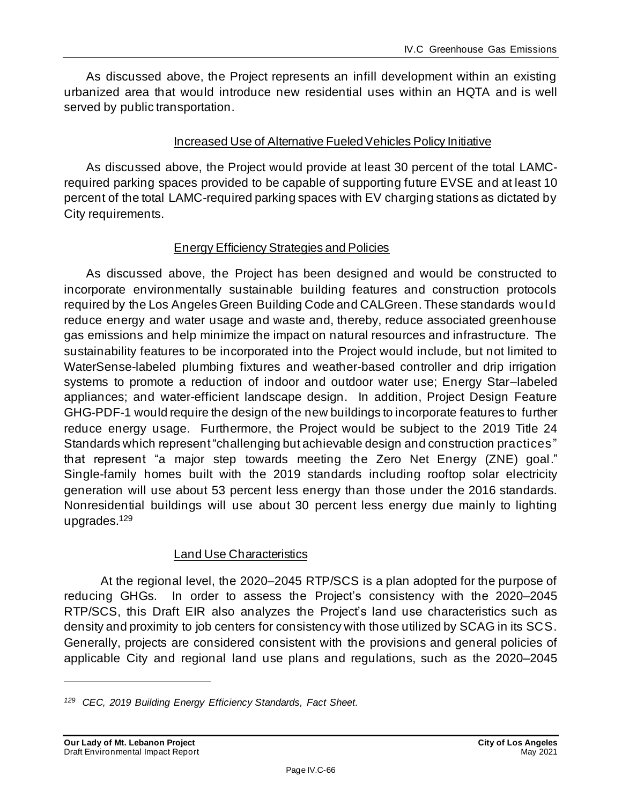As discussed above, the Project represents an infill development within an existing urbanized area that would introduce new residential uses within an HQTA and is well served by public transportation.

### Increased Use of Alternative Fueled Vehicles Policy Initiative

As discussed above, the Project would provide at least 30 percent of the total LAMCrequired parking spaces provided to be capable of supporting future EVSE and at least 10 percent of the total LAMC-required parking spaces with EV charging stations as dictated by City requirements.

# Energy Efficiency Strategies and Policies

As discussed above, the Project has been designed and would be constructed to incorporate environmentally sustainable building features and construction protocols required by the Los Angeles Green Building Code and CALGreen. These standards would reduce energy and water usage and waste and, thereby, reduce associated greenhouse gas emissions and help minimize the impact on natural resources and infrastructure. The sustainability features to be incorporated into the Project would include, but not limited to WaterSense-labeled plumbing fixtures and weather-based controller and drip irrigation systems to promote a reduction of indoor and outdoor water use; Energy Star–labeled appliances; and water-efficient landscape design. In addition, Project Design Feature GHG-PDF-1 would require the design of the new buildings to incorporate features to further reduce energy usage. Furthermore, the Project would be subject to the 2019 Title 24 Standards which represent "challenging but achievable design and construction practices " that represent "a major step towards meeting the Zero Net Energy (ZNE) goal." Single-family homes built with the 2019 standards including rooftop solar electricity generation will use about 53 percent less energy than those under the 2016 standards. Nonresidential buildings will use about 30 percent less energy due mainly to lighting upgrades.<sup>129</sup>

### Land Use Characteristics

At the regional level, the 2020–2045 RTP/SCS is a plan adopted for the purpose of reducing GHGs. In order to assess the Project's consistency with the 2020–2045 RTP/SCS, this Draft EIR also analyzes the Project's land use characteristics such as density and proximity to job centers for consistency with those utilized by SCAG in its SCS. Generally, projects are considered consistent with the provisions and general policies of applicable City and regional land use plans and regulations, such as the 2020–2045

*<sup>129</sup> CEC, 2019 Building Energy Efficiency Standards, Fact Sheet.*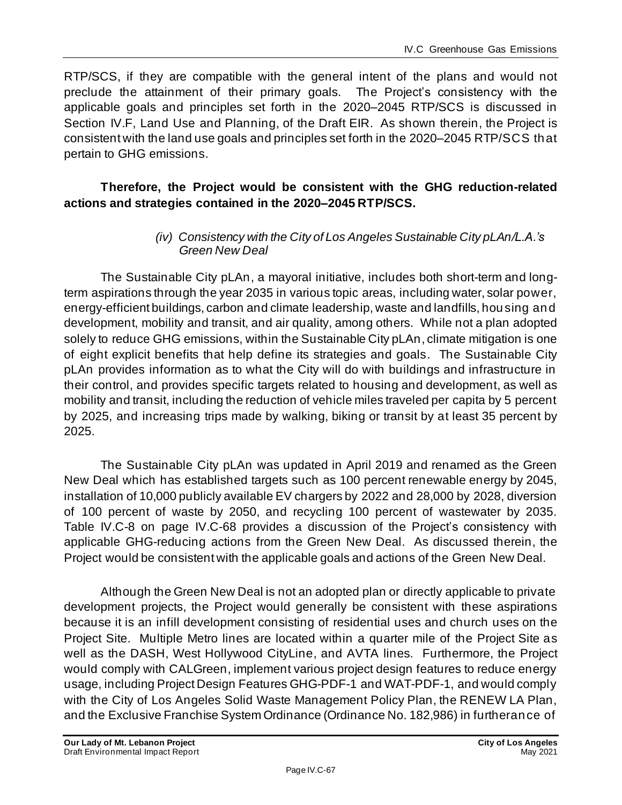RTP/SCS, if they are compatible with the general intent of the plans and would not preclude the attainment of their primary goals. The Project's consistency with the applicable goals and principles set forth in the 2020–2045 RTP/SCS is discussed in Section IV.F, Land Use and Planning, of the Draft EIR. As shown therein, the Project is consistent with the land use goals and principles set forth in the 2020–2045 RTP/SCS that pertain to GHG emissions.

# **Therefore, the Project would be consistent with the GHG reduction-related actions and strategies contained in the 2020–2045 RTP/SCS.**

### *(iv) Consistency with the City of Los Angeles Sustainable City pLAn/L.A.'s Green New Deal*

The Sustainable City pLAn, a mayoral initiative, includes both short-term and longterm aspirations through the year 2035 in various topic areas, including water, solar power, energy-efficient buildings, carbon and climate leadership, waste and landfills, housing and development, mobility and transit, and air quality, among others. While not a plan adopted solely to reduce GHG emissions, within the Sustainable City pLAn, climate mitigation is one of eight explicit benefits that help define its strategies and goals. The Sustainable City pLAn provides information as to what the City will do with buildings and infrastructure in their control, and provides specific targets related to housing and development, as well as mobility and transit, including the reduction of vehicle miles traveled per capita by 5 percent by 2025, and increasing trips made by walking, biking or transit by at least 35 percent by 2025.

The Sustainable City pLAn was updated in April 2019 and renamed as the Green New Deal which has established targets such as 100 percent renewable energy by 2045, installation of 10,000 publicly available EV chargers by 2022 and 28,000 by 2028, diversion of 100 percent of waste by 2050, and recycling 100 percent of wastewater by 2035. Table IV.C-8 on page IV.C-68 provides a discussion of the Project's consistency with applicable GHG-reducing actions from the Green New Deal. As discussed therein, the Project would be consistent with the applicable goals and actions of the Green New Deal.

Although the Green New Deal is not an adopted plan or directly applicable to private development projects, the Project would generally be consistent with these aspirations because it is an infill development consisting of residential uses and church uses on the Project Site. Multiple Metro lines are located within a quarter mile of the Project Site as well as the DASH, West Hollywood CityLine, and AVTA lines. Furthermore, the Project would comply with CALGreen, implement various project design features to reduce energy usage, including Project Design Features GHG-PDF-1 and WAT-PDF-1, and would comply with the City of Los Angeles Solid Waste Management Policy Plan, the RENEW LA Plan, and the Exclusive Franchise System Ordinance (Ordinance No. 182,986) in furtherance of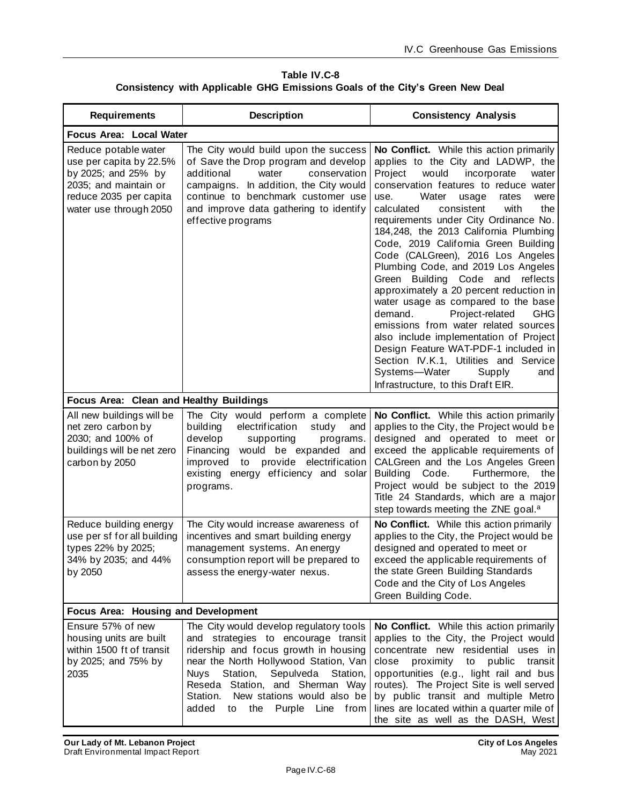**Table IV.C-8 Consistency with Applicable GHG Emissions Goals of the City's Green New Deal**

| <b>Requirements</b>                                                                                                                                 | <b>Description</b>                                                                                                                                                                                                                                                                                                                       | <b>Consistency Analysis</b>                                                                                                                                                                                                                                                                                                                                                                                                                                                                                                                                                                                                                                                                                                                                                                                                                                                  |  |  |  |
|-----------------------------------------------------------------------------------------------------------------------------------------------------|------------------------------------------------------------------------------------------------------------------------------------------------------------------------------------------------------------------------------------------------------------------------------------------------------------------------------------------|------------------------------------------------------------------------------------------------------------------------------------------------------------------------------------------------------------------------------------------------------------------------------------------------------------------------------------------------------------------------------------------------------------------------------------------------------------------------------------------------------------------------------------------------------------------------------------------------------------------------------------------------------------------------------------------------------------------------------------------------------------------------------------------------------------------------------------------------------------------------------|--|--|--|
| Focus Area: Local Water                                                                                                                             |                                                                                                                                                                                                                                                                                                                                          |                                                                                                                                                                                                                                                                                                                                                                                                                                                                                                                                                                                                                                                                                                                                                                                                                                                                              |  |  |  |
| Reduce potable water<br>use per capita by 22.5%<br>by 2025; and 25% by<br>2035; and maintain or<br>reduce 2035 per capita<br>water use through 2050 | The City would build upon the success<br>of Save the Drop program and develop<br>water<br>additional<br>conservation<br>campaigns. In addition, the City would<br>continue to benchmark customer use<br>and improve data gathering to identify<br>effective programs                                                                     | No Conflict. While this action primarily<br>applies to the City and LADWP, the<br>Project<br>would<br>incorporate<br>water<br>conservation features to reduce water<br>Water<br>usage<br>use.<br>rates<br>were<br>calculated<br>consistent<br>with<br>the<br>requirements under City Ordinance No.<br>184,248, the 2013 California Plumbing<br>Code, 2019 California Green Building<br>Code (CALGreen), 2016 Los Angeles<br>Plumbing Code, and 2019 Los Angeles<br>Green Building Code and reflects<br>approximately a 20 percent reduction in<br>water usage as compared to the base<br>Project-related<br>demand.<br><b>GHG</b><br>emissions from water related sources<br>also include implementation of Project<br>Design Feature WAT-PDF-1 included in<br>Section IV.K.1, Utilities and Service<br>Systems—Water<br>Supply<br>and<br>Infrastructure, to this Draft EIR. |  |  |  |
| Focus Area: Clean and Healthy Buildings                                                                                                             |                                                                                                                                                                                                                                                                                                                                          |                                                                                                                                                                                                                                                                                                                                                                                                                                                                                                                                                                                                                                                                                                                                                                                                                                                                              |  |  |  |
| All new buildings will be<br>net zero carbon by<br>2030; and 100% of<br>buildings will be net zero<br>carbon by 2050                                | The City would perform a complete<br>building<br>electrification<br>study<br>and<br>develop<br>supporting<br>programs.<br>would be expanded and<br>Financing<br>to provide electrification<br>improved<br>existing energy efficiency and solar<br>programs.                                                                              | No Conflict. While this action primarily<br>applies to the City, the Project would be<br>designed and operated to meet or<br>exceed the applicable requirements of<br>CALGreen and the Los Angeles Green<br>Building Code.<br>Furthermore, the<br>Project would be subject to the 2019<br>Title 24 Standards, which are a major<br>step towards meeting the ZNE goal. <sup>a</sup>                                                                                                                                                                                                                                                                                                                                                                                                                                                                                           |  |  |  |
| Reduce building energy<br>use per sf for all building<br>types 22% by 2025;<br>34% by 2035; and 44%<br>by 2050                                      | The City would increase awareness of<br>incentives and smart building energy<br>management systems. An energy<br>consumption report will be prepared to<br>assess the energy-water nexus.                                                                                                                                                | No Conflict. While this action primarily<br>applies to the City, the Project would be<br>designed and operated to meet or<br>exceed the applicable requirements of<br>the state Green Building Standards<br>Code and the City of Los Angeles<br>Green Building Code.                                                                                                                                                                                                                                                                                                                                                                                                                                                                                                                                                                                                         |  |  |  |
| Focus Area: Housing and Development                                                                                                                 |                                                                                                                                                                                                                                                                                                                                          |                                                                                                                                                                                                                                                                                                                                                                                                                                                                                                                                                                                                                                                                                                                                                                                                                                                                              |  |  |  |
| Ensure 57% of new<br>housing units are built<br>within 1500 ft of transit<br>by 2025; and 75% by<br>2035                                            | The City would develop regulatory tools<br>and strategies to encourage transit<br>ridership and focus growth in housing<br>near the North Hollywood Station, Van<br>Sepulveda Station,<br><b>Nuys</b><br>Station,<br>Reseda Station, and Sherman Way<br>New stations would also be<br>Station.<br>added<br>the<br>Purple Line from<br>to | No Conflict. While this action primarily<br>applies to the City, the Project would<br>concentrate new residential uses in<br>public<br>close<br>proximity<br>to<br>transit<br>opportunities (e.g., light rail and bus<br>routes). The Project Site is well served<br>by public transit and multiple Metro<br>lines are located within a quarter mile of<br>the site as well as the DASH, West                                                                                                                                                                                                                                                                                                                                                                                                                                                                                |  |  |  |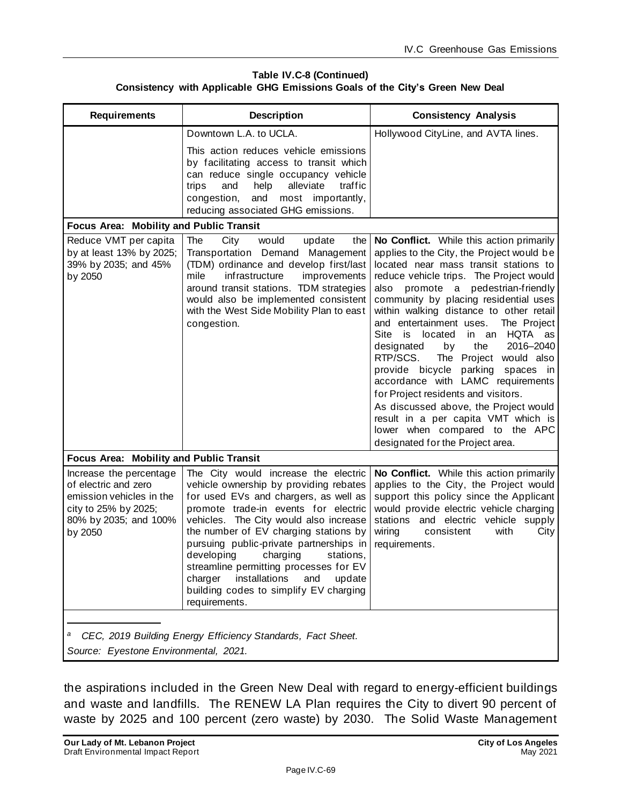| Table IV.C-8 (Continued)                                                     |  |  |  |  |  |
|------------------------------------------------------------------------------|--|--|--|--|--|
| Consistency with Applicable GHG Emissions Goals of the City's Green New Deal |  |  |  |  |  |

| <b>Requirements</b>                                                                                                                     | <b>Description</b>                                                                                                                                                                                                                                                                                                                                                                                                                                                               | <b>Consistency Analysis</b>                                                                                                                                                                                                                                                                                                                                                                                                                                                                                                                                                                                                                                                                                                                  |  |  |
|-----------------------------------------------------------------------------------------------------------------------------------------|----------------------------------------------------------------------------------------------------------------------------------------------------------------------------------------------------------------------------------------------------------------------------------------------------------------------------------------------------------------------------------------------------------------------------------------------------------------------------------|----------------------------------------------------------------------------------------------------------------------------------------------------------------------------------------------------------------------------------------------------------------------------------------------------------------------------------------------------------------------------------------------------------------------------------------------------------------------------------------------------------------------------------------------------------------------------------------------------------------------------------------------------------------------------------------------------------------------------------------------|--|--|
|                                                                                                                                         | Downtown L.A. to UCLA.<br>This action reduces vehicle emissions<br>by facilitating access to transit which<br>can reduce single occupancy vehicle<br>help<br>alleviate<br>traffic<br>trips<br>and<br>and<br>most importantly,<br>congestion,<br>reducing associated GHG emissions.                                                                                                                                                                                               | Hollywood CityLine, and AVTA lines.                                                                                                                                                                                                                                                                                                                                                                                                                                                                                                                                                                                                                                                                                                          |  |  |
| Focus Area: Mobility and Public Transit                                                                                                 |                                                                                                                                                                                                                                                                                                                                                                                                                                                                                  |                                                                                                                                                                                                                                                                                                                                                                                                                                                                                                                                                                                                                                                                                                                                              |  |  |
| Reduce VMT per capita<br>by at least 13% by 2025;<br>39% by 2035; and 45%<br>by 2050                                                    | City<br>would<br>The<br>update<br>the<br>Transportation Demand Management<br>(TDM) ordinance and develop first/last<br>infrastructure<br>improvements<br>mile<br>around transit stations. TDM strategies<br>would also be implemented consistent<br>with the West Side Mobility Plan to east<br>congestion.                                                                                                                                                                      | No Conflict. While this action primarily<br>applies to the City, the Project would be<br>located near mass transit stations to<br>reduce vehicle trips. The Project would<br>promote a pedestrian-friendly<br>also<br>community by placing residential uses<br>within walking distance to other retail<br>and entertainment uses.<br>The Project<br>Site<br>in an HQTA as<br>is located<br>2016-2040<br>the<br>designated<br>by<br>RTP/SCS.<br>The Project would also<br>provide bicycle parking spaces in<br>accordance with LAMC requirements<br>for Project residents and visitors.<br>As discussed above, the Project would<br>result in a per capita VMT which is<br>lower when compared to the APC<br>designated for the Project area. |  |  |
| Focus Area: Mobility and Public Transit                                                                                                 |                                                                                                                                                                                                                                                                                                                                                                                                                                                                                  |                                                                                                                                                                                                                                                                                                                                                                                                                                                                                                                                                                                                                                                                                                                                              |  |  |
| Increase the percentage<br>of electric and zero<br>emission vehicles in the<br>city to 25% by 2025;<br>80% by 2035; and 100%<br>by 2050 | The City would increase the electric<br>vehicle ownership by providing rebates<br>for used EVs and chargers, as well as<br>promote trade-in events for electric<br>vehicles. The City would also increase<br>the number of EV charging stations by<br>pursuing public-private partnerships in<br>developing charging stations,<br>streamline permitting processes for EV<br>charger<br>installations<br>and<br>update<br>building codes to simplify EV charging<br>requirements. | No Conflict. While this action primarily<br>applies to the City, the Project would<br>support this policy since the Applicant<br>would provide electric vehicle charging<br>stations and electric vehicle supply<br>wiring<br>consistent<br>with<br>City<br>requirements.                                                                                                                                                                                                                                                                                                                                                                                                                                                                    |  |  |
| CEC, 2019 Building Energy Efficiency Standards, Fact Sheet.<br>a<br>Source: Eyestone Environmental, 2021.                               |                                                                                                                                                                                                                                                                                                                                                                                                                                                                                  |                                                                                                                                                                                                                                                                                                                                                                                                                                                                                                                                                                                                                                                                                                                                              |  |  |

the aspirations included in the Green New Deal with regard to energy-efficient buildings and waste and landfills. The RENEW LA Plan requires the City to divert 90 percent of waste by 2025 and 100 percent (zero waste) by 2030. The Solid Waste Management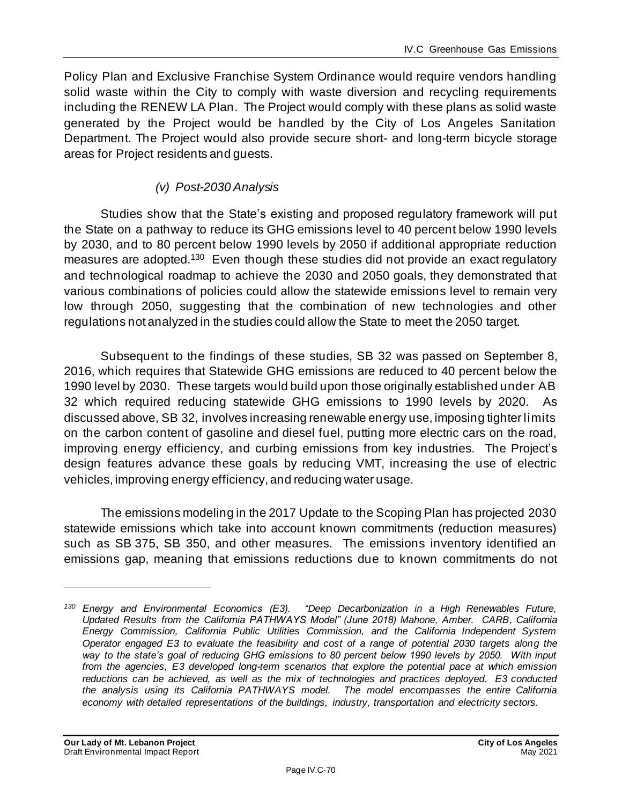Policy Plan and Exclusive Franchise System Ordinance would require vendors handling solid waste within the City to comply with waste diversion and recycling requirements including the RENEW LA Plan. The Project would comply with these plans as solid waste generated by the Project would be handled by the City of Los Angeles Sanitation Department. The Project would also provide secure short- and long-term bicycle storage areas for Project residents and guests.

# *(v) Post-2030 Analysis*

Studies show that the State's existing and proposed regulatory framework will put the State on a pathway to reduce its GHG emissions level to 40 percent below 1990 levels by 2030, and to 80 percent below 1990 levels by 2050 if additional appropriate reduction measures are adopted.<sup>130</sup> Even though these studies did not provide an exact regulatory and technological roadmap to achieve the 2030 and 2050 goals, they demonstrated that various combinations of policies could allow the statewide emissions level to remain very low through 2050, suggesting that the combination of new technologies and other regulations not analyzed in the studies could allow the State to meet the 2050 target.

Subsequent to the findings of these studies, SB 32 was passed on September 8, 2016, which requires that Statewide GHG emissions are reduced to 40 percent below the 1990 level by 2030. These targets would build upon those originally established under AB 32 which required reducing statewide GHG emissions to 1990 levels by 2020. As discussed above, SB 32, involves increasing renewable energy use, imposing tighter limits on the carbon content of gasoline and diesel fuel, putting more electric cars on the road, improving energy efficiency, and curbing emissions from key industries. The Project's design features advance these goals by reducing VMT, increasing the use of electric vehicles, improving energy efficiency, and reducing water usage.

The emissions modeling in the 2017 Update to the Scoping Plan has projected 2030 statewide emissions which take into account known commitments (reduction measures) such as SB 375, SB 350, and other measures. The emissions inventory identified an emissions gap, meaning that emissions reductions due to known commitments do not

*<sup>130</sup> Energy and Environmental Economics (E3). "Deep Decarbonization in a High Renewables Future, Updated Results from the California PATHWAYS Model" (June 2018) Mahone, Amber. CARB, California Energy Commission, California Public Utilities Commission, and the California Independent System Operator engaged E3 to evaluate the feasibility and cost of a range of potential 2030 targets along the way to the state's goal of reducing GHG emissions to 80 percent below 1990 levels by 2050. With input from the agencies, E3 developed long-term scenarios that explore the potential pace at which emission*  reductions can be achieved, as well as the mix of technologies and practices deployed. E3 conducted *the analysis using its California PATHWAYS model. The model encompasses the entire California economy with detailed representations of the buildings, industry, transportation and electricity sectors.*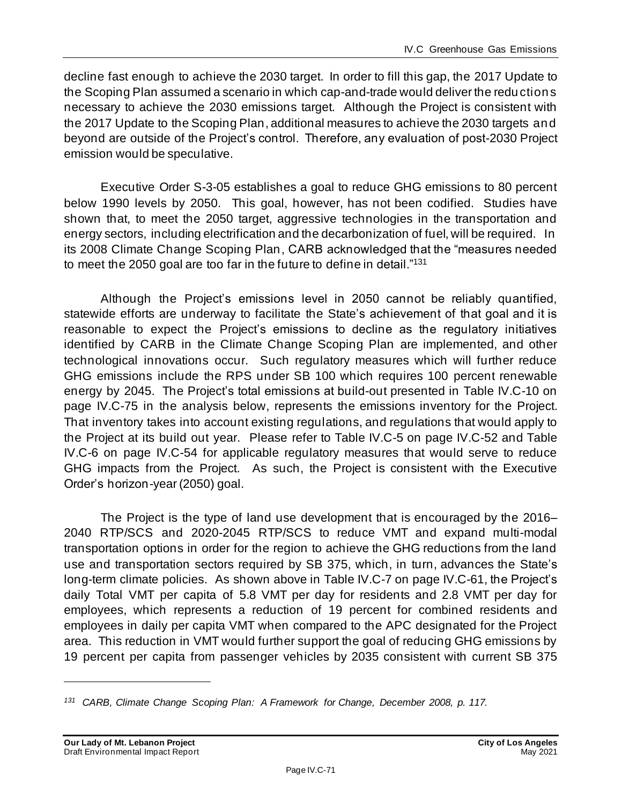decline fast enough to achieve the 2030 target. In order to fill this gap, the 2017 Update to the Scoping Plan assumed a scenario in which cap-and-trade would deliver the reductions necessary to achieve the 2030 emissions target. Although the Project is consistent with the 2017 Update to the Scoping Plan, additional measures to achieve the 2030 targets and beyond are outside of the Project's control. Therefore, any evaluation of post-2030 Project emission would be speculative.

Executive Order S-3-05 establishes a goal to reduce GHG emissions to 80 percent below 1990 levels by 2050. This goal, however, has not been codified. Studies have shown that, to meet the 2050 target, aggressive technologies in the transportation and energy sectors, including electrification and the decarbonization of fuel, will be required. In its 2008 Climate Change Scoping Plan, CARB acknowledged that the "measures needed to meet the 2050 goal are too far in the future to define in detail."<sup>131</sup>

Although the Project's emissions level in 2050 cannot be reliably quantified, statewide efforts are underway to facilitate the State's achievement of that goal and it is reasonable to expect the Project's emissions to decline as the regulatory initiatives identified by CARB in the Climate Change Scoping Plan are implemented, and other technological innovations occur. Such regulatory measures which will further reduce GHG emissions include the RPS under SB 100 which requires 100 percent renewable energy by 2045. The Project's total emissions at build-out presented in Table IV.C-10 on page [IV.C-75](#page-74-0) in the analysis below, represents the emissions inventory for the Project. That inventory takes into account existing regulations, and regulations that would apply to the Project at its build out year. Please refer to Table IV.C-5 on page IV.C-52 and Table IV.C-6 on page IV.C-54 for applicable regulatory measures that would serve to reduce GHG impacts from the Project. As such, the Project is consistent with the Executive Order's horizon-year (2050) goal.

The Project is the type of land use development that is encouraged by the 2016– 2040 RTP/SCS and 2020-2045 RTP/SCS to reduce VMT and expand multi-modal transportation options in order for the region to achieve the GHG reductions from the land use and transportation sectors required by SB 375, which, in turn, advances the State's long-term climate policies. As shown above in Table IV.C-7 on page IV.C-61, the Project's daily Total VMT per capita of 5.8 VMT per day for residents and 2.8 VMT per day for employees, which represents a reduction of 19 percent for combined residents and employees in daily per capita VMT when compared to the APC designated for the Project area. This reduction in VMT would further support the goal of reducing GHG emissions by 19 percent per capita from passenger vehicles by 2035 consistent with current SB 375

*<sup>131</sup> CARB, Climate Change Scoping Plan: A Framework for Change, December 2008, p. 117.*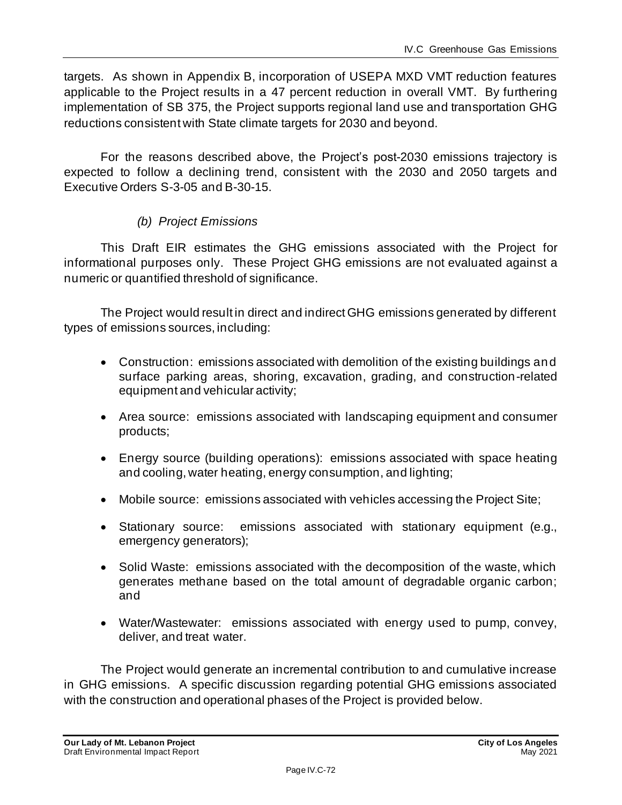targets. As shown in Appendix B, incorporation of USEPA MXD VMT reduction features applicable to the Project results in a 47 percent reduction in overall VMT. By furthering implementation of SB 375, the Project supports regional land use and transportation GHG reductions consistent with State climate targets for 2030 and beyond.

For the reasons described above, the Project's post-2030 emissions trajectory is expected to follow a declining trend, consistent with the 2030 and 2050 targets and Executive Orders S-3-05 and B-30-15.

### *(b) Project Emissions*

This Draft EIR estimates the GHG emissions associated with the Project for informational purposes only. These Project GHG emissions are not evaluated against a numeric or quantified threshold of significance.

The Project would result in direct and indirect GHG emissions generated by different types of emissions sources, including:

- Construction: emissions associated with demolition of the existing buildings and surface parking areas, shoring, excavation, grading, and construction-related equipment and vehicular activity;
- Area source: emissions associated with landscaping equipment and consumer products;
- Energy source (building operations): emissions associated with space heating and cooling, water heating, energy consumption, and lighting;
- Mobile source: emissions associated with vehicles accessing the Project Site;
- Stationary source: emissions associated with stationary equipment (e.g., emergency generators);
- Solid Waste: emissions associated with the decomposition of the waste, which generates methane based on the total amount of degradable organic carbon; and
- Water/Wastewater: emissions associated with energy used to pump, convey, deliver, and treat water.

The Project would generate an incremental contribution to and cumulative increase in GHG emissions. A specific discussion regarding potential GHG emissions associated with the construction and operational phases of the Project is provided below.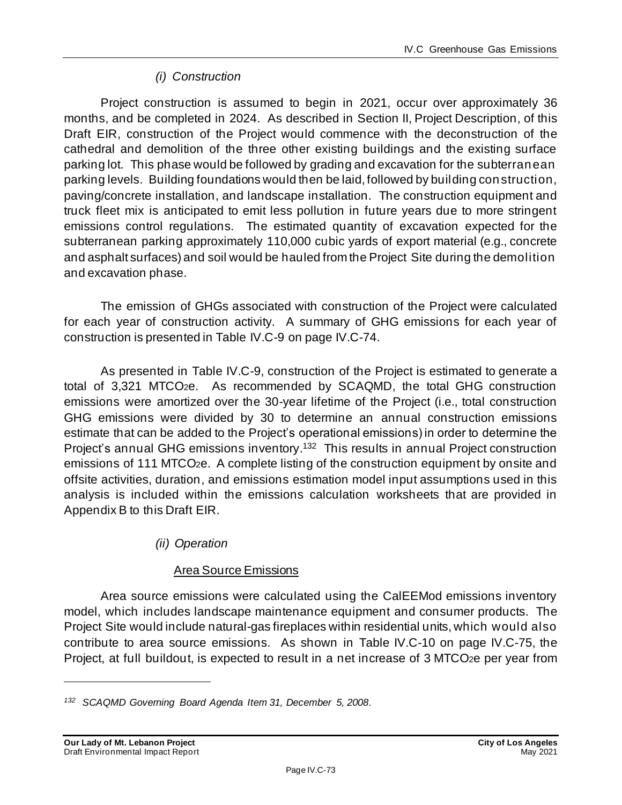## *(i) Construction*

Project construction is assumed to begin in 2021, occur over approximately 36 months, and be completed in 2024. As described in Section II, Project Description, of this Draft EIR, construction of the Project would commence with the deconstruction of the cathedral and demolition of the three other existing buildings and the existing surface parking lot. This phase would be followed by grading and excavation for the subterranean parking levels. Building foundations would then be laid, followed by building construction, paving/concrete installation, and landscape installation. The construction equipment and truck fleet mix is anticipated to emit less pollution in future years due to more stringent emissions control regulations. The estimated quantity of excavation expected for the subterranean parking approximately 110,000 cubic yards of export material (e.g., concrete and asphalt surfaces) and soil would be hauled from the Project Site during the demolition and excavation phase.

The emission of GHGs associated with construction of the Project were calculated for each year of construction activity. A summary of GHG emissions for each year of construction is presented in Table IV.C-9 on page [IV.C-74.](#page-73-0)

As presented in Table IV.C-9, construction of the Project is estimated to generate a total of 3,321 MTCO2e. As recommended by SCAQMD, the total GHG construction emissions were amortized over the 30-year lifetime of the Project (i.e., total construction GHG emissions were divided by 30 to determine an annual construction emissions estimate that can be added to the Project's operational emissions) in order to determine the Project's annual GHG emissions inventory.<sup>132</sup> This results in annual Project construction emissions of 111 MTCO2e. A complete listing of the construction equipment by onsite and offsite activities, duration, and emissions estimation model input assumptions used in this analysis is included within the emissions calculation worksheets that are provided in Appendix B to this Draft EIR.

*(ii) Operation*

## Area Source Emissions

Area source emissions were calculated using the CalEEMod emissions inventory model, which includes landscape maintenance equipment and consumer products. The Project Site would include natural-gas fireplaces within residential units, which would also contribute to area source emissions. As shown in Table IV.C-10 on page [IV.C-75,](#page-74-0) the Project, at full buildout, is expected to result in a net increase of 3 MTCO<sub>2</sub>e per year from

*<sup>132</sup> SCAQMD Governing Board Agenda Item 31, December 5, 2008.*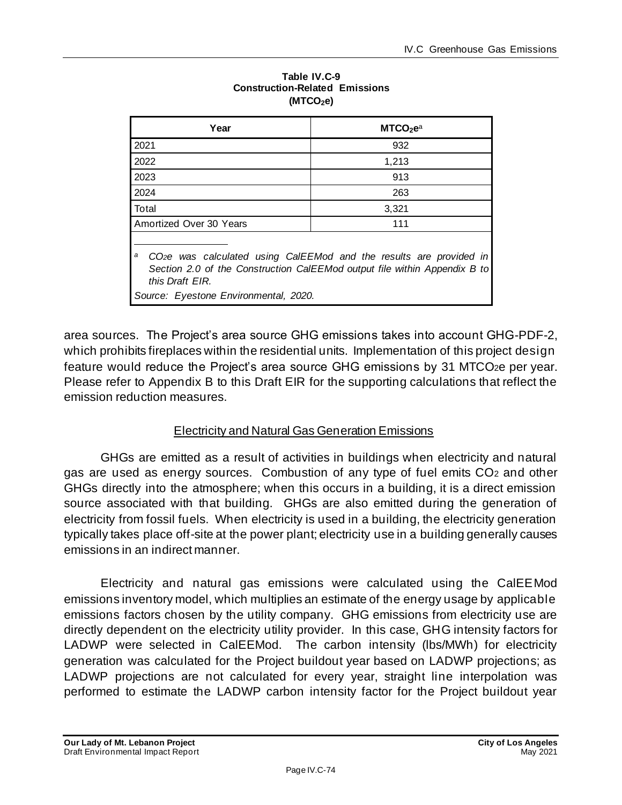<span id="page-73-0"></span>

| MTCO <sub>2</sub> e <sup>a</sup>                                                                                                                                                                                              |  |  |  |  |
|-------------------------------------------------------------------------------------------------------------------------------------------------------------------------------------------------------------------------------|--|--|--|--|
| 932                                                                                                                                                                                                                           |  |  |  |  |
| 1,213                                                                                                                                                                                                                         |  |  |  |  |
| 913                                                                                                                                                                                                                           |  |  |  |  |
| 263                                                                                                                                                                                                                           |  |  |  |  |
| 3,321                                                                                                                                                                                                                         |  |  |  |  |
| 111                                                                                                                                                                                                                           |  |  |  |  |
| a<br>CO <sub>2</sub> e was calculated using CalEEMod and the results are provided in<br>Section 2.0 of the Construction CalEEMod output file within Appendix B to<br>this Draft FIR.<br>Source: Eyestone Environmental, 2020. |  |  |  |  |
|                                                                                                                                                                                                                               |  |  |  |  |

#### **Table IV.C-9 Construction-Related Emissions (MTCO2e)**

area sources. The Project's area source GHG emissions takes into account GHG-PDF-2, which prohibits fireplaces within the residential units. Implementation of this project design feature would reduce the Project's area source GHG emissions by 31 MTCO2e per year. Please refer to Appendix B to this Draft EIR for the supporting calculations that reflect the emission reduction measures.

## Electricity and Natural Gas Generation Emissions

GHGs are emitted as a result of activities in buildings when electricity and natural gas are used as energy sources. Combustion of any type of fuel emits CO<sup>2</sup> and other GHGs directly into the atmosphere; when this occurs in a building, it is a direct emission source associated with that building. GHGs are also emitted during the generation of electricity from fossil fuels. When electricity is used in a building, the electricity generation typically takes place off-site at the power plant; electricity use in a building generally causes emissions in an indirect manner.

Electricity and natural gas emissions were calculated using the CalEEMod emissions inventory model, which multiplies an estimate of the energy usage by applicable emissions factors chosen by the utility company. GHG emissions from electricity use are directly dependent on the electricity utility provider. In this case, GHG intensity factors for LADWP were selected in CalEEMod. The carbon intensity (lbs/MWh) for electricity generation was calculated for the Project buildout year based on LADWP projections; as LADWP projections are not calculated for every year, straight line interpolation was performed to estimate the LADWP carbon intensity factor for the Project buildout year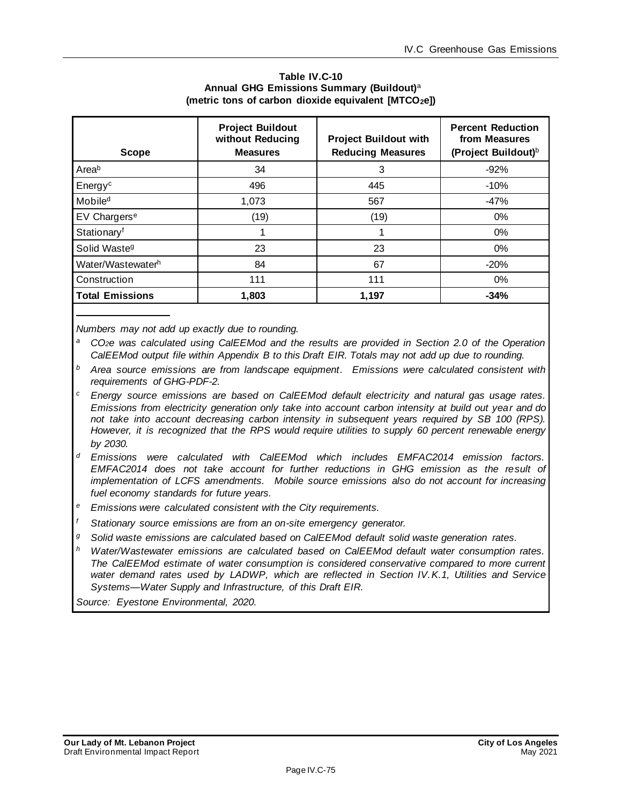| Table IV.C-10                                                    |  |  |  |  |
|------------------------------------------------------------------|--|--|--|--|
| Annual GHG Emissions Summary (Buildout) <sup>a</sup>             |  |  |  |  |
| (metric tons of carbon dioxide equivalent [MTCO <sub>2</sub> e]) |  |  |  |  |

<span id="page-74-0"></span>

| <b>Scope</b>             | <b>Project Buildout</b><br>without Reducing<br><b>Measures</b> | <b>Project Buildout with</b><br><b>Reducing Measures</b> | <b>Percent Reduction</b><br>from Measures<br>(Project Buildout) <sup>b</sup> |
|--------------------------|----------------------------------------------------------------|----------------------------------------------------------|------------------------------------------------------------------------------|
| Areab                    | 34                                                             | 3                                                        | $-92%$                                                                       |
| Energy <sup>c</sup>      | 496                                                            | 445                                                      | $-10%$                                                                       |
| Mobile <sup>d</sup>      | 1.073                                                          | 567                                                      | -47%                                                                         |
| EV Chargers <sup>e</sup> | (19)                                                           | (19)                                                     | $0\%$                                                                        |
| Stationary <sup>f</sup>  | 1                                                              |                                                          | $0\%$                                                                        |
| Solid Waste <sup>g</sup> | 23                                                             | 23                                                       | $0\%$                                                                        |
| Water/Wastewaterh        | 84                                                             | 67                                                       | $-20%$                                                                       |
| Construction             | 111                                                            | 111                                                      | $0\%$                                                                        |
| <b>Total Emissions</b>   | 1,803                                                          | 1,197                                                    | $-34%$                                                                       |

*Numbers may not add up exactly due to rounding.*

*<sup>a</sup>CO2e was calculated using CalEEMod and the results are provided in Section 2.0 of the Operation CalEEMod output file within Appendix B to this Draft EIR. Totals may not add up due to rounding.*

*<sup>b</sup> Area source emissions are from landscape equipment. Emissions were calculated consistent with requirements of GHG-PDF-2.*

- *<sup>c</sup> Energy source emissions are based on CalEEMod default electricity and natural gas usage rates. Emissions from electricity generation only take into account carbon intensity at build out year and do not take into account decreasing carbon intensity in subsequent years required by SB 100 (RPS). However, it is recognized that the RPS would require utilities to supply 60 percent renewable energy by 2030.*
- *<sup>d</sup> Emissions were calculated with CalEEMod which includes EMFAC2014 emission factors. EMFAC2014 does not take account for further reductions in GHG emission as the result of implementation of LCFS amendments. Mobile source emissions also do not account for increasing fuel economy standards for future years.*
- *<sup>e</sup> Emissions were calculated consistent with the City requirements.*
- *<sup>f</sup> Stationary source emissions are from an on-site emergency generator.*
- *<sup>g</sup> Solid waste emissions are calculated based on CalEEMod default solid waste generation rates.*
- *<sup>h</sup> Water/Wastewater emissions are calculated based on CalEEMod default water consumption rates. The CalEEMod estimate of water consumption is considered conservative compared to more current*  water demand rates used by LADWP, which are reflected in Section IV.K.1, Utilities and Service *Systems—Water Supply and Infrastructure, of this Draft EIR.*

*Source: Eyestone Environmental, 2020.*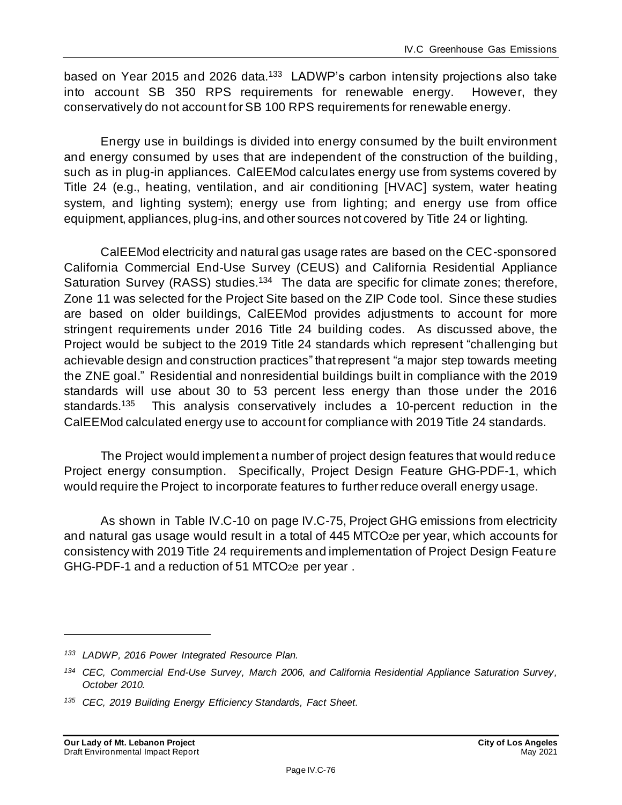based on Year 2015 and 2026 data.<sup>133</sup> LADWP's carbon intensity projections also take into account SB 350 RPS requirements for renewable energy. However, they conservatively do not account for SB 100 RPS requirements for renewable energy.

Energy use in buildings is divided into energy consumed by the built environment and energy consumed by uses that are independent of the construction of the building, such as in plug-in appliances. CalEEMod calculates energy use from systems covered by Title 24 (e.g., heating, ventilation, and air conditioning [HVAC] system, water heating system, and lighting system); energy use from lighting; and energy use from office equipment, appliances, plug-ins, and other sources not covered by Title 24 or lighting.

CalEEMod electricity and natural gas usage rates are based on the CEC-sponsored California Commercial End-Use Survey (CEUS) and California Residential Appliance Saturation Survey (RASS) studies.<sup>134</sup> The data are specific for climate zones; therefore, Zone 11 was selected for the Project Site based on the ZIP Code tool. Since these studies are based on older buildings, CalEEMod provides adjustments to account for more stringent requirements under 2016 Title 24 building codes. As discussed above, the Project would be subject to the 2019 Title 24 standards which represent "challenging but achievable design and construction practices" that represent "a major step towards meeting the ZNE goal." Residential and nonresidential buildings built in compliance with the 2019 standards will use about 30 to 53 percent less energy than those under the 2016 standards.<sup>135</sup> This analysis conservatively includes a 10-percent reduction in the CalEEMod calculated energy use to account for compliance with 2019 Title 24 standards.

The Project would implement a number of project design features that would reduce Project energy consumption. Specifically, Project Design Feature GHG-PDF-1, which would require the Project to incorporate features to further reduce overall energy usage.

As shown in Table IV.C-10 on pag[e IV.C-75](#page-74-0), Project GHG emissions from electricity and natural gas usage would result in a total of 445 MTCO2e per year, which accounts for consistency with 2019 Title 24 requirements and implementation of Project Design Feature GHG-PDF-1 and a reduction of 51 MTCO2e per year .

*<sup>133</sup> LADWP, 2016 Power Integrated Resource Plan.*

*<sup>134</sup> CEC, Commercial End-Use Survey, March 2006, and California Residential Appliance Saturation Survey, October 2010.*

*<sup>135</sup> CEC, 2019 Building Energy Efficiency Standards, Fact Sheet.*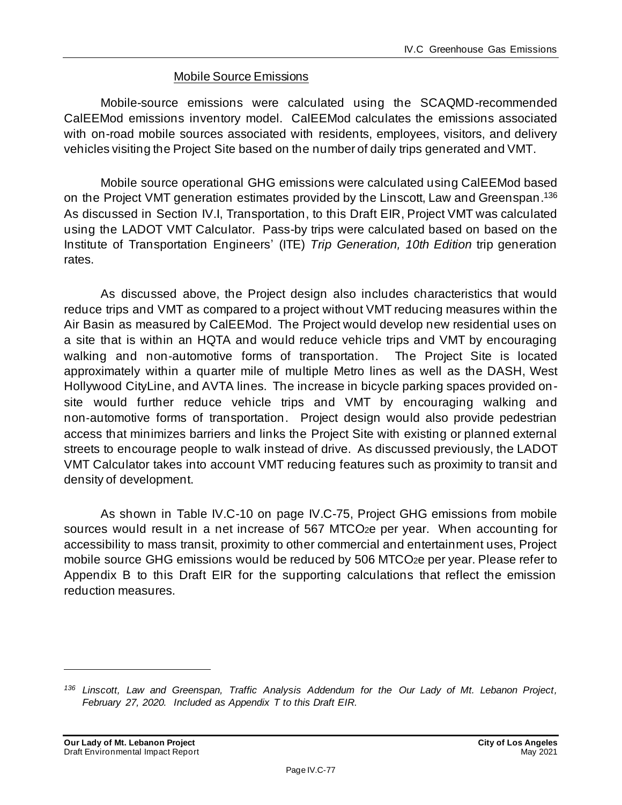#### Mobile Source Emissions

Mobile-source emissions were calculated using the SCAQMD-recommended CalEEMod emissions inventory model. CalEEMod calculates the emissions associated with on-road mobile sources associated with residents, employees, visitors, and delivery vehicles visiting the Project Site based on the number of daily trips generated and VMT.

Mobile source operational GHG emissions were calculated using CalEEMod based on the Project VMT generation estimates provided by the Linscott, Law and Greenspan.<sup>136</sup> As discussed in Section IV.I, Transportation, to this Draft EIR, Project VMT was calculated using the LADOT VMT Calculator. Pass-by trips were calculated based on based on the Institute of Transportation Engineers' (ITE) *Trip Generation, 10th Edition* trip generation rates.

As discussed above, the Project design also includes characteristics that would reduce trips and VMT as compared to a project without VMT reducing measures within the Air Basin as measured by CalEEMod. The Project would develop new residential uses on a site that is within an HQTA and would reduce vehicle trips and VMT by encouraging walking and non-automotive forms of transportation. The Project Site is located approximately within a quarter mile of multiple Metro lines as well as the DASH, West Hollywood CityLine, and AVTA lines. The increase in bicycle parking spaces provided onsite would further reduce vehicle trips and VMT by encouraging walking and non‐automotive forms of transportation. Project design would also provide pedestrian access that minimizes barriers and links the Project Site with existing or planned external streets to encourage people to walk instead of drive. As discussed previously, the LADOT VMT Calculator takes into account VMT reducing features such as proximity to transit and density of development.

As shown in Table IV.C-10 on page [IV.C-75,](#page-74-0) Project GHG emissions from mobile sources would result in a net increase of 567 MTCO2e per year. When accounting for accessibility to mass transit, proximity to other commercial and entertainment uses, Project mobile source GHG emissions would be reduced by 506 MTCO<sub>2</sub>e per year. Please refer to Appendix B to this Draft EIR for the supporting calculations that reflect the emission reduction measures.

*<sup>136</sup> Linscott, Law and Greenspan, Traffic Analysis Addendum for the Our Lady of Mt. Lebanon Project, February 27, 2020. Included as Appendix T to this Draft EIR.*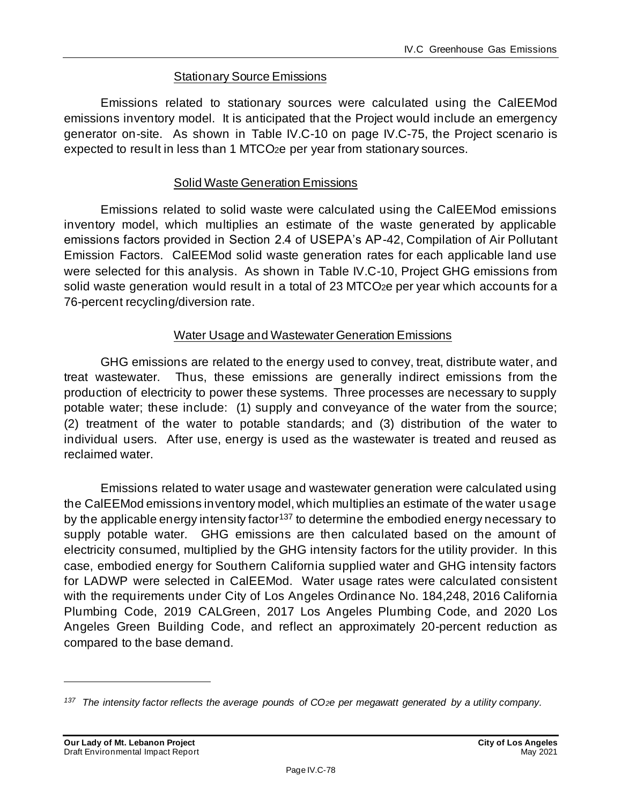#### Stationary Source Emissions

Emissions related to stationary sources were calculated using the CalEEMod emissions inventory model. It is anticipated that the Project would include an emergency generator on-site. As shown in Table IV.C-10 on pag[e IV.C-75](#page-74-0), the Project scenario is expected to result in less than 1 MTCO<sub>2</sub>e per year from stationary sources.

#### Solid Waste Generation Emissions

Emissions related to solid waste were calculated using the CalEEMod emissions inventory model, which multiplies an estimate of the waste generated by applicable emissions factors provided in Section 2.4 of USEPA's AP-42, Compilation of Air Pollutant Emission Factors. CalEEMod solid waste generation rates for each applicable land use were selected for this analysis. As shown in Table IV.C-10, Project GHG emissions from solid waste generation would result in a total of 23 MTCO<sub>2</sub>e per year which accounts for a 76-percent recycling/diversion rate.

#### Water Usage and Wastewater Generation Emissions

GHG emissions are related to the energy used to convey, treat, distribute water, and treat wastewater. Thus, these emissions are generally indirect emissions from the production of electricity to power these systems. Three processes are necessary to supply potable water; these include: (1) supply and conveyance of the water from the source; (2) treatment of the water to potable standards; and (3) distribution of the water to individual users. After use, energy is used as the wastewater is treated and reused as reclaimed water.

Emissions related to water usage and wastewater generation were calculated using the CalEEMod emissions inventory model, which multiplies an estimate of the water usage by the applicable energy intensity factor<sup>137</sup> to determine the embodied energy necessary to supply potable water. GHG emissions are then calculated based on the amount of electricity consumed, multiplied by the GHG intensity factors for the utility provider. In this case, embodied energy for Southern California supplied water and GHG intensity factors for LADWP were selected in CalEEMod. Water usage rates were calculated consistent with the requirements under City of Los Angeles Ordinance No. 184,248, 2016 California Plumbing Code, 2019 CALGreen, 2017 Los Angeles Plumbing Code, and 2020 Los Angeles Green Building Code, and reflect an approximately 20-percent reduction as compared to the base demand.

*<sup>137</sup> The intensity factor reflects the average pounds of CO2e per megawatt generated by a utility company.*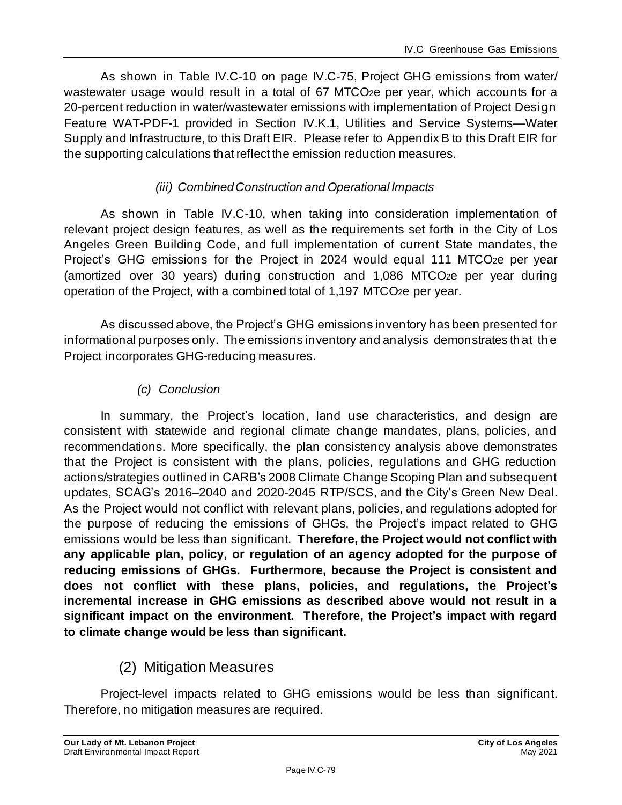As shown in Table IV.C-10 on pag[e IV.C-75](#page-74-0), Project GHG emissions from water/ wastewater usage would result in a total of 67 MTCO<sub>2</sub>e per year, which accounts for a 20-percent reduction in water/wastewater emissions with implementation of Project Design Feature WAT-PDF-1 provided in Section IV.K.1, Utilities and Service Systems—Water Supply and Infrastructure, to this Draft EIR. Please refer to Appendix B to this Draft EIR for the supporting calculations that reflect the emission reduction measures.

## *(iii) Combined Construction and Operational Impacts*

As shown in Table IV.C-10, when taking into consideration implementation of relevant project design features, as well as the requirements set forth in the City of Los Angeles Green Building Code, and full implementation of current State mandates, the Project's GHG emissions for the Project in 2024 would equal 111 MTCO<sub>2</sub>e per year (amortized over 30 years) during construction and 1,086 MTCO2e per year during operation of the Project, with a combined total of 1,197 MTCO2e per year.

As discussed above, the Project's GHG emissions inventory has been presented for informational purposes only. The emissions inventory and analysis demonstrates th at the Project incorporates GHG-reducing measures.

## *(c) Conclusion*

In summary, the Project's location, land use characteristics, and design are consistent with statewide and regional climate change mandates, plans, policies, and recommendations. More specifically, the plan consistency analysis above demonstrates that the Project is consistent with the plans, policies, regulations and GHG reduction actions/strategies outlined in CARB's 2008 Climate Change Scoping Plan and subsequent updates, SCAG's 2016–2040 and 2020-2045 RTP/SCS, and the City's Green New Deal. As the Project would not conflict with relevant plans, policies, and regulations adopted for the purpose of reducing the emissions of GHGs, the Project's impact related to GHG emissions would be less than significant. **Therefore, the Project would not conflict with any applicable plan, policy, or regulation of an agency adopted for the purpose of reducing emissions of GHGs. Furthermore, because the Project is consistent and does not conflict with these plans, policies, and regulations, the Project's incremental increase in GHG emissions as described above would not result in a significant impact on the environment. Therefore, the Project's impact with regard to climate change would be less than significant.**

# (2) Mitigation Measures

Project-level impacts related to GHG emissions would be less than significant. Therefore, no mitigation measures are required.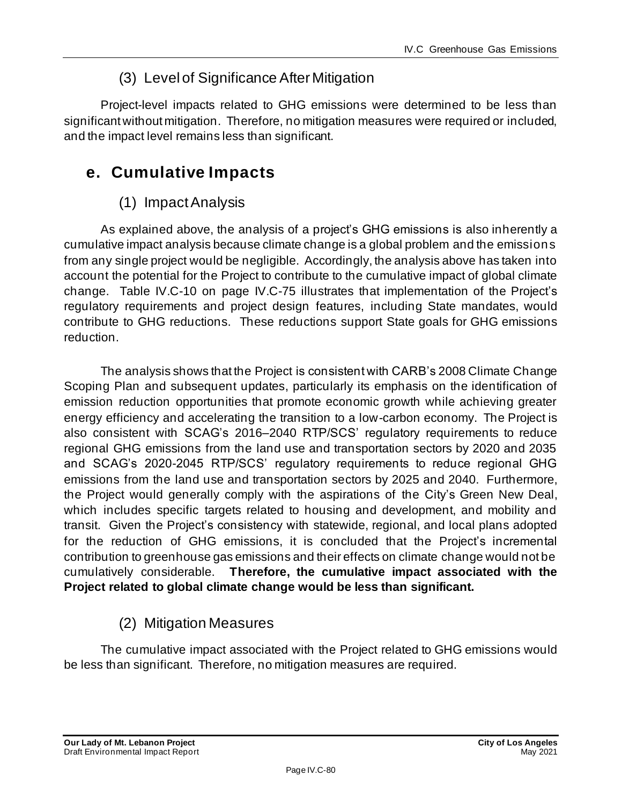# (3) Level of Significance After Mitigation

Project-level impacts related to GHG emissions were determined to be less than significant without mitigation. Therefore, no mitigation measures were required or included, and the impact level remains less than significant.

# **e. Cumulative Impacts**

# (1) Impact Analysis

As explained above, the analysis of a project's GHG emissions is also inherently a cumulative impact analysis because climate change is a global problem and the emissions from any single project would be negligible. Accordingly, the analysis above has taken into account the potential for the Project to contribute to the cumulative impact of global climate change. Table IV.C-10 on page [IV.C-75](#page-74-0) illustrates that implementation of the Project's regulatory requirements and project design features, including State mandates, would contribute to GHG reductions. These reductions support State goals for GHG emissions reduction.

The analysis shows that the Project is consistent with CARB's 2008 Climate Change Scoping Plan and subsequent updates, particularly its emphasis on the identification of emission reduction opportunities that promote economic growth while achieving greater energy efficiency and accelerating the transition to a low-carbon economy. The Project is also consistent with SCAG's 2016–2040 RTP/SCS' regulatory requirements to reduce regional GHG emissions from the land use and transportation sectors by 2020 and 2035 and SCAG's 2020-2045 RTP/SCS' regulatory requirements to reduce regional GHG emissions from the land use and transportation sectors by 2025 and 2040. Furthermore, the Project would generally comply with the aspirations of the City's Green New Deal, which includes specific targets related to housing and development, and mobility and transit.Given the Project's consistency with statewide, regional, and local plans adopted for the reduction of GHG emissions, it is concluded that the Project's incremental contribution to greenhouse gas emissions and their effects on climate change would not be cumulatively considerable. **Therefore, the cumulative impact associated with the Project related to global climate change would be less than significant.**

## (2) Mitigation Measures

The cumulative impact associated with the Project related to GHG emissions would be less than significant. Therefore, no mitigation measures are required.